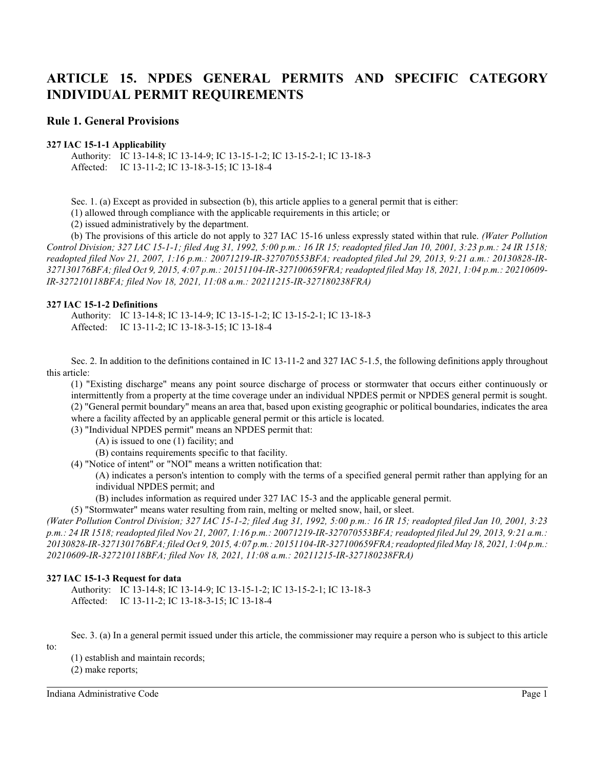## **Rule 1. General Provisions**

#### **327 IAC 15-1-1 Applicability**

Authority: IC 13-14-8; IC 13-14-9; IC 13-15-1-2; IC 13-15-2-1; IC 13-18-3 Affected: IC 13-11-2; IC 13-18-3-15; IC 13-18-4

Sec. 1. (a) Except as provided in subsection (b), this article applies to a general permit that is either:

(1) allowed through compliance with the applicable requirements in this article; or

(2) issued administratively by the department.

(b) The provisions of this article do not apply to 327 IAC 15-16 unless expressly stated within that rule. *(Water Pollution Control Division; 327 IAC 15-1-1; filed Aug 31, 1992, 5:00 p.m.: 16 IR 15; readopted filed Jan 10, 2001, 3:23 p.m.: 24 IR 1518; readopted filed Nov 21, 2007, 1:16 p.m.: 20071219-IR-327070553BFA; readopted filed Jul 29, 2013, 9:21 a.m.: 20130828-IR-327130176BFA; filed Oct 9, 2015, 4:07 p.m.: 20151104-IR-327100659FRA; readopted filed May 18, 2021, 1:04 p.m.: 20210609- IR-327210118BFA; filed Nov 18, 2021, 11:08 a.m.: 20211215-IR-327180238FRA)*

#### **327 IAC 15-1-2 Definitions**

Authority: IC 13-14-8; IC 13-14-9; IC 13-15-1-2; IC 13-15-2-1; IC 13-18-3 Affected: IC 13-11-2; IC 13-18-3-15; IC 13-18-4

Sec. 2. In addition to the definitions contained in IC 13-11-2 and 327 IAC 5-1.5, the following definitions apply throughout this article:

(1) "Existing discharge" means any point source discharge of process or stormwater that occurs either continuously or intermittently from a property at the time coverage under an individual NPDES permit or NPDES general permit is sought. (2) "General permit boundary" means an area that, based upon existing geographic or political boundaries, indicates the area where a facility affected by an applicable general permit or this article is located.

(3) "Individual NPDES permit" means an NPDES permit that:

(A) is issued to one (1) facility; and

(B) contains requirements specific to that facility.

(4) "Notice of intent" or "NOI" means a written notification that:

(A) indicates a person's intention to comply with the terms of a specified general permit rather than applying for an individual NPDES permit; and

(B) includes information as required under 327 IAC 15-3 and the applicable general permit.

(5) "Stormwater" means water resulting from rain, melting or melted snow, hail, or sleet.

*(Water Pollution Control Division; 327 IAC 15-1-2; filed Aug 31, 1992, 5:00 p.m.: 16 IR 15; readopted filed Jan 10, 2001, 3:23 p.m.: 24 IR 1518; readopted filed Nov 21, 2007, 1:16 p.m.: 20071219-IR-327070553BFA; readopted filed Jul 29, 2013, 9:21 a.m.: 20130828-IR-327130176BFA; filed Oct 9, 2015, 4:07 p.m.: 20151104-IR-327100659FRA; readopted filed May 18, 2021, 1:04 p.m.: 20210609-IR-327210118BFA; filed Nov 18, 2021, 11:08 a.m.: 20211215-IR-327180238FRA)*

Sec. 3. (a) In a general permit issued under this article, the commissioner may require a person who is subject to this article

#### **327 IAC 15-1-3 Request for data**

Authority: IC 13-14-8; IC 13-14-9; IC 13-15-1-2; IC 13-15-2-1; IC 13-18-3 Affected: IC 13-11-2; IC 13-18-3-15; IC 13-18-4

to:

(1) establish and maintain records;

(2) make reports;

Indiana Administrative Code Page 1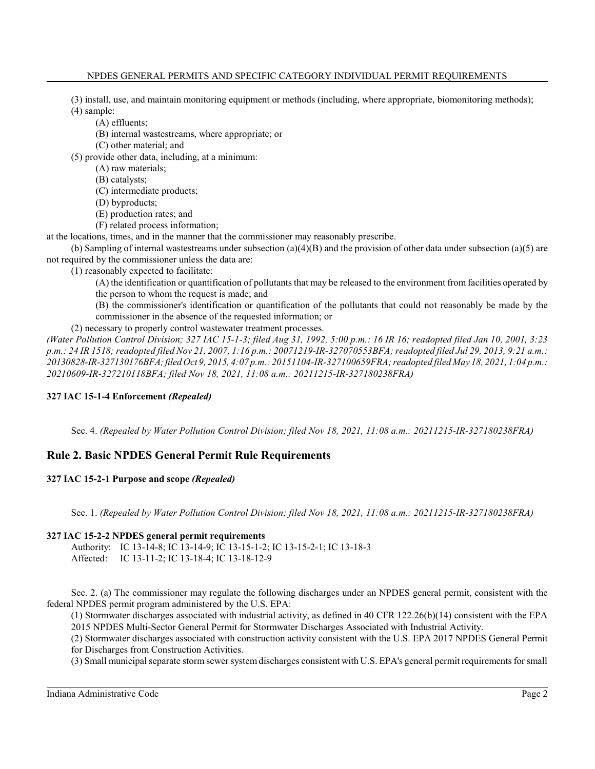(3) install, use, and maintain monitoring equipment or methods (including, where appropriate, biomonitoring methods);

(4) sample:

(A) effluents;

- (B) internal wastestreams, where appropriate; or
- (C) other material; and

(5) provide other data, including, at a minimum:

(A) raw materials;

(B) catalysts;

(C) intermediate products;

(D) byproducts;

(E) production rates; and

(F) related process information;

at the locations, times, and in the manner that the commissioner may reasonably prescribe.

(b) Sampling of internal wastestreams under subsection  $(a)(4)(B)$  and the provision of other data under subsection  $(a)(5)$  are not required by the commissioner unless the data are:

(1) reasonably expected to facilitate:

(A) the identification or quantification of pollutants that may be released to the environment from facilities operated by the person to whom the request is made; and

(B) the commissioner's identification or quantification of the pollutants that could not reasonably be made by the commissioner in the absence of the requested information; or

(2) necessary to properly control wastewater treatment processes.

*(Water Pollution Control Division; 327 IAC 15-1-3; filed Aug 31, 1992, 5:00 p.m.: 16 IR 16; readopted filed Jan 10, 2001, 3:23 p.m.: 24 IR 1518; readopted filed Nov 21, 2007, 1:16 p.m.: 20071219-IR-327070553BFA; readopted filed Jul 29, 2013, 9:21 a.m.: 20130828-IR-327130176BFA; filed Oct 9, 2015, 4:07 p.m.: 20151104-IR-327100659FRA; readopted filed May 18, 2021, 1:04 p.m.: 20210609-IR-327210118BFA; filed Nov 18, 2021, 11:08 a.m.: 20211215-IR-327180238FRA)*

## **327 IAC 15-1-4 Enforcement** *(Repealed)*

Sec. 4. *(Repealed by Water Pollution Control Division; filed Nov 18, 2021, 11:08 a.m.: 20211215-IR-327180238FRA)*

## **Rule 2. Basic NPDES General Permit Rule Requirements**

### **327 IAC 15-2-1 Purpose and scope** *(Repealed)*

Sec. 1. *(Repealed by Water Pollution Control Division; filed Nov 18, 2021, 11:08 a.m.: 20211215-IR-327180238FRA)*

### **327 IAC 15-2-2 NPDES general permit requirements**

Authority: IC 13-14-8; IC 13-14-9; IC 13-15-1-2; IC 13-15-2-1; IC 13-18-3 Affected: IC 13-11-2; IC 13-18-4; IC 13-18-12-9

Sec. 2. (a) The commissioner may regulate the following discharges under an NPDES general permit, consistent with the federal NPDES permit program administered by the U.S. EPA:

(1) Stormwater discharges associated with industrial activity, as defined in 40 CFR 122.26(b)(14) consistent with the EPA 2015 NPDES Multi-Sector General Permit for Stormwater Discharges Associated with Industrial Activity.

(2) Stormwater discharges associated with construction activity consistent with the U.S. EPA 2017 NPDES General Permit for Discharges from Construction Activities.

(3) Small municipal separate storm sewer systemdischarges consistent with U.S. EPA's general permit requirements for small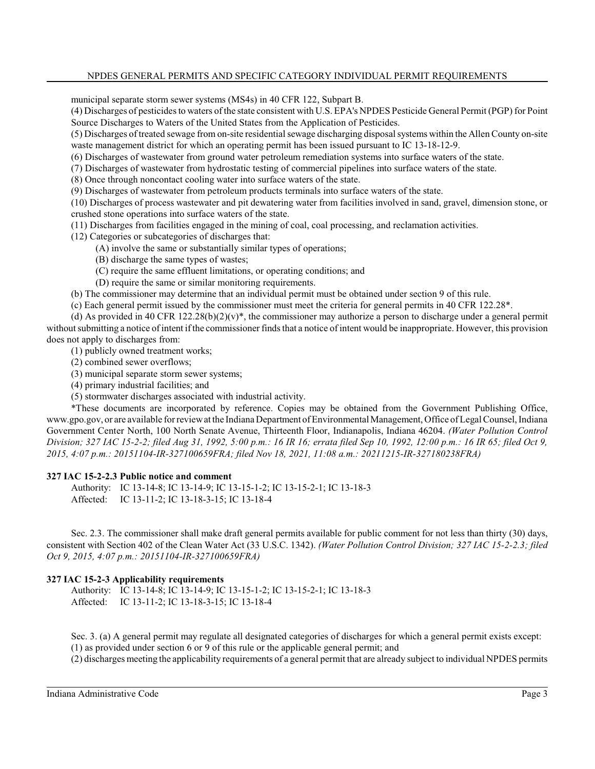municipal separate storm sewer systems (MS4s) in 40 CFR 122, Subpart B.

(4) Discharges of pesticides to waters of the state consistent with U.S. EPA's NPDES Pesticide General Permit (PGP) for Point Source Discharges to Waters of the United States from the Application of Pesticides.

(5) Discharges of treated sewage from on-site residential sewage discharging disposal systems within the Allen County on-site waste management district for which an operating permit has been issued pursuant to IC 13-18-12-9.

(6) Discharges of wastewater from ground water petroleum remediation systems into surface waters of the state.

(7) Discharges of wastewater from hydrostatic testing of commercial pipelines into surface waters of the state.

(8) Once through noncontact cooling water into surface waters of the state.

(9) Discharges of wastewater from petroleum products terminals into surface waters of the state.

(10) Discharges of process wastewater and pit dewatering water from facilities involved in sand, gravel, dimension stone, or crushed stone operations into surface waters of the state.

(11) Discharges from facilities engaged in the mining of coal, coal processing, and reclamation activities.

(12) Categories or subcategories of discharges that:

(A) involve the same or substantially similar types of operations;

(B) discharge the same types of wastes;

(C) require the same effluent limitations, or operating conditions; and

(D) require the same or similar monitoring requirements.

(b) The commissioner may determine that an individual permit must be obtained under section 9 of this rule.

(c) Each general permit issued by the commissioner must meet the criteria for general permits in 40 CFR 122.28\*.

(d) As provided in 40 CFR 122.28(b)(2)(v)\*, the commissioner may authorize a person to discharge under a general permit without submitting a notice of intent if the commissioner finds that a notice of intent would be inappropriate. However, this provision does not apply to discharges from:

(1) publicly owned treatment works;

(2) combined sewer overflows;

(3) municipal separate storm sewer systems;

(4) primary industrial facilities; and

(5) stormwater discharges associated with industrial activity.

\*These documents are incorporated by reference. Copies may be obtained from the Government Publishing Office, www.gpo.gov, or are available for reviewat the Indiana Department of Environmental Management, Office of Legal Counsel, Indiana Government Center North, 100 North Senate Avenue, Thirteenth Floor, Indianapolis, Indiana 46204. *(Water Pollution Control Division; 327 IAC 15-2-2; filed Aug 31, 1992, 5:00 p.m.: 16 IR 16; errata filed Sep 10, 1992, 12:00 p.m.: 16 IR 65; filed Oct 9, 2015, 4:07 p.m.: 20151104-IR-327100659FRA; filed Nov 18, 2021, 11:08 a.m.: 20211215-IR-327180238FRA)*

#### **327 IAC 15-2-2.3 Public notice and comment**

Authority: IC 13-14-8; IC 13-14-9; IC 13-15-1-2; IC 13-15-2-1; IC 13-18-3 Affected: IC 13-11-2; IC 13-18-3-15; IC 13-18-4

Sec. 2.3. The commissioner shall make draft general permits available for public comment for not less than thirty (30) days, consistent with Section 402 of the Clean Water Act (33 U.S.C. 1342). *(Water Pollution Control Division; 327 IAC 15-2-2.3; filed Oct 9, 2015, 4:07 p.m.: 20151104-IR-327100659FRA)*

### **327 IAC 15-2-3 Applicability requirements**

Authority: IC 13-14-8; IC 13-14-9; IC 13-15-1-2; IC 13-15-2-1; IC 13-18-3 Affected: IC 13-11-2; IC 13-18-3-15; IC 13-18-4

Sec. 3. (a) A general permit may regulate all designated categories of discharges for which a general permit exists except: (1) as provided under section 6 or 9 of this rule or the applicable general permit; and

(2) discharges meeting the applicability requirements of a general permit that are already subject to individual NPDES permits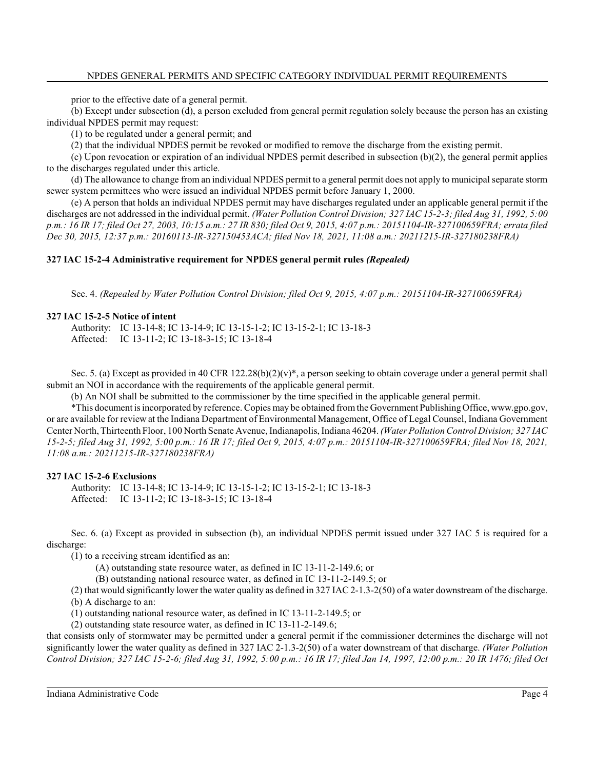prior to the effective date of a general permit.

(b) Except under subsection (d), a person excluded from general permit regulation solely because the person has an existing individual NPDES permit may request:

(1) to be regulated under a general permit; and

(2) that the individual NPDES permit be revoked or modified to remove the discharge from the existing permit.

(c) Upon revocation or expiration of an individual NPDES permit described in subsection (b)(2), the general permit applies to the discharges regulated under this article.

(d) The allowance to change from an individual NPDES permit to a general permit does not apply to municipal separate storm sewer system permittees who were issued an individual NPDES permit before January 1, 2000.

(e) A person that holds an individual NPDES permit may have discharges regulated under an applicable general permit if the discharges are not addressed in the individual permit. *(Water Pollution Control Division; 327 IAC 15-2-3; filed Aug 31, 1992, 5:00 p.m.: 16 IR 17; filed Oct 27, 2003, 10:15 a.m.: 27 IR 830; filed Oct 9, 2015, 4:07 p.m.: 20151104-IR-327100659FRA; errata filed Dec 30, 2015, 12:37 p.m.: 20160113-IR-327150453ACA; filed Nov 18, 2021, 11:08 a.m.: 20211215-IR-327180238FRA)*

## **327 IAC 15-2-4 Administrative requirement for NPDES general permit rules** *(Repealed)*

Sec. 4. *(Repealed by Water Pollution Control Division; filed Oct 9, 2015, 4:07 p.m.: 20151104-IR-327100659FRA)*

### **327 IAC 15-2-5 Notice of intent**

Authority: IC 13-14-8; IC 13-14-9; IC 13-15-1-2; IC 13-15-2-1; IC 13-18-3 Affected: IC 13-11-2; IC 13-18-3-15; IC 13-18-4

Sec. 5. (a) Except as provided in 40 CFR 122.28(b)(2)(v)\*, a person seeking to obtain coverage under a general permit shall submit an NOI in accordance with the requirements of the applicable general permit.

(b) An NOI shall be submitted to the commissioner by the time specified in the applicable general permit.

\*This document is incorporated by reference. Copies may be obtained fromthe Government PublishingOffice, www.gpo.gov, or are available for review at the Indiana Department of Environmental Management, Office of Legal Counsel, Indiana Government Center North, Thirteenth Floor, 100 North Senate Avenue, Indianapolis, Indiana 46204. *(Water Pollution Control Division; 327 IAC 15-2-5; filed Aug 31, 1992, 5:00 p.m.: 16 IR 17; filed Oct 9, 2015, 4:07 p.m.: 20151104-IR-327100659FRA; filed Nov 18, 2021, 11:08 a.m.: 20211215-IR-327180238FRA)*

### **327 IAC 15-2-6 Exclusions**

Authority: IC 13-14-8; IC 13-14-9; IC 13-15-1-2; IC 13-15-2-1; IC 13-18-3 Affected: IC 13-11-2; IC 13-18-3-15; IC 13-18-4

Sec. 6. (a) Except as provided in subsection (b), an individual NPDES permit issued under 327 IAC 5 is required for a discharge:

(1) to a receiving stream identified as an:

(A) outstanding state resource water, as defined in IC 13-11-2-149.6; or

(B) outstanding national resource water, as defined in IC 13-11-2-149.5; or

(2) that would significantly lower the water quality as defined in 327 IAC 2-1.3-2(50) of a water downstream of the discharge. (b) A discharge to an:

(1) outstanding national resource water, as defined in IC 13-11-2-149.5; or

(2) outstanding state resource water, as defined in IC 13-11-2-149.6;

that consists only of stormwater may be permitted under a general permit if the commissioner determines the discharge will not significantly lower the water quality as defined in 327 IAC 2-1.3-2(50) of a water downstream of that discharge. *(Water Pollution Control Division; 327 IAC 15-2-6; filed Aug 31, 1992, 5:00 p.m.: 16 IR 17; filed Jan 14, 1997, 12:00 p.m.: 20 IR 1476; filed Oct*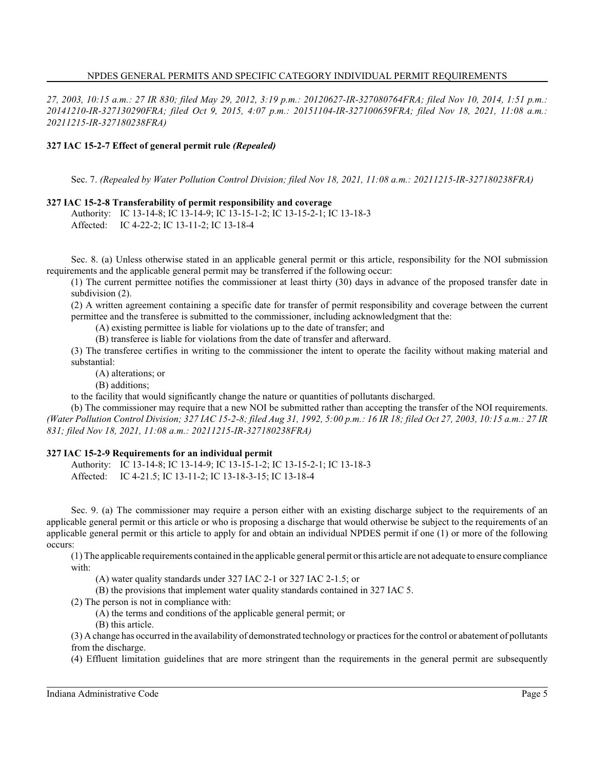*27, 2003, 10:15 a.m.: 27 IR 830; filed May 29, 2012, 3:19 p.m.: 20120627-IR-327080764FRA; filed Nov 10, 2014, 1:51 p.m.: 20141210-IR-327130290FRA; filed Oct 9, 2015, 4:07 p.m.: 20151104-IR-327100659FRA; filed Nov 18, 2021, 11:08 a.m.: 20211215-IR-327180238FRA)*

#### **327 IAC 15-2-7 Effect of general permit rule** *(Repealed)*

Sec. 7. *(Repealed by Water Pollution Control Division; filed Nov 18, 2021, 11:08 a.m.: 20211215-IR-327180238FRA)*

#### **327 IAC 15-2-8 Transferability of permit responsibility and coverage**

Authority: IC 13-14-8; IC 13-14-9; IC 13-15-1-2; IC 13-15-2-1; IC 13-18-3 Affected: IC 4-22-2; IC 13-11-2; IC 13-18-4

Sec. 8. (a) Unless otherwise stated in an applicable general permit or this article, responsibility for the NOI submission requirements and the applicable general permit may be transferred if the following occur:

(1) The current permittee notifies the commissioner at least thirty (30) days in advance of the proposed transfer date in subdivision  $(2)$ .

(2) A written agreement containing a specific date for transfer of permit responsibility and coverage between the current permittee and the transferee is submitted to the commissioner, including acknowledgment that the:

(A) existing permittee is liable for violations up to the date of transfer; and

(B) transferee is liable for violations from the date of transfer and afterward.

(3) The transferee certifies in writing to the commissioner the intent to operate the facility without making material and substantial:

(A) alterations; or

(B) additions;

to the facility that would significantly change the nature or quantities of pollutants discharged.

(b) The commissioner may require that a new NOI be submitted rather than accepting the transfer of the NOI requirements. *(Water Pollution Control Division; 327 IAC 15-2-8; filed Aug 31, 1992, 5:00 p.m.: 16 IR 18; filed Oct 27, 2003, 10:15 a.m.: 27 IR 831; filed Nov 18, 2021, 11:08 a.m.: 20211215-IR-327180238FRA)*

### **327 IAC 15-2-9 Requirements for an individual permit**

Authority: IC 13-14-8; IC 13-14-9; IC 13-15-1-2; IC 13-15-2-1; IC 13-18-3 Affected: IC 4-21.5; IC 13-11-2; IC 13-18-3-15; IC 13-18-4

Sec. 9. (a) The commissioner may require a person either with an existing discharge subject to the requirements of an applicable general permit or this article or who is proposing a discharge that would otherwise be subject to the requirements of an applicable general permit or this article to apply for and obtain an individual NPDES permit if one (1) or more of the following occurs:

(1) The applicable requirements contained in the applicable general permit orthis article are not adequate to ensure compliance with:

(A) water quality standards under 327 IAC 2-1 or 327 IAC 2-1.5; or

(B) the provisions that implement water quality standards contained in 327 IAC 5.

(2) The person is not in compliance with:

(A) the terms and conditions of the applicable general permit; or

(B) this article.

(3) A change has occurred in the availability of demonstrated technology or practices for the control or abatement of pollutants from the discharge.

(4) Effluent limitation guidelines that are more stringent than the requirements in the general permit are subsequently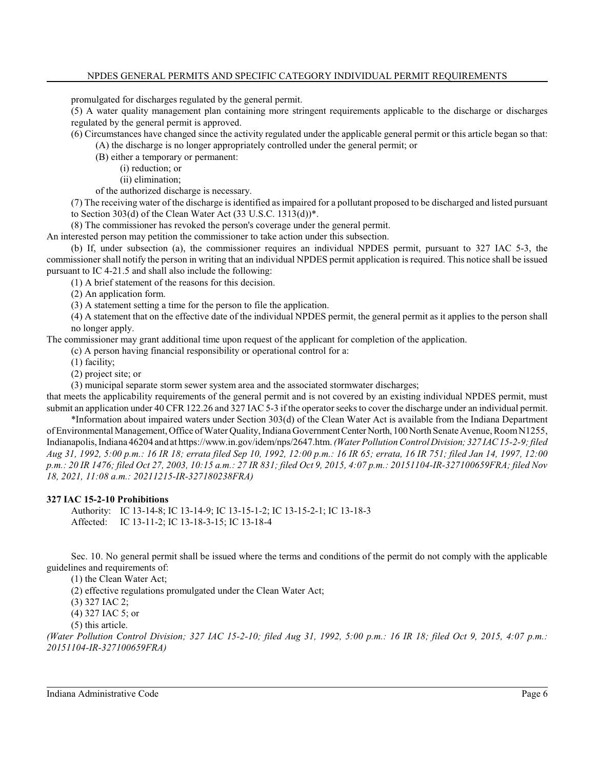promulgated for discharges regulated by the general permit.

(5) A water quality management plan containing more stringent requirements applicable to the discharge or discharges regulated by the general permit is approved.

(6) Circumstances have changed since the activity regulated under the applicable general permit or this article began so that:

(A) the discharge is no longer appropriately controlled under the general permit; or

(B) either a temporary or permanent:

(i) reduction; or

(ii) elimination;

of the authorized discharge is necessary.

(7) The receiving water of the discharge is identified as impaired for a pollutant proposed to be discharged and listed pursuant to Section 303(d) of the Clean Water Act (33 U.S.C. 1313(d))\*.

(8) The commissioner has revoked the person's coverage under the general permit.

An interested person may petition the commissioner to take action under this subsection.

(b) If, under subsection (a), the commissioner requires an individual NPDES permit, pursuant to 327 IAC 5-3, the commissioner shall notify the person in writing that an individual NPDES permit application is required. This notice shall be issued pursuant to IC 4-21.5 and shall also include the following:

(1) A brief statement of the reasons for this decision.

(2) An application form.

(3) A statement setting a time for the person to file the application.

(4) A statement that on the effective date of the individual NPDES permit, the general permit as it applies to the person shall no longer apply.

The commissioner may grant additional time upon request of the applicant for completion of the application.

(c) A person having financial responsibility or operational control for a:

(1) facility;

(2) project site; or

(3) municipal separate storm sewer system area and the associated stormwater discharges;

that meets the applicability requirements of the general permit and is not covered by an existing individual NPDES permit, must submit an application under 40 CFR 122.26 and 327 IAC 5-3 if the operator seeks to cover the discharge under an individual permit.

\*Information about impaired waters under Section 303(d) of the Clean Water Act is available from the Indiana Department of Environmental Management, Office of Water Quality, Indiana Government Center North, 100 North Senate Avenue, Room N1255, Indianapolis, Indiana 46204 and at https://www.in.gov/idem/nps/2647.htm. *(Water PollutionControlDivision; 327 IAC 15-2-9; filed Aug 31, 1992, 5:00 p.m.: 16 IR 18; errata filed Sep 10, 1992, 12:00 p.m.: 16 IR 65; errata, 16 IR 751; filed Jan 14, 1997, 12:00 p.m.: 20 IR 1476; filed Oct 27, 2003, 10:15 a.m.: 27 IR 831; filed Oct 9, 2015, 4:07 p.m.: 20151104-IR-327100659FRA; filed Nov 18, 2021, 11:08 a.m.: 20211215-IR-327180238FRA)*

### **327 IAC 15-2-10 Prohibitions**

Authority: IC 13-14-8; IC 13-14-9; IC 13-15-1-2; IC 13-15-2-1; IC 13-18-3 Affected: IC 13-11-2; IC 13-18-3-15; IC 13-18-4

Sec. 10. No general permit shall be issued where the terms and conditions of the permit do not comply with the applicable guidelines and requirements of:

(1) the Clean Water Act;

(2) effective regulations promulgated under the Clean Water Act;

(3) 327 IAC 2;

(4) 327 IAC 5; or

(5) this article.

*(Water Pollution Control Division; 327 IAC 15-2-10; filed Aug 31, 1992, 5:00 p.m.: 16 IR 18; filed Oct 9, 2015, 4:07 p.m.: 20151104-IR-327100659FRA)*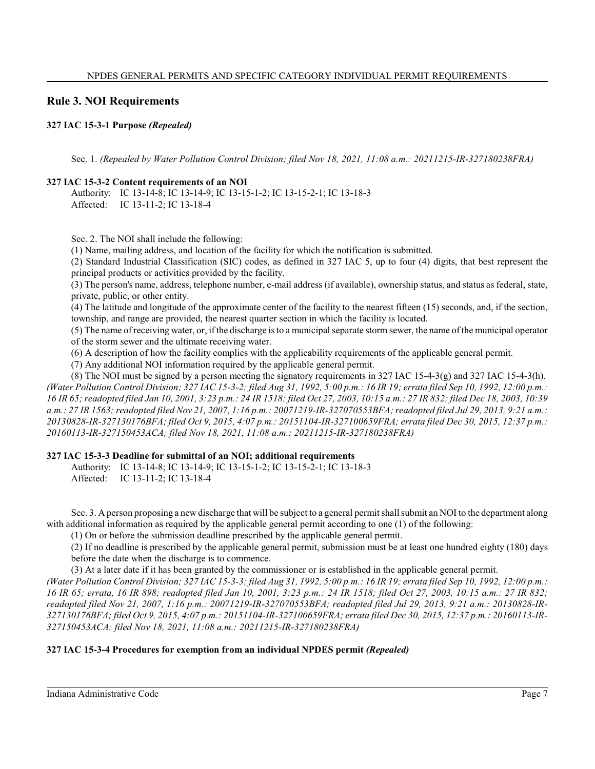## **Rule 3. NOI Requirements**

### **327 IAC 15-3-1 Purpose** *(Repealed)*

Sec. 1. *(Repealed by Water Pollution Control Division; filed Nov 18, 2021, 11:08 a.m.: 20211215-IR-327180238FRA)*

#### **327 IAC 15-3-2 Content requirements of an NOI**

Authority: IC 13-14-8; IC 13-14-9; IC 13-15-1-2; IC 13-15-2-1; IC 13-18-3 Affected: IC 13-11-2; IC 13-18-4

Sec. 2. The NOI shall include the following:

(1) Name, mailing address, and location of the facility for which the notification is submitted.

(2) Standard Industrial Classification (SIC) codes, as defined in 327 IAC 5, up to four (4) digits, that best represent the principal products or activities provided by the facility.

(3) The person's name, address, telephone number, e-mail address (if available), ownership status, and status as federal, state, private, public, or other entity.

(4) The latitude and longitude of the approximate center of the facility to the nearest fifteen (15) seconds, and, if the section, township, and range are provided, the nearest quarter section in which the facility is located.

(5) The name of receiving water, or, if the discharge is to a municipal separate storm sewer, the name of the municipal operator of the storm sewer and the ultimate receiving water.

(6) A description of how the facility complies with the applicability requirements of the applicable general permit.

(7) Any additional NOI information required by the applicable general permit.

(8) The NOI must be signed by a person meeting the signatory requirements in 327 IAC 15-4-3(g) and 327 IAC 15-4-3(h). *(Water Pollution Control Division; 327 IAC 15-3-2; filed Aug 31, 1992, 5:00 p.m.: 16 IR 19; errata filed Sep 10, 1992, 12:00 p.m.: 16 IR 65; readopted filed Jan 10, 2001, 3:23 p.m.: 24 IR 1518; filed Oct 27, 2003, 10:15 a.m.: 27 IR 832; filed Dec 18, 2003, 10:39 a.m.: 27 IR 1563; readopted filed Nov 21, 2007, 1:16 p.m.: 20071219-IR-327070553BFA; readopted filed Jul 29, 2013, 9:21 a.m.: 20130828-IR-327130176BFA; filed Oct 9, 2015, 4:07 p.m.: 20151104-IR-327100659FRA; errata filed Dec 30, 2015, 12:37 p.m.:*

### **327 IAC 15-3-3 Deadline for submittal of an NOI; additional requirements**

Authority: IC 13-14-8; IC 13-14-9; IC 13-15-1-2; IC 13-15-2-1; IC 13-18-3 Affected: IC 13-11-2; IC 13-18-4

*20160113-IR-327150453ACA; filed Nov 18, 2021, 11:08 a.m.: 20211215-IR-327180238FRA)*

Sec. 3. A person proposing a newdischarge that will be subject to a general permit shall submit an NOI to the department along with additional information as required by the applicable general permit according to one (1) of the following:

(1) On or before the submission deadline prescribed by the applicable general permit.

(2) If no deadline is prescribed by the applicable general permit, submission must be at least one hundred eighty (180) days before the date when the discharge is to commence.

(3) At a later date if it has been granted by the commissioner or is established in the applicable general permit.

*(Water Pollution Control Division; 327 IAC 15-3-3; filed Aug 31, 1992, 5:00 p.m.: 16 IR 19; errata filed Sep 10, 1992, 12:00 p.m.: 16 IR 65; errata, 16 IR 898; readopted filed Jan 10, 2001, 3:23 p.m.: 24 IR 1518; filed Oct 27, 2003, 10:15 a.m.: 27 IR 832; readopted filed Nov 21, 2007, 1:16 p.m.: 20071219-IR-327070553BFA; readopted filed Jul 29, 2013, 9:21 a.m.: 20130828-IR-327130176BFA; filed Oct 9, 2015, 4:07 p.m.: 20151104-IR-327100659FRA; errata filed Dec 30, 2015, 12:37 p.m.: 20160113-IR-327150453ACA; filed Nov 18, 2021, 11:08 a.m.: 20211215-IR-327180238FRA)*

### **327 IAC 15-3-4 Procedures for exemption from an individual NPDES permit** *(Repealed)*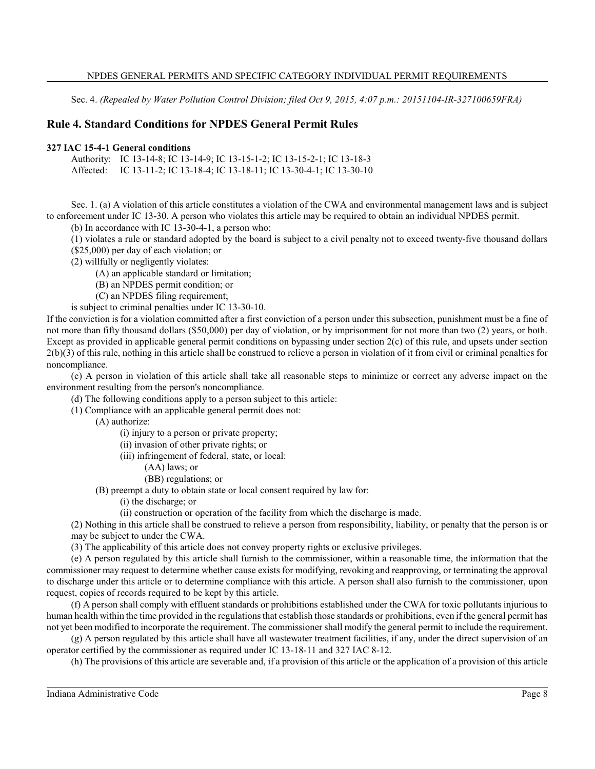Sec. 4. *(Repealed by Water Pollution Control Division; filed Oct 9, 2015, 4:07 p.m.: 20151104-IR-327100659FRA)*

## **Rule 4. Standard Conditions for NPDES General Permit Rules**

#### **327 IAC 15-4-1 General conditions**

Authority: IC 13-14-8; IC 13-14-9; IC 13-15-1-2; IC 13-15-2-1; IC 13-18-3 Affected: IC 13-11-2; IC 13-18-4; IC 13-18-11; IC 13-30-4-1; IC 13-30-10

Sec. 1. (a) A violation of this article constitutes a violation of the CWA and environmental management laws and is subject to enforcement under IC 13-30. A person who violates this article may be required to obtain an individual NPDES permit.

(b) In accordance with IC 13-30-4-1, a person who:

(1) violates a rule or standard adopted by the board is subject to a civil penalty not to exceed twenty-five thousand dollars

(\$25,000) per day of each violation; or

(2) willfully or negligently violates:

(A) an applicable standard or limitation;

(B) an NPDES permit condition; or

(C) an NPDES filing requirement;

is subject to criminal penalties under IC 13-30-10.

If the conviction is for a violation committed after a first conviction of a person under this subsection, punishment must be a fine of not more than fifty thousand dollars (\$50,000) per day of violation, or by imprisonment for not more than two (2) years, or both. Except as provided in applicable general permit conditions on bypassing under section 2(c) of this rule, and upsets under section 2(b)(3) of this rule, nothing in this article shall be construed to relieve a person in violation of it from civil or criminal penalties for noncompliance.

(c) A person in violation of this article shall take all reasonable steps to minimize or correct any adverse impact on the environment resulting from the person's noncompliance.

(d) The following conditions apply to a person subject to this article:

(1) Compliance with an applicable general permit does not:

(A) authorize:

(i) injury to a person or private property;

(ii) invasion of other private rights; or

- (iii) infringement of federal, state, or local:
	- (AA) laws; or

(BB) regulations; or

(B) preempt a duty to obtain state or local consent required by law for:

(i) the discharge; or

(ii) construction or operation of the facility from which the discharge is made.

(2) Nothing in this article shall be construed to relieve a person from responsibility, liability, or penalty that the person is or may be subject to under the CWA.

(3) The applicability of this article does not convey property rights or exclusive privileges.

(e) A person regulated by this article shall furnish to the commissioner, within a reasonable time, the information that the commissioner may request to determine whether cause exists for modifying, revoking and reapproving, or terminating the approval to discharge under this article or to determine compliance with this article. A person shall also furnish to the commissioner, upon request, copies of records required to be kept by this article.

(f) A person shall comply with effluent standards or prohibitions established under the CWA for toxic pollutants injurious to human health within the time provided in the regulations that establish those standards or prohibitions, even if the general permit has not yet been modified to incorporate the requirement. The commissioner shall modify the general permit to include the requirement.

(g) A person regulated by this article shall have all wastewater treatment facilities, if any, under the direct supervision of an operator certified by the commissioner as required under IC 13-18-11 and 327 IAC 8-12.

(h) The provisions of this article are severable and, if a provision of this article or the application of a provision of this article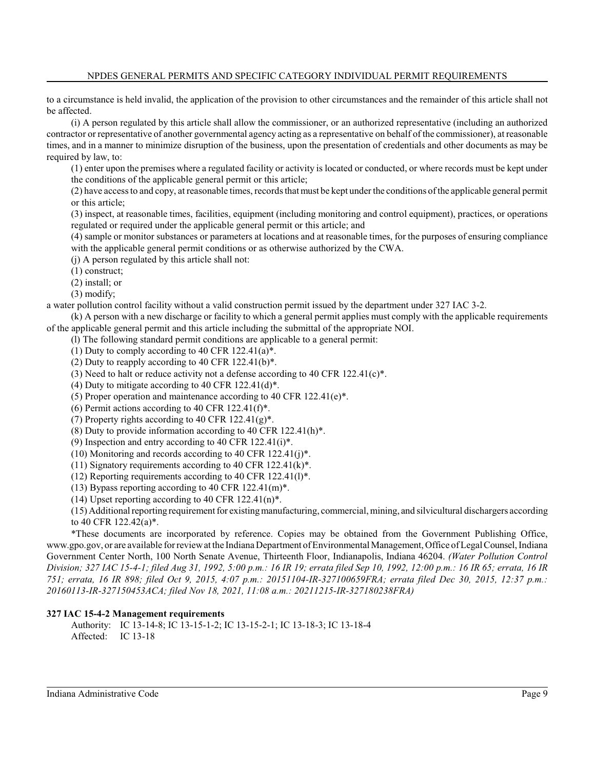to a circumstance is held invalid, the application of the provision to other circumstances and the remainder of this article shall not be affected.

(i) A person regulated by this article shall allow the commissioner, or an authorized representative (including an authorized contractor or representative of another governmental agency acting as a representative on behalf of the commissioner), at reasonable times, and in a manner to minimize disruption of the business, upon the presentation of credentials and other documents as may be required by law, to:

(1) enter upon the premises where a regulated facility or activity is located or conducted, or where records must be kept under the conditions of the applicable general permit or this article;

(2) have access to and copy, at reasonable times, records that must be kept underthe conditions of the applicable general permit or this article;

(3) inspect, at reasonable times, facilities, equipment (including monitoring and control equipment), practices, or operations regulated or required under the applicable general permit or this article; and

(4) sample or monitor substances or parameters at locations and at reasonable times, for the purposes of ensuring compliance with the applicable general permit conditions or as otherwise authorized by the CWA.

(j) A person regulated by this article shall not:

(1) construct;

(2) install; or

(3) modify;

a water pollution control facility without a valid construction permit issued by the department under 327 IAC 3-2.

(k) A person with a new discharge or facility to which a general permit applies must comply with the applicable requirements of the applicable general permit and this article including the submittal of the appropriate NOI.

(l) The following standard permit conditions are applicable to a general permit:

(1) Duty to comply according to 40 CFR  $122.41(a)*$ .

(2) Duty to reapply according to 40 CFR  $122.41(b)*$ .

(3) Need to halt or reduce activity not a defense according to 40 CFR 122.41 $(c)^*$ .

(4) Duty to mitigate according to 40 CFR  $122.41(d)*$ .

(5) Proper operation and maintenance according to 40 CFR  $122.41(e)^*$ .

(6) Permit actions according to 40 CFR  $122.41(f)^*$ .

(7) Property rights according to 40 CFR  $122.41(g)^*$ .

(8) Duty to provide information according to 40 CFR 122.41(h)\*.

(9) Inspection and entry according to 40 CFR  $122.41(i)*$ .

(10) Monitoring and records according to 40 CFR 122.41(j)\*.

(11) Signatory requirements according to 40 CFR 122.41(k)\*.

(12) Reporting requirements according to 40 CFR 122.41(l)\*.

(13) Bypass reporting according to 40 CFR 122.41(m)\*.

(14) Upset reporting according to 40 CFR  $122.41(n)$ <sup>\*</sup>.

(15) Additional reporting requirement for existingmanufacturing, commercial,mining, and silvicultural dischargers according to 40 CFR 122.42(a)\*.

\*These documents are incorporated by reference. Copies may be obtained from the Government Publishing Office, www.gpo.gov, or are available for reviewat the Indiana Department of Environmental Management, Office of Legal Counsel, Indiana Government Center North, 100 North Senate Avenue, Thirteenth Floor, Indianapolis, Indiana 46204. *(Water Pollution Control Division; 327 IAC 15-4-1; filed Aug 31, 1992, 5:00 p.m.: 16 IR 19; errata filed Sep 10, 1992, 12:00 p.m.: 16 IR 65; errata, 16 IR 751; errata, 16 IR 898; filed Oct 9, 2015, 4:07 p.m.: 20151104-IR-327100659FRA; errata filed Dec 30, 2015, 12:37 p.m.: 20160113-IR-327150453ACA; filed Nov 18, 2021, 11:08 a.m.: 20211215-IR-327180238FRA)*

## **327 IAC 15-4-2 Management requirements**

Authority: IC 13-14-8; IC 13-15-1-2; IC 13-15-2-1; IC 13-18-3; IC 13-18-4 Affected: IC 13-18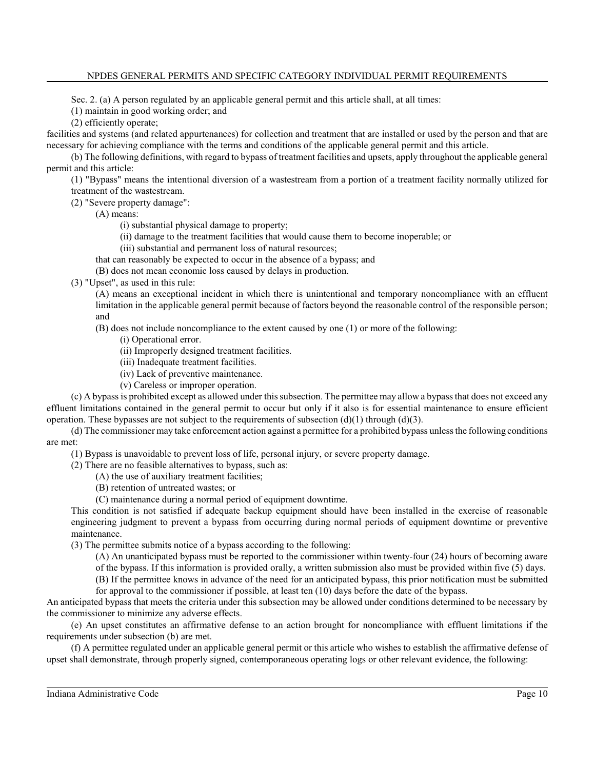Sec. 2. (a) A person regulated by an applicable general permit and this article shall, at all times:

(1) maintain in good working order; and

(2) efficiently operate;

facilities and systems (and related appurtenances) for collection and treatment that are installed or used by the person and that are necessary for achieving compliance with the terms and conditions of the applicable general permit and this article.

(b) The following definitions, with regard to bypass of treatment facilities and upsets, apply throughout the applicable general permit and this article:

(1) "Bypass" means the intentional diversion of a wastestream from a portion of a treatment facility normally utilized for treatment of the wastestream.

(2) "Severe property damage":

(A) means:

- (i) substantial physical damage to property;
- (ii) damage to the treatment facilities that would cause them to become inoperable; or
- (iii) substantial and permanent loss of natural resources;
- that can reasonably be expected to occur in the absence of a bypass; and

(B) does not mean economic loss caused by delays in production.

(3) "Upset", as used in this rule:

(A) means an exceptional incident in which there is unintentional and temporary noncompliance with an effluent limitation in the applicable general permit because of factors beyond the reasonable control of the responsible person; and

(B) does not include noncompliance to the extent caused by one (1) or more of the following:

- (i) Operational error.
- (ii) Improperly designed treatment facilities.
- (iii) Inadequate treatment facilities.
- (iv) Lack of preventive maintenance.
- (v) Careless or improper operation.

(c) A bypass is prohibited except as allowed under thissubsection. The permittee may allow a bypass that does not exceed any effluent limitations contained in the general permit to occur but only if it also is for essential maintenance to ensure efficient operation. These bypasses are not subject to the requirements of subsection  $(d)(1)$  through  $(d)(3)$ .

(d) The commissioner may take enforcement action against a permittee for a prohibited bypass unless the following conditions are met:

(1) Bypass is unavoidable to prevent loss of life, personal injury, or severe property damage.

- (2) There are no feasible alternatives to bypass, such as:
	- (A) the use of auxiliary treatment facilities;
	- (B) retention of untreated wastes; or
	- (C) maintenance during a normal period of equipment downtime.

This condition is not satisfied if adequate backup equipment should have been installed in the exercise of reasonable engineering judgment to prevent a bypass from occurring during normal periods of equipment downtime or preventive maintenance.

(3) The permittee submits notice of a bypass according to the following:

(A) An unanticipated bypass must be reported to the commissioner within twenty-four (24) hours of becoming aware

of the bypass. If this information is provided orally, a written submission also must be provided within five (5) days. (B) If the permittee knows in advance of the need for an anticipated bypass, this prior notification must be submitted

for approval to the commissioner if possible, at least ten (10) days before the date of the bypass.

An anticipated bypass that meets the criteria under this subsection may be allowed under conditions determined to be necessary by the commissioner to minimize any adverse effects.

(e) An upset constitutes an affirmative defense to an action brought for noncompliance with effluent limitations if the requirements under subsection (b) are met.

(f) A permittee regulated under an applicable general permit or this article who wishes to establish the affirmative defense of upset shall demonstrate, through properly signed, contemporaneous operating logs or other relevant evidence, the following: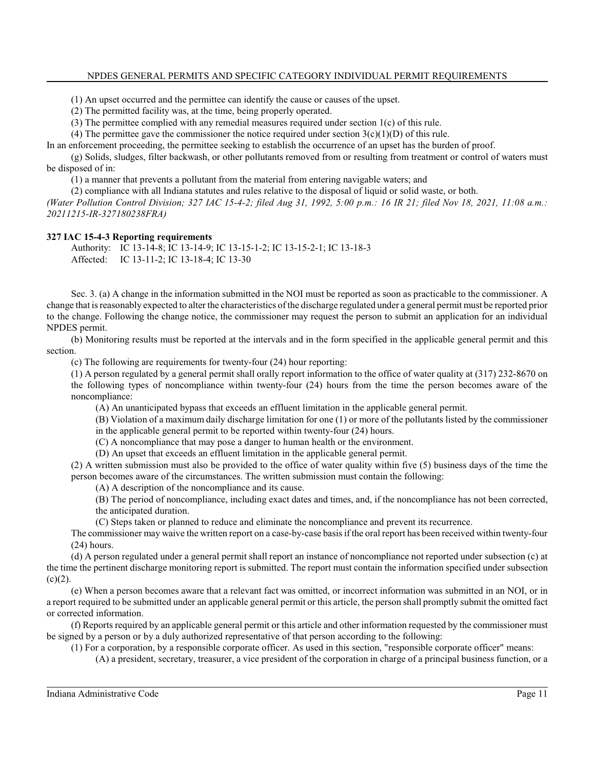(1) An upset occurred and the permittee can identify the cause or causes of the upset.

(2) The permitted facility was, at the time, being properly operated.

(3) The permittee complied with any remedial measures required under section 1(c) of this rule.

(4) The permittee gave the commissioner the notice required under section  $3(c)(1)(D)$  of this rule.

In an enforcement proceeding, the permittee seeking to establish the occurrence of an upset has the burden of proof.

(g) Solids, sludges, filter backwash, or other pollutants removed from or resulting from treatment or control of waters must be disposed of in:

(1) a manner that prevents a pollutant from the material from entering navigable waters; and

(2) compliance with all Indiana statutes and rules relative to the disposal of liquid or solid waste, or both. *(Water Pollution Control Division; 327 IAC 15-4-2; filed Aug 31, 1992, 5:00 p.m.: 16 IR 21; filed Nov 18, 2021, 11:08 a.m.:*

*20211215-IR-327180238FRA)*

#### **327 IAC 15-4-3 Reporting requirements**

Authority: IC 13-14-8; IC 13-14-9; IC 13-15-1-2; IC 13-15-2-1; IC 13-18-3 Affected: IC 13-11-2; IC 13-18-4; IC 13-30

Sec. 3. (a) A change in the information submitted in the NOI must be reported as soon as practicable to the commissioner. A change that is reasonably expected to alter the characteristics of the discharge regulated under a general permit must be reported prior to the change. Following the change notice, the commissioner may request the person to submit an application for an individual NPDES permit.

(b) Monitoring results must be reported at the intervals and in the form specified in the applicable general permit and this section.

(c) The following are requirements for twenty-four (24) hour reporting:

(1) A person regulated by a general permit shall orally report information to the office of water quality at (317) 232-8670 on the following types of noncompliance within twenty-four (24) hours from the time the person becomes aware of the noncompliance:

(A) An unanticipated bypass that exceeds an effluent limitation in the applicable general permit.

(B) Violation of a maximum daily discharge limitation for one (1) or more of the pollutants listed by the commissioner in the applicable general permit to be reported within twenty-four (24) hours.

(C) A noncompliance that may pose a danger to human health or the environment.

(D) An upset that exceeds an effluent limitation in the applicable general permit.

(2) A written submission must also be provided to the office of water quality within five (5) business days of the time the person becomes aware of the circumstances. The written submission must contain the following:

(A) A description of the noncompliance and its cause.

(B) The period of noncompliance, including exact dates and times, and, if the noncompliance has not been corrected, the anticipated duration.

(C) Steps taken or planned to reduce and eliminate the noncompliance and prevent its recurrence.

The commissioner may waive the written report on a case-by-case basis if the oral report has been received within twenty-four (24) hours.

(d) A person regulated under a general permit shall report an instance of noncompliance not reported under subsection (c) at the time the pertinent discharge monitoring report is submitted. The report must contain the information specified under subsection  $(c)(2)$ .

(e) When a person becomes aware that a relevant fact was omitted, or incorrect information was submitted in an NOI, or in a report required to be submitted under an applicable general permit or this article, the person shall promptly submit the omitted fact or corrected information.

(f) Reports required by an applicable general permit or this article and other information requested by the commissioner must be signed by a person or by a duly authorized representative of that person according to the following:

(1) For a corporation, by a responsible corporate officer. As used in this section, "responsible corporate officer" means:

(A) a president, secretary, treasurer, a vice president of the corporation in charge of a principal business function, or a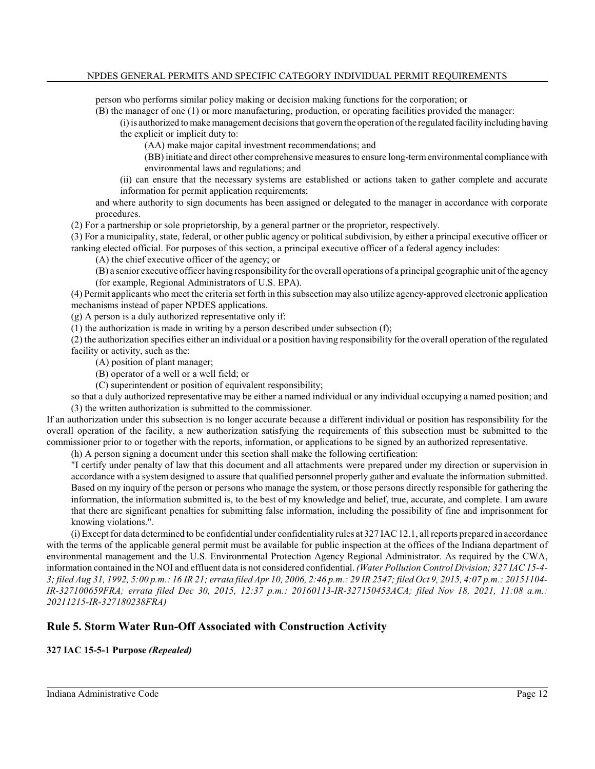person who performs similar policy making or decision making functions for the corporation; or

(B) the manager of one (1) or more manufacturing, production, or operating facilities provided the manager:

(i) is authorized to make management decisions that govern the operation of the regulated facilityincluding having the explicit or implicit duty to:

(AA) make major capital investment recommendations; and

(BB) initiate and direct other comprehensive measures to ensure long-termenvironmental compliance with environmental laws and regulations; and

(ii) can ensure that the necessary systems are established or actions taken to gather complete and accurate information for permit application requirements;

and where authority to sign documents has been assigned or delegated to the manager in accordance with corporate procedures.

(2) For a partnership or sole proprietorship, by a general partner or the proprietor, respectively.

(3) For a municipality, state, federal, or other public agency or political subdivision, by either a principal executive officer or ranking elected official. For purposes of this section, a principal executive officer of a federal agency includes:

(A) the chief executive officer of the agency; or

(B) a senior executive officer having responsibility for the overall operations of a principal geographic unit of the agency (for example, Regional Administrators of U.S. EPA).

(4) Permit applicants who meet the criteria set forth in thissubsection may also utilize agency-approved electronic application mechanisms instead of paper NPDES applications.

(g) A person is a duly authorized representative only if:

(1) the authorization is made in writing by a person described under subsection (f);

(2) the authorization specifies either an individual or a position having responsibility for the overall operation of the regulated facility or activity, such as the:

(A) position of plant manager;

(B) operator of a well or a well field; or

(C) superintendent or position of equivalent responsibility;

so that a duly authorized representative may be either a named individual or any individual occupying a named position; and (3) the written authorization is submitted to the commissioner.

If an authorization under this subsection is no longer accurate because a different individual or position has responsibility for the overall operation of the facility, a new authorization satisfying the requirements of this subsection must be submitted to the commissioner prior to or together with the reports, information, or applications to be signed by an authorized representative.

(h) A person signing a document under this section shall make the following certification:

"I certify under penalty of law that this document and all attachments were prepared under my direction or supervision in accordance with a system designed to assure that qualified personnel properly gather and evaluate the information submitted. Based on my inquiry of the person or persons who manage the system, or those persons directly responsible for gathering the information, the information submitted is, to the best of my knowledge and belief, true, accurate, and complete. I am aware that there are significant penalties for submitting false information, including the possibility of fine and imprisonment for knowing violations.".

(i) Except for data determined to be confidential under confidentiality rules at 327 IAC12.1, all reports prepared in accordance with the terms of the applicable general permit must be available for public inspection at the offices of the Indiana department of environmental management and the U.S. Environmental Protection Agency Regional Administrator. As required by the CWA, information contained in the NOI and effluent data is not considered confidential. *(Water Pollution Control Division; 327 IAC 15-4- 3; filed Aug 31, 1992, 5:00 p.m.: 16 IR 21; errata filed Apr 10, 2006, 2:46 p.m.: 29 IR 2547; filed Oct 9, 2015, 4:07 p.m.: 20151104- IR-327100659FRA; errata filed Dec 30, 2015, 12:37 p.m.: 20160113-IR-327150453ACA; filed Nov 18, 2021, 11:08 a.m.: 20211215-IR-327180238FRA)*

## **Rule 5. Storm Water Run-Off Associated with Construction Activity**

**327 IAC 15-5-1 Purpose** *(Repealed)*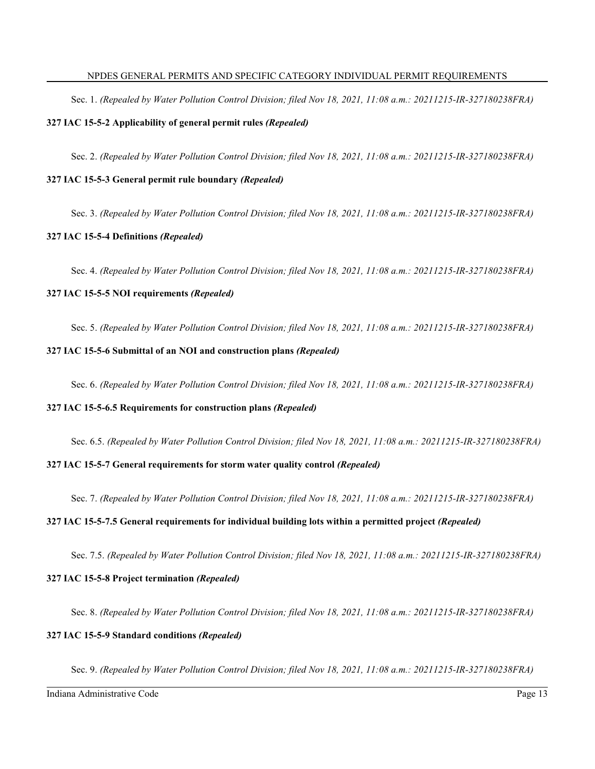Sec. 1. *(Repealed by Water Pollution Control Division; filed Nov 18, 2021, 11:08 a.m.: 20211215-IR-327180238FRA)*

## **327 IAC 15-5-2 Applicability of general permit rules** *(Repealed)*

Sec. 2. *(Repealed by Water Pollution Control Division; filed Nov 18, 2021, 11:08 a.m.: 20211215-IR-327180238FRA)*

## **327 IAC 15-5-3 General permit rule boundary** *(Repealed)*

Sec. 3. *(Repealed by Water Pollution Control Division; filed Nov 18, 2021, 11:08 a.m.: 20211215-IR-327180238FRA)*

### **327 IAC 15-5-4 Definitions** *(Repealed)*

Sec. 4. *(Repealed by Water Pollution Control Division; filed Nov 18, 2021, 11:08 a.m.: 20211215-IR-327180238FRA)*

## **327 IAC 15-5-5 NOI requirements** *(Repealed)*

Sec. 5. *(Repealed by Water Pollution Control Division; filed Nov 18, 2021, 11:08 a.m.: 20211215-IR-327180238FRA)*

### **327 IAC 15-5-6 Submittal of an NOI and construction plans** *(Repealed)*

Sec. 6. *(Repealed by Water Pollution Control Division; filed Nov 18, 2021, 11:08 a.m.: 20211215-IR-327180238FRA)*

### **327 IAC 15-5-6.5 Requirements for construction plans** *(Repealed)*

Sec. 6.5. *(Repealed by Water Pollution Control Division; filed Nov 18, 2021, 11:08 a.m.: 20211215-IR-327180238FRA)*

### **327 IAC 15-5-7 General requirements for storm water quality control** *(Repealed)*

Sec. 7. *(Repealed by Water Pollution Control Division; filed Nov 18, 2021, 11:08 a.m.: 20211215-IR-327180238FRA)*

### **327 IAC 15-5-7.5 General requirements for individual building lots within a permitted project** *(Repealed)*

Sec. 7.5. *(Repealed by Water Pollution Control Division; filed Nov 18, 2021, 11:08 a.m.: 20211215-IR-327180238FRA)* **327 IAC 15-5-8 Project termination** *(Repealed)*

Sec. 8. *(Repealed by Water Pollution Control Division; filed Nov 18, 2021, 11:08 a.m.: 20211215-IR-327180238FRA)*

## **327 IAC 15-5-9 Standard conditions** *(Repealed)*

Sec. 9. *(Repealed by Water Pollution Control Division; filed Nov 18, 2021, 11:08 a.m.: 20211215-IR-327180238FRA)*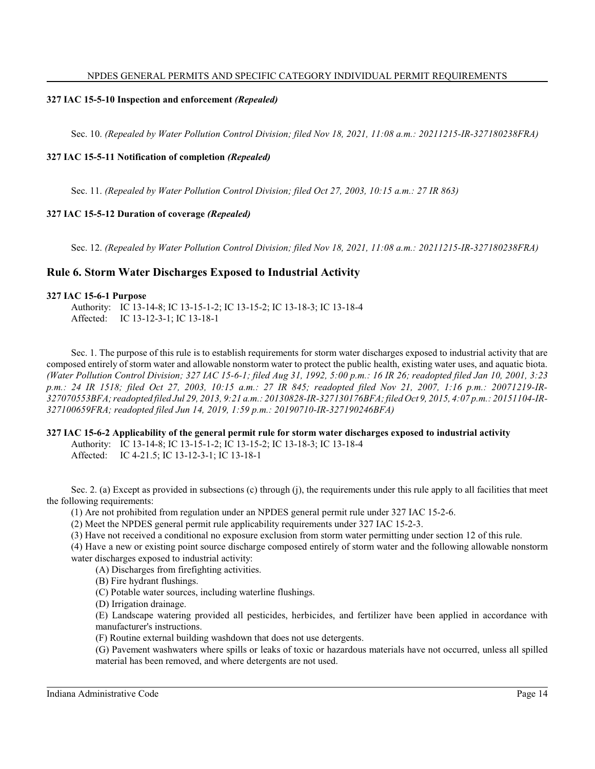## **327 IAC 15-5-10 Inspection and enforcement** *(Repealed)*

Sec. 10. *(Repealed by Water Pollution Control Division; filed Nov 18, 2021, 11:08 a.m.: 20211215-IR-327180238FRA)*

## **327 IAC 15-5-11 Notification of completion** *(Repealed)*

Sec. 11. *(Repealed by Water Pollution Control Division; filed Oct 27, 2003, 10:15 a.m.: 27 IR 863)*

## **327 IAC 15-5-12 Duration of coverage** *(Repealed)*

Sec. 12. *(Repealed by Water Pollution Control Division; filed Nov 18, 2021, 11:08 a.m.: 20211215-IR-327180238FRA)*

## **Rule 6. Storm Water Discharges Exposed to Industrial Activity**

### **327 IAC 15-6-1 Purpose**

Authority: IC 13-14-8; IC 13-15-1-2; IC 13-15-2; IC 13-18-3; IC 13-18-4 Affected: IC 13-12-3-1; IC 13-18-1

Sec. 1. The purpose of this rule is to establish requirements for storm water discharges exposed to industrial activity that are composed entirely of storm water and allowable nonstorm water to protect the public health, existing water uses, and aquatic biota. *(Water Pollution Control Division; 327 IAC 15-6-1; filed Aug 31, 1992, 5:00 p.m.: 16 IR 26; readopted filed Jan 10, 2001, 3:23 p.m.: 24 IR 1518; filed Oct 27, 2003, 10:15 a.m.: 27 IR 845; readopted filed Nov 21, 2007, 1:16 p.m.: 20071219-IR-327070553BFA; readopted filed Jul 29, 2013, 9:21 a.m.: 20130828-IR-327130176BFA; filed Oct 9, 2015, 4:07 p.m.: 20151104-IR-327100659FRA; readopted filed Jun 14, 2019, 1:59 p.m.: 20190710-IR-327190246BFA)*

## **327 IAC 15-6-2 Applicability of the general permit rule for storm water discharges exposed to industrial activity**

Authority: IC 13-14-8; IC 13-15-1-2; IC 13-15-2; IC 13-18-3; IC 13-18-4

Affected: IC 4-21.5; IC 13-12-3-1; IC 13-18-1

Sec. 2. (a) Except as provided in subsections (c) through (j), the requirements under this rule apply to all facilities that meet the following requirements:

(1) Are not prohibited from regulation under an NPDES general permit rule under 327 IAC 15-2-6.

(2) Meet the NPDES general permit rule applicability requirements under 327 IAC 15-2-3.

(3) Have not received a conditional no exposure exclusion from storm water permitting under section 12 of this rule.

(4) Have a new or existing point source discharge composed entirely of storm water and the following allowable nonstorm water discharges exposed to industrial activity:

(A) Discharges from firefighting activities.

(B) Fire hydrant flushings.

(C) Potable water sources, including waterline flushings.

(D) Irrigation drainage.

(E) Landscape watering provided all pesticides, herbicides, and fertilizer have been applied in accordance with manufacturer's instructions.

(F) Routine external building washdown that does not use detergents.

(G) Pavement washwaters where spills or leaks of toxic or hazardous materials have not occurred, unless all spilled material has been removed, and where detergents are not used.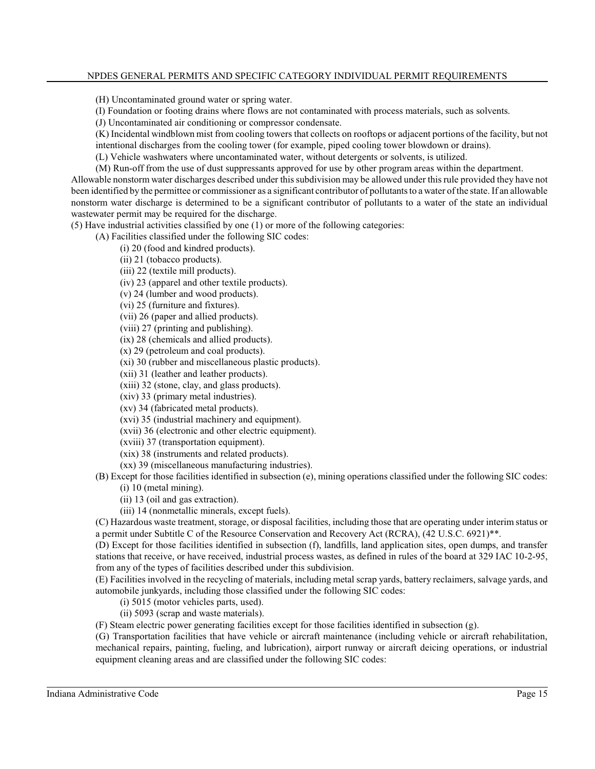(H) Uncontaminated ground water or spring water.

(I) Foundation or footing drains where flows are not contaminated with process materials, such as solvents.

(J) Uncontaminated air conditioning or compressor condensate.

(K) Incidental windblown mist from cooling towers that collects on rooftops or adjacent portions of the facility, but not

intentional discharges from the cooling tower (for example, piped cooling tower blowdown or drains).

(L) Vehicle washwaters where uncontaminated water, without detergents or solvents, is utilized.

(M) Run-off from the use of dust suppressants approved for use by other program areas within the department. Allowable nonstorm water discharges described under this subdivision may be allowed under this rule provided they have not

been identified by the permittee or commissioner as a significant contributor of pollutants to a water of the state. If an allowable nonstorm water discharge is determined to be a significant contributor of pollutants to a water of the state an individual wastewater permit may be required for the discharge.

(5) Have industrial activities classified by one (1) or more of the following categories:

(A) Facilities classified under the following SIC codes:

(i) 20 (food and kindred products).

(ii) 21 (tobacco products).

(iii) 22 (textile mill products).

(iv) 23 (apparel and other textile products).

(v) 24 (lumber and wood products).

(vi) 25 (furniture and fixtures).

(vii) 26 (paper and allied products).

(viii) 27 (printing and publishing).

(ix) 28 (chemicals and allied products).

(x) 29 (petroleum and coal products).

(xi) 30 (rubber and miscellaneous plastic products).

(xii) 31 (leather and leather products).

(xiii) 32 (stone, clay, and glass products).

(xiv) 33 (primary metal industries).

(xv) 34 (fabricated metal products).

(xvi) 35 (industrial machinery and equipment).

(xvii) 36 (electronic and other electric equipment).

(xviii) 37 (transportation equipment).

(xix) 38 (instruments and related products).

(xx) 39 (miscellaneous manufacturing industries).

(B) Except for those facilities identified in subsection (e), mining operations classified under the following SIC codes: (i) 10 (metal mining).

(ii) 13 (oil and gas extraction).

(iii) 14 (nonmetallic minerals, except fuels).

(C) Hazardous waste treatment, storage, or disposal facilities, including those that are operating under interim status or a permit under Subtitle C of the Resource Conservation and Recovery Act (RCRA), (42 U.S.C. 6921)\*\*.

(D) Except for those facilities identified in subsection (f), landfills, land application sites, open dumps, and transfer stations that receive, or have received, industrial process wastes, as defined in rules of the board at 329 IAC 10-2-95, from any of the types of facilities described under this subdivision.

(E) Facilities involved in the recycling of materials, including metal scrap yards, battery reclaimers, salvage yards, and automobile junkyards, including those classified under the following SIC codes:

(i) 5015 (motor vehicles parts, used).

(ii) 5093 (scrap and waste materials).

(F) Steam electric power generating facilities except for those facilities identified in subsection (g).

(G) Transportation facilities that have vehicle or aircraft maintenance (including vehicle or aircraft rehabilitation, mechanical repairs, painting, fueling, and lubrication), airport runway or aircraft deicing operations, or industrial equipment cleaning areas and are classified under the following SIC codes: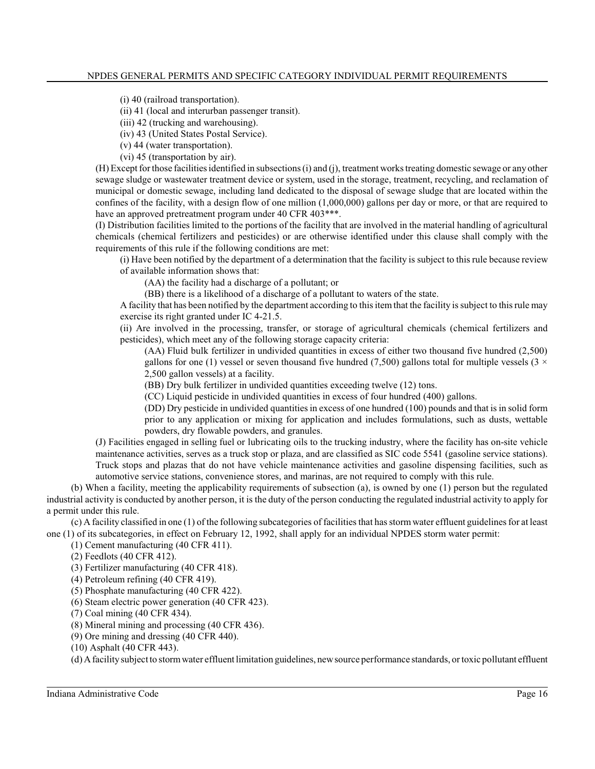(i) 40 (railroad transportation).

(ii) 41 (local and interurban passenger transit).

(iii) 42 (trucking and warehousing).

(iv) 43 (United States Postal Service).

(v) 44 (water transportation).

(vi) 45 (transportation by air).

(H) Except for those facilitiesidentified in subsections (i) and (j), treatment works treating domestic sewage or any other sewage sludge or wastewater treatment device or system, used in the storage, treatment, recycling, and reclamation of municipal or domestic sewage, including land dedicated to the disposal of sewage sludge that are located within the confines of the facility, with a design flow of one million (1,000,000) gallons per day or more, or that are required to have an approved pretreatment program under 40 CFR 403\*\*\*.

(I) Distribution facilities limited to the portions of the facility that are involved in the material handling of agricultural chemicals (chemical fertilizers and pesticides) or are otherwise identified under this clause shall comply with the requirements of this rule if the following conditions are met:

(i) Have been notified by the department of a determination that the facility is subject to thisrule because review of available information shows that:

(AA) the facility had a discharge of a pollutant; or

(BB) there is a likelihood of a discharge of a pollutant to waters of the state.

A facility that has been notified by the department according to thisitemthat the facility is subject to thisrule may exercise its right granted under IC 4-21.5.

(ii) Are involved in the processing, transfer, or storage of agricultural chemicals (chemical fertilizers and pesticides), which meet any of the following storage capacity criteria:

(AA) Fluid bulk fertilizer in undivided quantities in excess of either two thousand five hundred (2,500) gallons for one (1) vessel or seven thousand five hundred (7,500) gallons total for multiple vessels (3  $\times$ 2,500 gallon vessels) at a facility.

(BB) Dry bulk fertilizer in undivided quantities exceeding twelve (12) tons.

(CC) Liquid pesticide in undivided quantities in excess of four hundred (400) gallons.

(DD) Dry pesticide in undivided quantities in excess of one hundred (100) pounds and that is in solid form prior to any application or mixing for application and includes formulations, such as dusts, wettable powders, dry flowable powders, and granules.

(J) Facilities engaged in selling fuel or lubricating oils to the trucking industry, where the facility has on-site vehicle maintenance activities, serves as a truck stop or plaza, and are classified as SIC code 5541 (gasoline service stations). Truck stops and plazas that do not have vehicle maintenance activities and gasoline dispensing facilities, such as automotive service stations, convenience stores, and marinas, are not required to comply with this rule.

(b) When a facility, meeting the applicability requirements of subsection (a), is owned by one (1) person but the regulated industrial activity is conducted by another person, it is the duty of the person conducting the regulated industrial activity to apply for a permit under this rule.

(c) A facility classified in one (1) of the following subcategories of facilitiesthat has storm water effluent guidelines for at least one (1) of its subcategories, in effect on February 12, 1992, shall apply for an individual NPDES storm water permit:

(1) Cement manufacturing (40 CFR 411).

(2) Feedlots (40 CFR 412).

(3) Fertilizer manufacturing (40 CFR 418).

(4) Petroleum refining (40 CFR 419).

(5) Phosphate manufacturing (40 CFR 422).

(6) Steam electric power generation (40 CFR 423).

(7) Coal mining (40 CFR 434).

(8) Mineral mining and processing (40 CFR 436).

(9) Ore mining and dressing (40 CFR 440).

(10) Asphalt (40 CFR 443).

(d) Afacilitysubject to stormwater effluent limitation guidelines, newsource performance standards, ortoxic pollutant effluent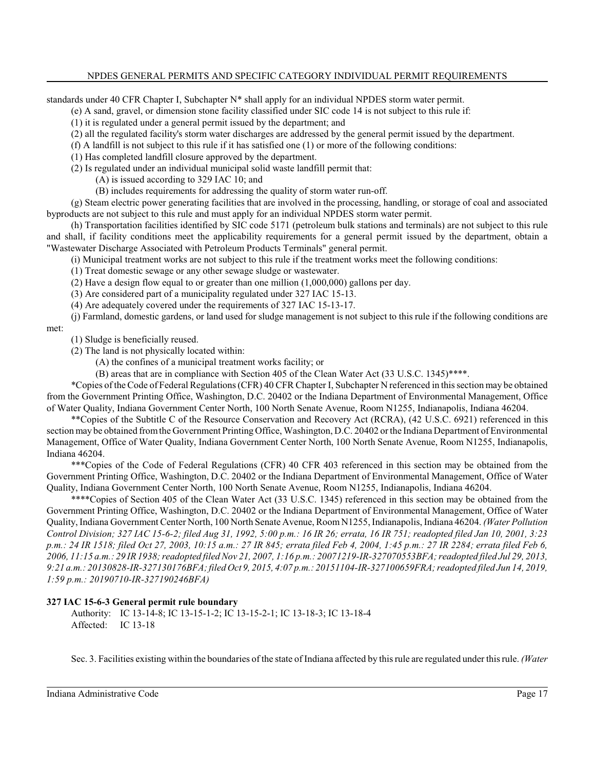standards under 40 CFR Chapter I, Subchapter N\* shall apply for an individual NPDES storm water permit.

- (e) A sand, gravel, or dimension stone facility classified under SIC code 14 is not subject to this rule if:
	- (1) it is regulated under a general permit issued by the department; and
	- (2) all the regulated facility's storm water discharges are addressed by the general permit issued by the department.
	- (f) A landfill is not subject to this rule if it has satisfied one (1) or more of the following conditions:
	- (1) Has completed landfill closure approved by the department.
	- (2) Is regulated under an individual municipal solid waste landfill permit that:
		- (A) is issued according to 329 IAC 10; and
		- (B) includes requirements for addressing the quality of storm water run-off.

(g) Steam electric power generating facilities that are involved in the processing, handling, or storage of coal and associated byproducts are not subject to this rule and must apply for an individual NPDES storm water permit.

(h) Transportation facilities identified by SIC code 5171 (petroleum bulk stations and terminals) are not subject to this rule and shall, if facility conditions meet the applicability requirements for a general permit issued by the department, obtain a "Wastewater Discharge Associated with Petroleum Products Terminals" general permit.

(i) Municipal treatment works are not subject to this rule if the treatment works meet the following conditions:

(1) Treat domestic sewage or any other sewage sludge or wastewater.

- (2) Have a design flow equal to or greater than one million (1,000,000) gallons per day.
- (3) Are considered part of a municipality regulated under 327 IAC 15-13.

(4) Are adequately covered under the requirements of 327 IAC 15-13-17.

(j) Farmland, domestic gardens, or land used for sludge management is not subject to this rule if the following conditions are met:

(1) Sludge is beneficially reused.

(2) The land is not physically located within:

(A) the confines of a municipal treatment works facility; or

(B) areas that are in compliance with Section 405 of the Clean Water Act (33 U.S.C. 1345)\*\*\*\*.

\*Copies of the Code of Federal Regulations (CFR) 40 CFR Chapter I, Subchapter N referenced in thissection may be obtained from the Government Printing Office, Washington, D.C. 20402 or the Indiana Department of Environmental Management, Office of Water Quality, Indiana Government Center North, 100 North Senate Avenue, Room N1255, Indianapolis, Indiana 46204.

\*\*Copies of the Subtitle C of the Resource Conservation and Recovery Act (RCRA), (42 U.S.C. 6921) referenced in this section may be obtained fromthe Government Printing Office, Washington, D.C. 20402 orthe Indiana Department of Environmental Management, Office of Water Quality, Indiana Government Center North, 100 North Senate Avenue, Room N1255, Indianapolis, Indiana 46204.

\*\*\*Copies of the Code of Federal Regulations (CFR) 40 CFR 403 referenced in this section may be obtained from the Government Printing Office, Washington, D.C. 20402 or the Indiana Department of Environmental Management, Office of Water Quality, Indiana Government Center North, 100 North Senate Avenue, Room N1255, Indianapolis, Indiana 46204.

\*\*\*\*Copies of Section 405 of the Clean Water Act (33 U.S.C. 1345) referenced in this section may be obtained from the Government Printing Office, Washington, D.C. 20402 or the Indiana Department of Environmental Management, Office of Water Quality, Indiana Government Center North, 100 North Senate Avenue, Room N1255, Indianapolis, Indiana 46204. *(Water Pollution Control Division; 327 IAC 15-6-2; filed Aug 31, 1992, 5:00 p.m.: 16 IR 26; errata, 16 IR 751; readopted filed Jan 10, 2001, 3:23 p.m.: 24 IR 1518; filed Oct 27, 2003, 10:15 a.m.: 27 IR 845; errata filed Feb 4, 2004, 1:45 p.m.: 27 IR 2284; errata filed Feb 6, 2006, 11:15 a.m.: 29 IR 1938; readopted filed Nov 21, 2007, 1:16 p.m.: 20071219-IR-327070553BFA; readopted filed Jul 29, 2013, 9:21 a.m.: 20130828-IR-327130176BFA; filed Oct 9, 2015, 4:07 p.m.: 20151104-IR-327100659FRA; readopted filed Jun 14, 2019, 1:59 p.m.: 20190710-IR-327190246BFA)*

### **327 IAC 15-6-3 General permit rule boundary**

Authority: IC 13-14-8; IC 13-15-1-2; IC 13-15-2-1; IC 13-18-3; IC 13-18-4 Affected: IC 13-18

Sec. 3. Facilities existing within the boundaries of the state of Indiana affected by thisrule are regulated under thisrule. *(Water*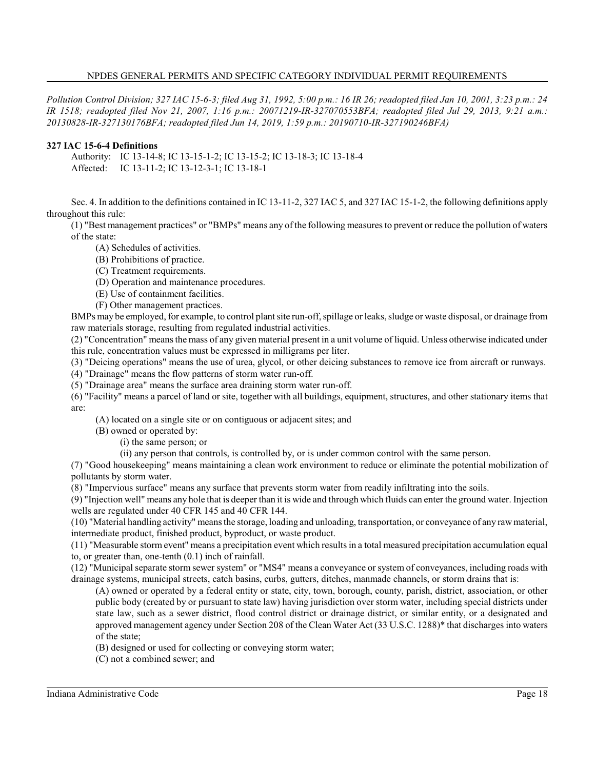*Pollution Control Division; 327 IAC 15-6-3; filed Aug 31, 1992, 5:00 p.m.: 16 IR 26; readopted filed Jan 10, 2001, 3:23 p.m.: 24 IR 1518; readopted filed Nov 21, 2007, 1:16 p.m.: 20071219-IR-327070553BFA; readopted filed Jul 29, 2013, 9:21 a.m.: 20130828-IR-327130176BFA; readopted filed Jun 14, 2019, 1:59 p.m.: 20190710-IR-327190246BFA)*

#### **327 IAC 15-6-4 Definitions**

Authority: IC 13-14-8; IC 13-15-1-2; IC 13-15-2; IC 13-18-3; IC 13-18-4 Affected: IC 13-11-2; IC 13-12-3-1; IC 13-18-1

Sec. 4. In addition to the definitions contained in IC 13-11-2, 327 IAC 5, and 327 IAC 15-1-2, the following definitions apply throughout this rule:

(1) "Best management practices" or "BMPs" means any of the following measures to prevent or reduce the pollution of waters of the state:

(A) Schedules of activities.

(B) Prohibitions of practice.

(C) Treatment requirements.

(D) Operation and maintenance procedures.

(E) Use of containment facilities.

(F) Other management practices.

BMPs may be employed, for example, to control plant site run-off, spillage or leaks, sludge or waste disposal, or drainage from raw materials storage, resulting from regulated industrial activities.

(2) "Concentration" means the mass of any given material present in a unit volume of liquid. Unless otherwise indicated under this rule, concentration values must be expressed in milligrams per liter.

(3) "Deicing operations" means the use of urea, glycol, or other deicing substances to remove ice from aircraft or runways.

(4) "Drainage" means the flow patterns of storm water run-off.

(5) "Drainage area" means the surface area draining storm water run-off.

(6) "Facility" means a parcel of land or site, together with all buildings, equipment, structures, and other stationary items that are:

(A) located on a single site or on contiguous or adjacent sites; and

(B) owned or operated by:

(i) the same person; or

(ii) any person that controls, is controlled by, or is under common control with the same person.

(7) "Good housekeeping" means maintaining a clean work environment to reduce or eliminate the potential mobilization of pollutants by storm water.

(8) "Impervious surface" means any surface that prevents storm water from readily infiltrating into the soils.

(9) "Injection well" means any hole that is deeper than it is wide and through which fluids can enter the ground water. Injection wells are regulated under 40 CFR 145 and 40 CFR 144.

(10) "Material handling activity" means the storage, loading and unloading, transportation, or conveyance of any rawmaterial, intermediate product, finished product, byproduct, or waste product.

(11) "Measurable storm event" means a precipitation event which results in a total measured precipitation accumulation equal to, or greater than, one-tenth (0.1) inch of rainfall.

(12) "Municipal separate storm sewer system" or "MS4" means a conveyance or system of conveyances, including roads with drainage systems, municipal streets, catch basins, curbs, gutters, ditches, manmade channels, or storm drains that is:

(A) owned or operated by a federal entity or state, city, town, borough, county, parish, district, association, or other public body (created by or pursuant to state law) having jurisdiction over storm water, including special districts under state law, such as a sewer district, flood control district or drainage district, or similar entity, or a designated and approved management agency under Section 208 of the Clean Water Act (33 U.S.C. 1288)\* that discharges into waters of the state;

(B) designed or used for collecting or conveying storm water;

(C) not a combined sewer; and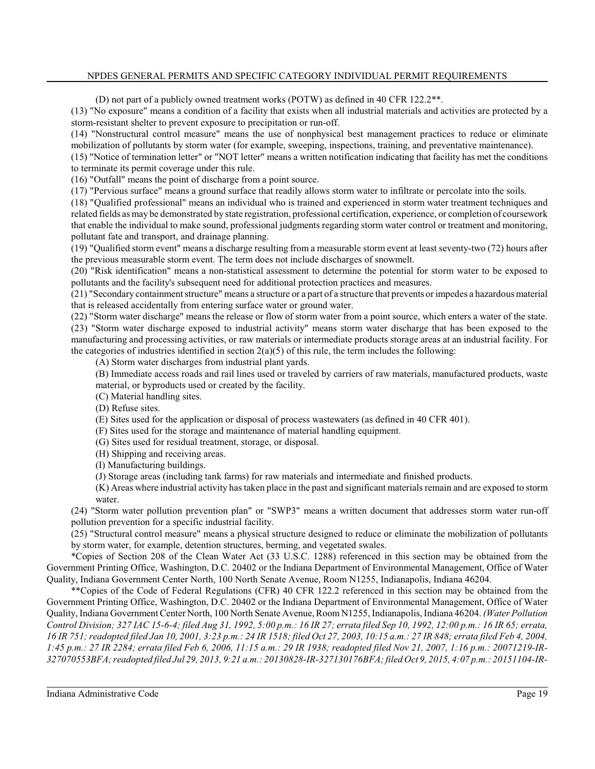(D) not part of a publicly owned treatment works (POTW) as defined in 40 CFR 122.2\*\*.

(13) "No exposure" means a condition of a facility that exists when all industrial materials and activities are protected by a storm-resistant shelter to prevent exposure to precipitation or run-off.

(14) "Nonstructural control measure" means the use of nonphysical best management practices to reduce or eliminate mobilization of pollutants by storm water (for example, sweeping, inspections, training, and preventative maintenance).

(15) "Notice of termination letter" or "NOT letter" means a written notification indicating that facility has met the conditions to terminate its permit coverage under this rule.

(16) "Outfall" means the point of discharge from a point source.

(17) "Pervious surface" means a ground surface that readily allows storm water to infiltrate or percolate into the soils.

(18) "Qualified professional" means an individual who is trained and experienced in storm water treatment techniques and related fields as may be demonstrated by state registration, professional certification, experience, or completion of coursework that enable the individual to make sound, professional judgments regarding storm water control or treatment and monitoring, pollutant fate and transport, and drainage planning.

(19) "Qualified storm event" means a discharge resulting from a measurable storm event at least seventy-two (72) hours after the previous measurable storm event. The term does not include discharges of snowmelt.

(20) "Risk identification" means a non-statistical assessment to determine the potential for storm water to be exposed to pollutants and the facility's subsequent need for additional protection practices and measures.

(21) "Secondary containment structure" means a structure or a part of a structure that prevents or impedes a hazardous material that is released accidentally from entering surface water or ground water.

(22) "Storm water discharge" means the release or flow of storm water from a point source, which enters a water of the state. (23) "Storm water discharge exposed to industrial activity" means storm water discharge that has been exposed to the manufacturing and processing activities, or raw materials or intermediate products storage areas at an industrial facility. For the categories of industries identified in section  $2(a)(5)$  of this rule, the term includes the following:

(A) Storm water discharges from industrial plant yards.

(B) Immediate access roads and rail lines used or traveled by carriers of raw materials, manufactured products, waste material, or byproducts used or created by the facility.

(C) Material handling sites.

(D) Refuse sites.

(E) Sites used for the application or disposal of process wastewaters (as defined in 40 CFR 401).

(F) Sites used for the storage and maintenance of material handling equipment.

(G) Sites used for residual treatment, storage, or disposal.

(H) Shipping and receiving areas.

(I) Manufacturing buildings.

(J) Storage areas (including tank farms) for raw materials and intermediate and finished products.

(K) Areas where industrial activity has taken place in the past and significant materials remain and are exposed to storm water.

(24) "Storm water pollution prevention plan" or "SWP3" means a written document that addresses storm water run-off pollution prevention for a specific industrial facility.

(25) "Structural control measure" means a physical structure designed to reduce or eliminate the mobilization of pollutants by storm water, for example, detention structures, berming, and vegetated swales.

\*Copies of Section 208 of the Clean Water Act (33 U.S.C. 1288) referenced in this section may be obtained from the Government Printing Office, Washington, D.C. 20402 or the Indiana Department of Environmental Management, Office of Water Quality, Indiana Government Center North, 100 North Senate Avenue, Room N1255, Indianapolis, Indiana 46204.

\*\*Copies of the Code of Federal Regulations (CFR) 40 CFR 122.2 referenced in this section may be obtained from the Government Printing Office, Washington, D.C. 20402 or the Indiana Department of Environmental Management, Office of Water Quality, Indiana Government Center North, 100 North Senate Avenue, Room N1255, Indianapolis, Indiana 46204. *(Water Pollution Control Division; 327 IAC 15-6-4; filed Aug 31, 1992, 5:00 p.m.: 16 IR 27; errata filed Sep 10, 1992, 12:00 p.m.: 16 IR 65; errata, 16 IR 751; readopted filed Jan 10, 2001, 3:23 p.m.: 24 IR 1518; filed Oct 27, 2003, 10:15 a.m.: 27 IR 848; errata filed Feb 4, 2004, 1:45 p.m.: 27 IR 2284; errata filed Feb 6, 2006, 11:15 a.m.: 29 IR 1938; readopted filed Nov 21, 2007, 1:16 p.m.: 20071219-IR-327070553BFA; readopted filed Jul 29, 2013, 9:21 a.m.: 20130828-IR-327130176BFA; filed Oct 9, 2015, 4:07 p.m.: 20151104-IR-*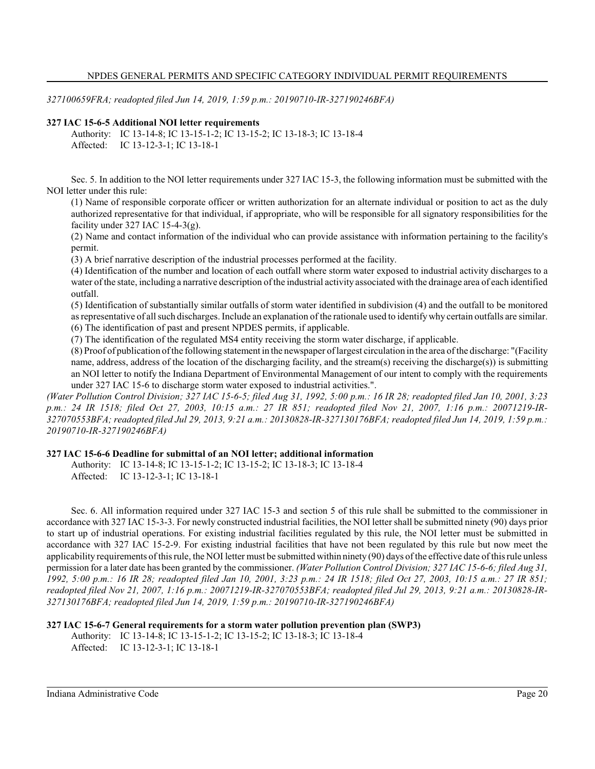*327100659FRA; readopted filed Jun 14, 2019, 1:59 p.m.: 20190710-IR-327190246BFA)*

#### **327 IAC 15-6-5 Additional NOI letter requirements**

Authority: IC 13-14-8; IC 13-15-1-2; IC 13-15-2; IC 13-18-3; IC 13-18-4

Affected: IC 13-12-3-1; IC 13-18-1

Sec. 5. In addition to the NOI letter requirements under 327 IAC 15-3, the following information must be submitted with the NOI letter under this rule:

(1) Name of responsible corporate officer or written authorization for an alternate individual or position to act as the duly authorized representative for that individual, if appropriate, who will be responsible for all signatory responsibilities for the facility under  $327$  IAC  $15-4-3(g)$ .

(2) Name and contact information of the individual who can provide assistance with information pertaining to the facility's permit.

(3) A brief narrative description of the industrial processes performed at the facility.

(4) Identification of the number and location of each outfall where storm water exposed to industrial activity discharges to a water of the state, including a narrative description of the industrial activity associated with the drainage area of each identified outfall.

(5) Identification of substantially similar outfalls of storm water identified in subdivision (4) and the outfall to be monitored as representative of all such discharges. Include an explanation of the rationale used to identifywhy certain outfalls are similar.

(6) The identification of past and present NPDES permits, if applicable.

(7) The identification of the regulated MS4 entity receiving the storm water discharge, if applicable.

(8) Proof of publication of the following statement in the newspaper of largest circulation in the area of the discharge: "(Facility name, address, address of the location of the discharging facility, and the stream(s) receiving the discharge(s)) is submitting an NOI letter to notify the Indiana Department of Environmental Management of our intent to comply with the requirements under 327 IAC 15-6 to discharge storm water exposed to industrial activities.".

*(Water Pollution Control Division; 327 IAC 15-6-5; filed Aug 31, 1992, 5:00 p.m.: 16 IR 28; readopted filed Jan 10, 2001, 3:23 p.m.: 24 IR 1518; filed Oct 27, 2003, 10:15 a.m.: 27 IR 851; readopted filed Nov 21, 2007, 1:16 p.m.: 20071219-IR-327070553BFA; readopted filed Jul 29, 2013, 9:21 a.m.: 20130828-IR-327130176BFA; readopted filed Jun 14, 2019, 1:59 p.m.: 20190710-IR-327190246BFA)*

### **327 IAC 15-6-6 Deadline for submittal of an NOI letter; additional information**

Authority: IC 13-14-8; IC 13-15-1-2; IC 13-15-2; IC 13-18-3; IC 13-18-4 Affected: IC 13-12-3-1; IC 13-18-1

Sec. 6. All information required under 327 IAC 15-3 and section 5 of this rule shall be submitted to the commissioner in accordance with 327 IAC 15-3-3. For newly constructed industrial facilities, the NOI letter shall be submitted ninety (90) days prior to start up of industrial operations. For existing industrial facilities regulated by this rule, the NOI letter must be submitted in accordance with 327 IAC 15-2-9. For existing industrial facilities that have not been regulated by this rule but now meet the applicability requirements of thisrule, the NOI letter must be submitted within ninety (90) days of the effective date of thisrule unless permission for a later date has been granted by the commissioner. *(Water Pollution Control Division; 327 IAC 15-6-6; filed Aug 31, 1992, 5:00 p.m.: 16 IR 28; readopted filed Jan 10, 2001, 3:23 p.m.: 24 IR 1518; filed Oct 27, 2003, 10:15 a.m.: 27 IR 851; readopted filed Nov 21, 2007, 1:16 p.m.: 20071219-IR-327070553BFA; readopted filed Jul 29, 2013, 9:21 a.m.: 20130828-IR-327130176BFA; readopted filed Jun 14, 2019, 1:59 p.m.: 20190710-IR-327190246BFA)*

### **327 IAC 15-6-7 General requirements for a storm water pollution prevention plan (SWP3)**

Authority: IC 13-14-8; IC 13-15-1-2; IC 13-15-2; IC 13-18-3; IC 13-18-4 Affected: IC 13-12-3-1; IC 13-18-1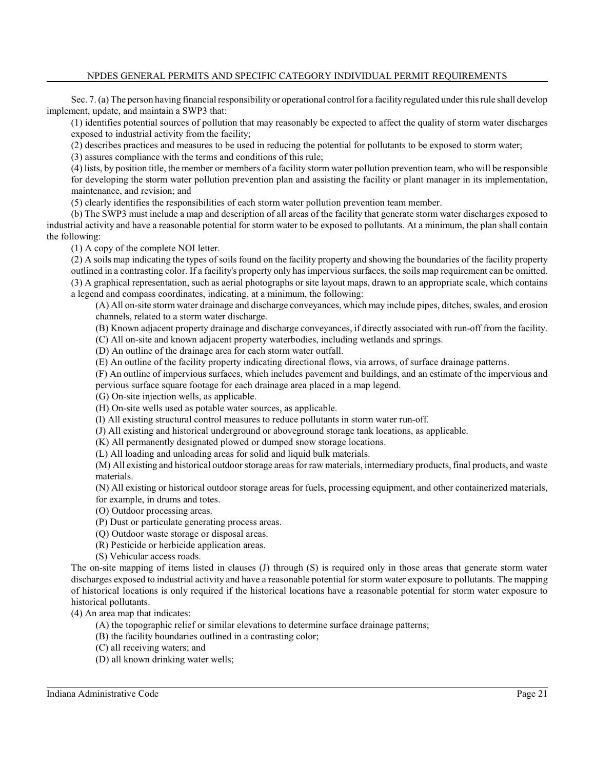Sec. 7. (a) The person having financial responsibility or operational control for a facility regulated under thisrule shall develop implement, update, and maintain a SWP3 that:

(1) identifies potential sources of pollution that may reasonably be expected to affect the quality of storm water discharges exposed to industrial activity from the facility;

(2) describes practices and measures to be used in reducing the potential for pollutants to be exposed to storm water;

(3) assures compliance with the terms and conditions of this rule;

(4) lists, by position title, the member or members of a facility storm water pollution prevention team, who will be responsible for developing the storm water pollution prevention plan and assisting the facility or plant manager in its implementation, maintenance, and revision; and

(5) clearly identifies the responsibilities of each storm water pollution prevention team member.

(b) The SWP3 must include a map and description of all areas of the facility that generate storm water discharges exposed to industrial activity and have a reasonable potential for storm water to be exposed to pollutants. At a minimum, the plan shall contain the following:

(1) A copy of the complete NOI letter.

(2) A soils map indicating the types of soils found on the facility property and showing the boundaries of the facility property outlined in a contrasting color. If a facility's property only has impervioussurfaces, the soils map requirement can be omitted. (3) A graphical representation, such as aerial photographs or site layout maps, drawn to an appropriate scale, which contains a legend and compass coordinates, indicating, at a minimum, the following:

(A) All on-site storm water drainage and discharge conveyances, which may include pipes, ditches, swales, and erosion channels, related to a storm water discharge.

(B) Known adjacent property drainage and discharge conveyances, if directly associated with run-off from the facility.

(C) All on-site and known adjacent property waterbodies, including wetlands and springs.

(D) An outline of the drainage area for each storm water outfall.

(E) An outline of the facility property indicating directional flows, via arrows, of surface drainage patterns.

(F) An outline of impervious surfaces, which includes pavement and buildings, and an estimate of the impervious and pervious surface square footage for each drainage area placed in a map legend.

(G) On-site injection wells, as applicable.

(H) On-site wells used as potable water sources, as applicable.

(I) All existing structural control measures to reduce pollutants in storm water run-off.

(J) All existing and historical underground or aboveground storage tank locations, as applicable.

(K) All permanently designated plowed or dumped snow storage locations.

(L) All loading and unloading areas for solid and liquid bulk materials.

(M) All existing and historical outdoorstorage areas for raw materials, intermediary products, final products, and waste materials.

(N) All existing or historical outdoor storage areas for fuels, processing equipment, and other containerized materials,

for example, in drums and totes.

(O) Outdoor processing areas.

(P) Dust or particulate generating process areas.

(Q) Outdoor waste storage or disposal areas.

(R) Pesticide or herbicide application areas.

(S) Vehicular access roads.

The on-site mapping of items listed in clauses (J) through (S) is required only in those areas that generate storm water discharges exposed to industrial activity and have a reasonable potential for storm water exposure to pollutants. The mapping of historical locations is only required if the historical locations have a reasonable potential for storm water exposure to historical pollutants.

(4) An area map that indicates:

- (A) the topographic relief or similar elevations to determine surface drainage patterns;
- (B) the facility boundaries outlined in a contrasting color;
- (C) all receiving waters; and
- (D) all known drinking water wells;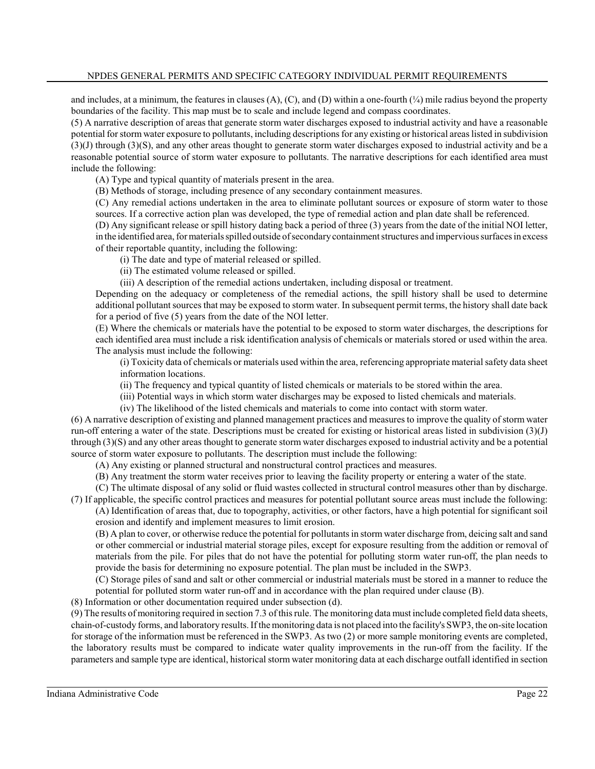and includes, at a minimum, the features in clauses  $(A)$ ,  $(C)$ , and  $(D)$  within a one-fourth  $\frac{1}{4}$  mile radius beyond the property boundaries of the facility. This map must be to scale and include legend and compass coordinates.

(5) A narrative description of areas that generate storm water discharges exposed to industrial activity and have a reasonable potential for storm water exposure to pollutants, including descriptions for any existing or historical areas listed in subdivision (3)(J) through (3)(S), and any other areas thought to generate storm water discharges exposed to industrial activity and be a reasonable potential source of storm water exposure to pollutants. The narrative descriptions for each identified area must include the following:

(A) Type and typical quantity of materials present in the area.

(B) Methods of storage, including presence of any secondary containment measures.

(C) Any remedial actions undertaken in the area to eliminate pollutant sources or exposure of storm water to those sources. If a corrective action plan was developed, the type of remedial action and plan date shall be referenced.

(D) Any significant release or spill history dating back a period of three (3) years from the date of the initial NOI letter, in the identified area, for materials spilled outside of secondary containment structures and impervious surfaces in excess of their reportable quantity, including the following:

(i) The date and type of material released or spilled.

(ii) The estimated volume released or spilled.

(iii) A description of the remedial actions undertaken, including disposal or treatment.

Depending on the adequacy or completeness of the remedial actions, the spill history shall be used to determine additional pollutant sources that may be exposed to storm water. In subsequent permit terms, the history shall date back for a period of five (5) years from the date of the NOI letter.

(E) Where the chemicals or materials have the potential to be exposed to storm water discharges, the descriptions for each identified area must include a risk identification analysis of chemicals or materials stored or used within the area. The analysis must include the following:

(i) Toxicity data of chemicals or materials used within the area, referencing appropriate material safety data sheet information locations.

(ii) The frequency and typical quantity of listed chemicals or materials to be stored within the area.

(iii) Potential ways in which storm water discharges may be exposed to listed chemicals and materials.

(iv) The likelihood of the listed chemicals and materials to come into contact with storm water.

(6) A narrative description of existing and planned management practices and measures to improve the quality of storm water run-off entering a water of the state. Descriptions must be created for existing or historical areas listed in subdivision (3)(J) through (3)(S) and any other areas thought to generate storm water discharges exposed to industrial activity and be a potential source of storm water exposure to pollutants. The description must include the following:

(A) Any existing or planned structural and nonstructural control practices and measures.

(B) Any treatment the storm water receives prior to leaving the facility property or entering a water of the state.

(C) The ultimate disposal of any solid or fluid wastes collected in structural control measures other than by discharge. (7) If applicable, the specific control practices and measures for potential pollutant source areas must include the following:

(A) Identification of areas that, due to topography, activities, or other factors, have a high potential for significant soil erosion and identify and implement measures to limit erosion.

(B) A plan to cover, or otherwise reduce the potential for pollutants in storm water discharge from, deicing salt and sand or other commercial or industrial material storage piles, except for exposure resulting from the addition or removal of materials from the pile. For piles that do not have the potential for polluting storm water run-off, the plan needs to provide the basis for determining no exposure potential. The plan must be included in the SWP3.

(C) Storage piles of sand and salt or other commercial or industrial materials must be stored in a manner to reduce the potential for polluted storm water run-off and in accordance with the plan required under clause (B).

(8) Information or other documentation required under subsection (d).

(9) The results of monitoring required in section 7.3 of thisrule. The monitoring data must include completed field data sheets, chain-of-custody forms, and laboratory results. If the monitoring data is not placed into the facility's SWP3, the on-site location for storage of the information must be referenced in the SWP3. As two (2) or more sample monitoring events are completed, the laboratory results must be compared to indicate water quality improvements in the run-off from the facility. If the parameters and sample type are identical, historical storm water monitoring data at each discharge outfall identified in section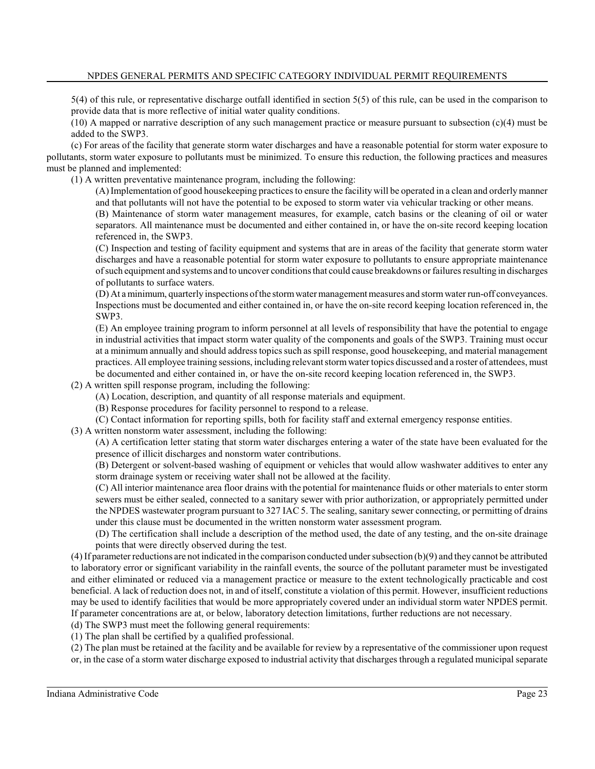5(4) of this rule, or representative discharge outfall identified in section 5(5) of this rule, can be used in the comparison to provide data that is more reflective of initial water quality conditions.

(10) A mapped or narrative description of any such management practice or measure pursuant to subsection (c)(4) must be added to the SWP3.

(c) For areas of the facility that generate storm water discharges and have a reasonable potential for storm water exposure to pollutants, storm water exposure to pollutants must be minimized. To ensure this reduction, the following practices and measures must be planned and implemented:

(1) A written preventative maintenance program, including the following:

(A) Implementation of good housekeeping practices to ensure the facility will be operated in a clean and orderlymanner and that pollutants will not have the potential to be exposed to storm water via vehicular tracking or other means.

(B) Maintenance of storm water management measures, for example, catch basins or the cleaning of oil or water separators. All maintenance must be documented and either contained in, or have the on-site record keeping location referenced in, the SWP3.

(C) Inspection and testing of facility equipment and systems that are in areas of the facility that generate storm water discharges and have a reasonable potential for storm water exposure to pollutants to ensure appropriate maintenance of such equipment and systems and to uncover conditions that could cause breakdowns or failures resulting in discharges of pollutants to surface waters.

(D) At a minimum, quarterly inspections of the stormwater management measures and stormwater run-off conveyances. Inspections must be documented and either contained in, or have the on-site record keeping location referenced in, the SWP3.

(E) An employee training program to inform personnel at all levels of responsibility that have the potential to engage in industrial activities that impact storm water quality of the components and goals of the SWP3. Training must occur at a minimum annually and should address topics such as spill response, good housekeeping, and material management practices. All employee training sessions, including relevant stormwater topics discussed and a roster of attendees, must be documented and either contained in, or have the on-site record keeping location referenced in, the SWP3.

- (2) A written spill response program, including the following:
	- (A) Location, description, and quantity of all response materials and equipment.
	- (B) Response procedures for facility personnel to respond to a release.
	- (C) Contact information for reporting spills, both for facility staff and external emergency response entities.
- (3) A written nonstorm water assessment, including the following:

(A) A certification letter stating that storm water discharges entering a water of the state have been evaluated for the presence of illicit discharges and nonstorm water contributions.

(B) Detergent or solvent-based washing of equipment or vehicles that would allow washwater additives to enter any storm drainage system or receiving water shall not be allowed at the facility.

(C) All interior maintenance area floor drains with the potential for maintenance fluids or other materials to enter storm sewers must be either sealed, connected to a sanitary sewer with prior authorization, or appropriately permitted under the NPDES wastewater program pursuant to 327 IAC 5. The sealing, sanitary sewer connecting, or permitting of drains under this clause must be documented in the written nonstorm water assessment program.

(D) The certification shall include a description of the method used, the date of any testing, and the on-site drainage points that were directly observed during the test.

 $(4)$  If parameter reductions are not indicated in the comparison conducted under subsection  $(b)(9)$  and they cannot be attributed to laboratory error or significant variability in the rainfall events, the source of the pollutant parameter must be investigated and either eliminated or reduced via a management practice or measure to the extent technologically practicable and cost beneficial. A lack of reduction does not, in and of itself, constitute a violation of this permit. However, insufficient reductions may be used to identify facilities that would be more appropriately covered under an individual storm water NPDES permit. If parameter concentrations are at, or below, laboratory detection limitations, further reductions are not necessary.

(d) The SWP3 must meet the following general requirements:

(1) The plan shall be certified by a qualified professional.

(2) The plan must be retained at the facility and be available for review by a representative of the commissioner upon request or, in the case of a storm water discharge exposed to industrial activity that discharges through a regulated municipal separate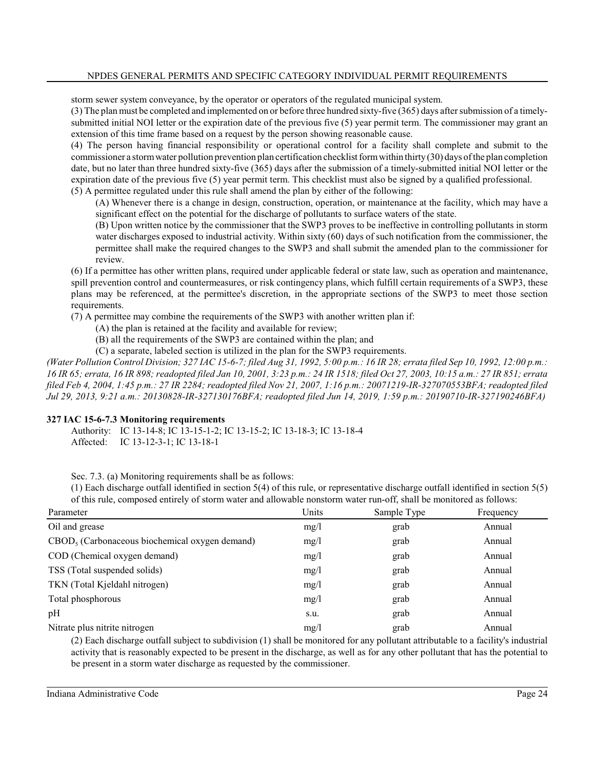storm sewer system conveyance, by the operator or operators of the regulated municipal system.

(3) The plan must be completed and implemented on or before three hundred sixty-five (365) days after submission of a timelysubmitted initial NOI letter or the expiration date of the previous five (5) year permit term. The commissioner may grant an extension of this time frame based on a request by the person showing reasonable cause.

(4) The person having financial responsibility or operational control for a facility shall complete and submit to the commissioner a stormwater pollution prevention plan certification checklist formwithin thirty(30) days of the plan completion date, but no later than three hundred sixty-five (365) days after the submission of a timely-submitted initial NOI letter or the expiration date of the previous five (5) year permit term. This checklist must also be signed by a qualified professional. (5) A permittee regulated under this rule shall amend the plan by either of the following:

(A) Whenever there is a change in design, construction, operation, or maintenance at the facility, which may have a significant effect on the potential for the discharge of pollutants to surface waters of the state.

(B) Upon written notice by the commissioner that the SWP3 proves to be ineffective in controlling pollutants in storm water discharges exposed to industrial activity. Within sixty (60) days of such notification from the commissioner, the permittee shall make the required changes to the SWP3 and shall submit the amended plan to the commissioner for review.

(6) If a permittee has other written plans, required under applicable federal or state law, such as operation and maintenance, spill prevention control and countermeasures, or risk contingency plans, which fulfill certain requirements of a SWP3, these plans may be referenced, at the permittee's discretion, in the appropriate sections of the SWP3 to meet those section requirements.

(7) A permittee may combine the requirements of the SWP3 with another written plan if:

(A) the plan is retained at the facility and available for review;

- (B) all the requirements of the SWP3 are contained within the plan; and
- (C) a separate, labeled section is utilized in the plan for the SWP3 requirements.

*(Water Pollution Control Division; 327 IAC 15-6-7; filed Aug 31, 1992, 5:00 p.m.: 16 IR 28; errata filed Sep 10, 1992, 12:00 p.m.: 16 IR 65; errata, 16 IR 898; readopted filed Jan 10, 2001, 3:23 p.m.: 24 IR 1518; filed Oct 27, 2003, 10:15 a.m.: 27 IR 851; errata filed Feb 4, 2004, 1:45 p.m.: 27 IR 2284; readopted filed Nov 21, 2007, 1:16 p.m.: 20071219-IR-327070553BFA; readopted filed Jul 29, 2013, 9:21 a.m.: 20130828-IR-327130176BFA; readopted filed Jun 14, 2019, 1:59 p.m.: 20190710-IR-327190246BFA)*

### **327 IAC 15-6-7.3 Monitoring requirements**

Authority: IC 13-14-8; IC 13-15-1-2; IC 13-15-2; IC 13-18-3; IC 13-18-4 Affected: IC 13-12-3-1; IC 13-18-1

| Sec. 7.3. (a) Monitoring requirements shall be as follows: |
|------------------------------------------------------------|
|                                                            |

(1) Each discharge outfall identified in section 5(4) of this rule, or representative discharge outfall identified in section 5(5) of this rule, composed entirely of storm water and allowable nonstorm water run-off, shall be monitored as follows:

| Parameter                                                | Units | Sample Type | Frequency |
|----------------------------------------------------------|-------|-------------|-----------|
| Oil and grease                                           | mg/1  | grab        | Annual    |
| $\text{CBOD}_5$ (Carbonaceous biochemical oxygen demand) | mg/1  | grab        | Annual    |
| COD (Chemical oxygen demand)                             | mg/1  | grab        | Annual    |
| TSS (Total suspended solids)                             | mg/1  | grab        | Annual    |
| TKN (Total Kjeldahl nitrogen)                            | mg/1  | grab        | Annual    |
| Total phosphorous                                        | mg/1  | grab        | Annual    |
| pH                                                       | s.u.  | grab        | Annual    |
| Nitrate plus nitrite nitrogen                            | mg/1  | grab        | Annual    |

(2) Each discharge outfall subject to subdivision (1) shall be monitored for any pollutant attributable to a facility's industrial activity that is reasonably expected to be present in the discharge, as well as for any other pollutant that has the potential to be present in a storm water discharge as requested by the commissioner.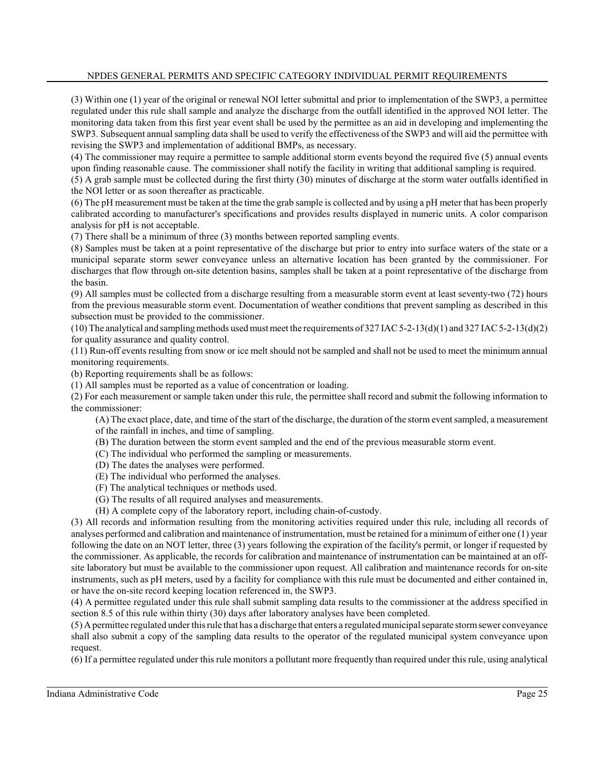(3) Within one (1) year of the original or renewal NOI letter submittal and prior to implementation of the SWP3, a permittee regulated under this rule shall sample and analyze the discharge from the outfall identified in the approved NOI letter. The monitoring data taken from this first year event shall be used by the permittee as an aid in developing and implementing the SWP3. Subsequent annual sampling data shall be used to verify the effectiveness of the SWP3 and will aid the permittee with revising the SWP3 and implementation of additional BMPs, as necessary.

(4) The commissioner may require a permittee to sample additional storm events beyond the required five (5) annual events upon finding reasonable cause. The commissioner shall notify the facility in writing that additional sampling is required.

(5) A grab sample must be collected during the first thirty (30) minutes of discharge at the storm water outfalls identified in the NOI letter or as soon thereafter as practicable.

(6) The pH measurement must be taken at the time the grab sample is collected and by using a pH meter that has been properly calibrated according to manufacturer's specifications and provides results displayed in numeric units. A color comparison analysis for pH is not acceptable.

(7) There shall be a minimum of three (3) months between reported sampling events.

(8) Samples must be taken at a point representative of the discharge but prior to entry into surface waters of the state or a municipal separate storm sewer conveyance unless an alternative location has been granted by the commissioner. For discharges that flow through on-site detention basins, samples shall be taken at a point representative of the discharge from the basin.

(9) All samples must be collected from a discharge resulting from a measurable storm event at least seventy-two (72) hours from the previous measurable storm event. Documentation of weather conditions that prevent sampling as described in this subsection must be provided to the commissioner.

(10) The analytical and sampling methods used must meet the requirements of 327 IAC 5-2-13(d)(1) and 327 IAC 5-2-13(d)(2) for quality assurance and quality control.

(11) Run-off events resulting from snow or ice melt should not be sampled and shall not be used to meet the minimum annual monitoring requirements.

(b) Reporting requirements shall be as follows:

(1) All samples must be reported as a value of concentration or loading.

(2) For each measurement or sample taken under this rule, the permittee shall record and submit the following information to the commissioner:

(A) The exact place, date, and time of the start of the discharge, the duration of the storm event sampled, a measurement of the rainfall in inches, and time of sampling.

- (B) The duration between the storm event sampled and the end of the previous measurable storm event.
- (C) The individual who performed the sampling or measurements.
- (D) The dates the analyses were performed.
- (E) The individual who performed the analyses.
- (F) The analytical techniques or methods used.
- (G) The results of all required analyses and measurements.
- (H) A complete copy of the laboratory report, including chain-of-custody.

(3) All records and information resulting from the monitoring activities required under this rule, including all records of analyses performed and calibration and maintenance of instrumentation, must be retained for a minimum of either one (1) year following the date on an NOT letter, three (3) years following the expiration of the facility's permit, or longer if requested by the commissioner. As applicable, the records for calibration and maintenance of instrumentation can be maintained at an offsite laboratory but must be available to the commissioner upon request. All calibration and maintenance records for on-site instruments, such as pH meters, used by a facility for compliance with this rule must be documented and either contained in, or have the on-site record keeping location referenced in, the SWP3.

(4) A permittee regulated under this rule shall submit sampling data results to the commissioner at the address specified in section 8.5 of this rule within thirty (30) days after laboratory analyses have been completed.

(5) A permittee regulated under thisrule that has a discharge that enters a regulated municipal separate stormsewer conveyance shall also submit a copy of the sampling data results to the operator of the regulated municipal system conveyance upon request.

(6) If a permittee regulated under thisrule monitors a pollutant more frequently than required under thisrule, using analytical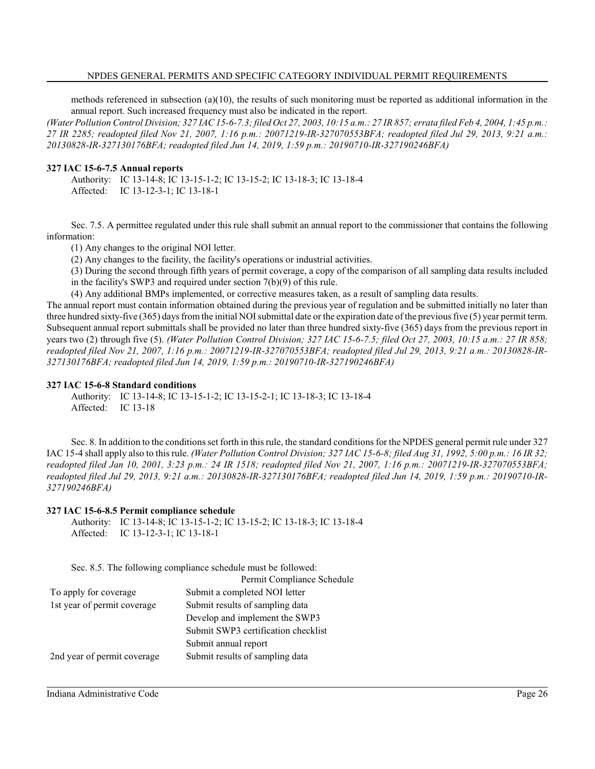methods referenced in subsection (a)(10), the results of such monitoring must be reported as additional information in the annual report. Such increased frequency must also be indicated in the report.

*(Water Pollution Control Division; 327 IAC 15-6-7.3; filed Oct 27, 2003, 10:15 a.m.: 27 IR 857; errata filed Feb 4, 2004, 1:45 p.m.: 27 IR 2285; readopted filed Nov 21, 2007, 1:16 p.m.: 20071219-IR-327070553BFA; readopted filed Jul 29, 2013, 9:21 a.m.: 20130828-IR-327130176BFA; readopted filed Jun 14, 2019, 1:59 p.m.: 20190710-IR-327190246BFA)*

#### **327 IAC 15-6-7.5 Annual reports**

Authority: IC 13-14-8; IC 13-15-1-2; IC 13-15-2; IC 13-18-3; IC 13-18-4 Affected: IC 13-12-3-1; IC 13-18-1

Sec. 7.5. A permittee regulated under this rule shall submit an annual report to the commissioner that contains the following information:

(1) Any changes to the original NOI letter.

(2) Any changes to the facility, the facility's operations or industrial activities.

(3) During the second through fifth years of permit coverage, a copy of the comparison of all sampling data results included in the facility's SWP3 and required under section 7(b)(9) of this rule.

(4) Any additional BMPs implemented, or corrective measures taken, as a result of sampling data results.

The annual report must contain information obtained during the previous year of regulation and be submitted initially no later than three hundred sixty-five (365) days fromthe initial NOI submittal date or the expiration date of the previous five (5) year permit term. Subsequent annual report submittals shall be provided no later than three hundred sixty-five (365) days from the previous report in years two (2) through five (5). *(Water Pollution Control Division; 327 IAC 15-6-7.5; filed Oct 27, 2003, 10:15 a.m.: 27 IR 858; readopted filed Nov 21, 2007, 1:16 p.m.: 20071219-IR-327070553BFA; readopted filed Jul 29, 2013, 9:21 a.m.: 20130828-IR-327130176BFA; readopted filed Jun 14, 2019, 1:59 p.m.: 20190710-IR-327190246BFA)*

#### **327 IAC 15-6-8 Standard conditions**

Authority: IC 13-14-8; IC 13-15-1-2; IC 13-15-2-1; IC 13-18-3; IC 13-18-4 Affected: IC 13-18

Sec. 8. In addition to the conditions set forth in thisrule, the standard conditions for the NPDES general permit rule under 327 IAC 15-4 shall apply also to thisrule. *(Water Pollution Control Division; 327 IAC 15-6-8; filed Aug 31, 1992, 5:00 p.m.: 16 IR 32; readopted filed Jan 10, 2001, 3:23 p.m.: 24 IR 1518; readopted filed Nov 21, 2007, 1:16 p.m.: 20071219-IR-327070553BFA; readopted filed Jul 29, 2013, 9:21 a.m.: 20130828-IR-327130176BFA; readopted filed Jun 14, 2019, 1:59 p.m.: 20190710-IR-327190246BFA)*

#### **327 IAC 15-6-8.5 Permit compliance schedule**

Authority: IC 13-14-8; IC 13-15-1-2; IC 13-15-2; IC 13-18-3; IC 13-18-4 Affected: IC 13-12-3-1; IC 13-18-1

Sec. 8.5. The following compliance schedule must be followed:

|                             | Permit Compliance Schedule          |
|-----------------------------|-------------------------------------|
| To apply for coverage       | Submit a completed NOI letter       |
| 1st year of permit coverage | Submit results of sampling data     |
|                             | Develop and implement the SWP3      |
|                             | Submit SWP3 certification checklist |
|                             | Submit annual report                |
| 2nd year of permit coverage | Submit results of sampling data     |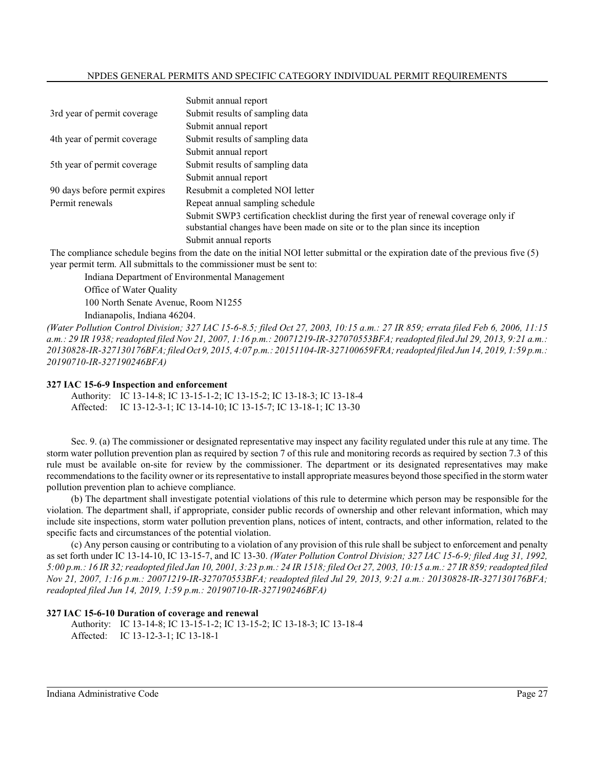|                               | Submit annual report                                                                                                                                                   |
|-------------------------------|------------------------------------------------------------------------------------------------------------------------------------------------------------------------|
| 3rd year of permit coverage   | Submit results of sampling data                                                                                                                                        |
|                               | Submit annual report                                                                                                                                                   |
| 4th year of permit coverage   | Submit results of sampling data                                                                                                                                        |
|                               | Submit annual report                                                                                                                                                   |
| 5th year of permit coverage   | Submit results of sampling data                                                                                                                                        |
|                               | Submit annual report                                                                                                                                                   |
| 90 days before permit expires | Resubmit a completed NOI letter                                                                                                                                        |
| Permit renewals               | Repeat annual sampling schedule                                                                                                                                        |
|                               | Submit SWP3 certification checklist during the first year of renewal coverage only if<br>substantial changes have been made on site or to the plan since its inception |
|                               | Submit annual reports                                                                                                                                                  |

The compliance schedule begins from the date on the initial NOI letter submittal or the expiration date of the previous five (5) year permit term. All submittals to the commissioner must be sent to:

Indiana Department of Environmental Management

Office of Water Quality

100 North Senate Avenue, Room N1255

Indianapolis, Indiana 46204.

*(Water Pollution Control Division; 327 IAC 15-6-8.5; filed Oct 27, 2003, 10:15 a.m.: 27 IR 859; errata filed Feb 6, 2006, 11:15 a.m.: 29 IR 1938; readopted filed Nov 21, 2007, 1:16 p.m.: 20071219-IR-327070553BFA; readopted filed Jul 29, 2013, 9:21 a.m.: 20130828-IR-327130176BFA; filed Oct 9, 2015, 4:07 p.m.: 20151104-IR-327100659FRA; readopted filed Jun 14, 2019, 1:59 p.m.: 20190710-IR-327190246BFA)*

#### **327 IAC 15-6-9 Inspection and enforcement**

Authority: IC 13-14-8; IC 13-15-1-2; IC 13-15-2; IC 13-18-3; IC 13-18-4 Affected: IC 13-12-3-1; IC 13-14-10; IC 13-15-7; IC 13-18-1; IC 13-30

Sec. 9. (a) The commissioner or designated representative may inspect any facility regulated under this rule at any time. The storm water pollution prevention plan as required by section 7 of this rule and monitoring records as required by section 7.3 of this rule must be available on-site for review by the commissioner. The department or its designated representatives may make recommendations to the facility owner or its representative to install appropriate measures beyond those specified in the storm water pollution prevention plan to achieve compliance.

(b) The department shall investigate potential violations of this rule to determine which person may be responsible for the violation. The department shall, if appropriate, consider public records of ownership and other relevant information, which may include site inspections, storm water pollution prevention plans, notices of intent, contracts, and other information, related to the specific facts and circumstances of the potential violation.

(c) Any person causing or contributing to a violation of any provision of this rule shall be subject to enforcement and penalty as set forth under IC 13-14-10, IC 13-15-7, and IC 13-30. *(Water Pollution Control Division; 327 IAC 15-6-9; filed Aug 31, 1992, 5:00 p.m.: 16 IR 32; readopted filed Jan 10, 2001, 3:23 p.m.: 24 IR 1518; filed Oct 27, 2003, 10:15 a.m.: 27 IR 859;readopted filed Nov 21, 2007, 1:16 p.m.: 20071219-IR-327070553BFA; readopted filed Jul 29, 2013, 9:21 a.m.: 20130828-IR-327130176BFA; readopted filed Jun 14, 2019, 1:59 p.m.: 20190710-IR-327190246BFA)*

#### **327 IAC 15-6-10 Duration of coverage and renewal**

Authority: IC 13-14-8; IC 13-15-1-2; IC 13-15-2; IC 13-18-3; IC 13-18-4 Affected: IC 13-12-3-1; IC 13-18-1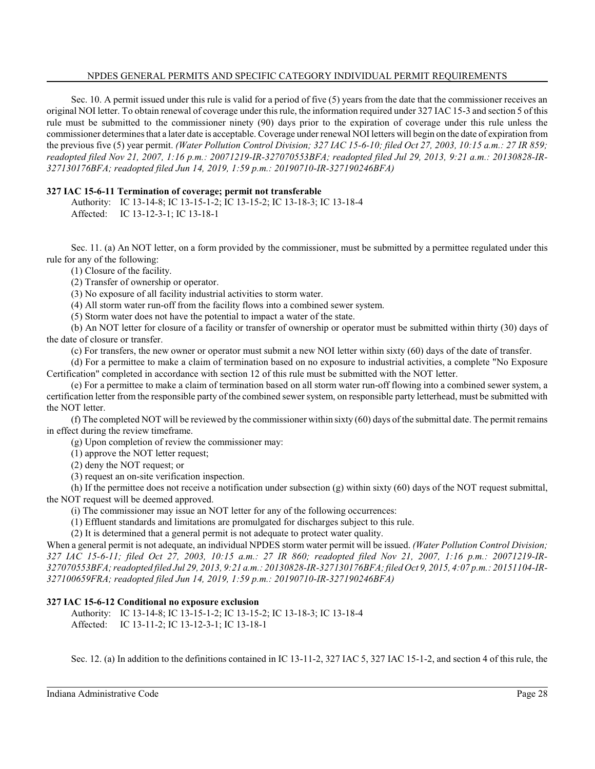Sec. 10. A permit issued under this rule is valid for a period of five (5) years from the date that the commissioner receives an original NOI letter. To obtain renewal of coverage under thisrule, the information required under 327 IAC 15-3 and section 5 of this rule must be submitted to the commissioner ninety (90) days prior to the expiration of coverage under this rule unless the commissioner determines that a later date is acceptable. Coverage under renewal NOI letters will begin on the date of expiration from the previous five (5) year permit. *(Water Pollution Control Division; 327 IAC 15-6-10; filed Oct 27, 2003, 10:15 a.m.: 27 IR 859; readopted filed Nov 21, 2007, 1:16 p.m.: 20071219-IR-327070553BFA; readopted filed Jul 29, 2013, 9:21 a.m.: 20130828-IR-327130176BFA; readopted filed Jun 14, 2019, 1:59 p.m.: 20190710-IR-327190246BFA)*

## **327 IAC 15-6-11 Termination of coverage; permit not transferable**

Authority: IC 13-14-8; IC 13-15-1-2; IC 13-15-2; IC 13-18-3; IC 13-18-4 Affected: IC 13-12-3-1; IC 13-18-1

Sec. 11. (a) An NOT letter, on a form provided by the commissioner, must be submitted by a permittee regulated under this rule for any of the following:

(1) Closure of the facility.

(2) Transfer of ownership or operator.

(3) No exposure of all facility industrial activities to storm water.

(4) All storm water run-off from the facility flows into a combined sewer system.

(5) Storm water does not have the potential to impact a water of the state.

(b) An NOT letter for closure of a facility or transfer of ownership or operator must be submitted within thirty (30) days of the date of closure or transfer.

(c) For transfers, the new owner or operator must submit a new NOI letter within sixty (60) days of the date of transfer.

(d) For a permittee to make a claim of termination based on no exposure to industrial activities, a complete "No Exposure Certification" completed in accordance with section 12 of this rule must be submitted with the NOT letter.

(e) For a permittee to make a claim of termination based on all storm water run-off flowing into a combined sewer system, a certification letter from the responsible party of the combined sewer system, on responsible party letterhead, must be submitted with the NOT letter.

(f) The completed NOT will be reviewed by the commissioner within sixty (60) days of the submittal date. The permit remains in effect during the review timeframe.

(g) Upon completion of review the commissioner may:

(1) approve the NOT letter request;

(2) deny the NOT request; or

(3) request an on-site verification inspection.

(h) If the permittee does not receive a notification under subsection (g) within sixty (60) days of the NOT request submittal, the NOT request will be deemed approved.

(i) The commissioner may issue an NOT letter for any of the following occurrences:

(1) Effluent standards and limitations are promulgated for discharges subject to this rule.

(2) It is determined that a general permit is not adequate to protect water quality.

When a general permit is not adequate, an individual NPDES storm water permit will be issued. *(Water Pollution Control Division; 327 IAC 15-6-11; filed Oct 27, 2003, 10:15 a.m.: 27 IR 860; readopted filed Nov 21, 2007, 1:16 p.m.: 20071219-IR-327070553BFA; readopted filed Jul 29, 2013, 9:21 a.m.: 20130828-IR-327130176BFA; filed Oct 9, 2015, 4:07 p.m.: 20151104-IR-327100659FRA; readopted filed Jun 14, 2019, 1:59 p.m.: 20190710-IR-327190246BFA)*

### **327 IAC 15-6-12 Conditional no exposure exclusion**

Authority: IC 13-14-8; IC 13-15-1-2; IC 13-15-2; IC 13-18-3; IC 13-18-4 Affected: IC 13-11-2; IC 13-12-3-1; IC 13-18-1

Sec. 12. (a) In addition to the definitions contained in IC 13-11-2, 327 IAC 5, 327 IAC 15-1-2, and section 4 of this rule, the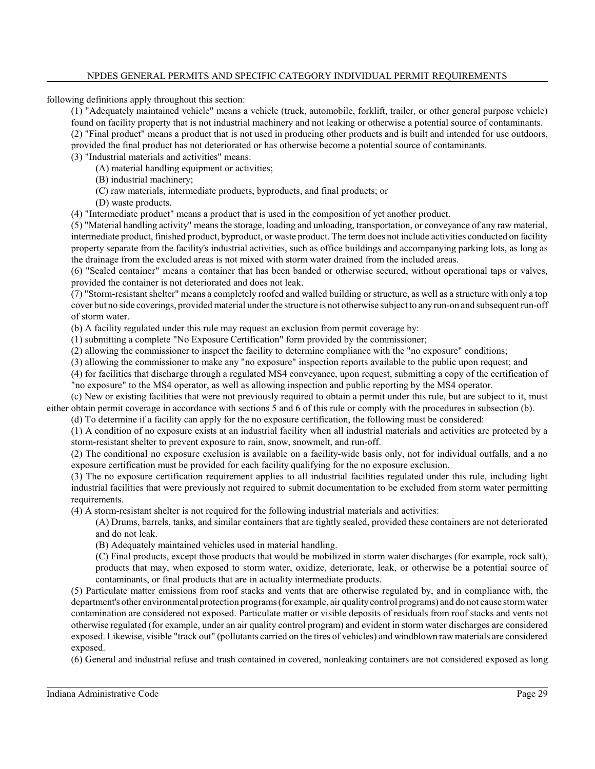following definitions apply throughout this section:

(1) "Adequately maintained vehicle" means a vehicle (truck, automobile, forklift, trailer, or other general purpose vehicle) found on facility property that is not industrial machinery and not leaking or otherwise a potential source of contaminants.

(2) "Final product" means a product that is not used in producing other products and is built and intended for use outdoors, provided the final product has not deteriorated or has otherwise become a potential source of contaminants.

(3) "Industrial materials and activities" means:

(A) material handling equipment or activities;

(B) industrial machinery;

- (C) raw materials, intermediate products, byproducts, and final products; or
- (D) waste products.

(4) "Intermediate product" means a product that is used in the composition of yet another product.

(5) "Material handling activity" means the storage, loading and unloading, transportation, or conveyance of any raw material, intermediate product, finished product, byproduct, or waste product. The termdoes not include activities conducted on facility property separate from the facility's industrial activities, such as office buildings and accompanying parking lots, as long as the drainage from the excluded areas is not mixed with storm water drained from the included areas.

(6) "Sealed container" means a container that has been banded or otherwise secured, without operational taps or valves, provided the container is not deteriorated and does not leak.

(7) "Storm-resistant shelter" means a completely roofed and walled building or structure, as well as a structure with only a top cover but no side coverings, provided material under the structure is not otherwise subject to any run-on and subsequentrun-off of storm water.

(b) A facility regulated under this rule may request an exclusion from permit coverage by:

(1) submitting a complete "No Exposure Certification" form provided by the commissioner;

(2) allowing the commissioner to inspect the facility to determine compliance with the "no exposure" conditions;

(3) allowing the commissioner to make any "no exposure" inspection reports available to the public upon request; and

(4) for facilities that discharge through a regulated MS4 conveyance, upon request, submitting a copy of the certification of "no exposure" to the MS4 operator, as well as allowing inspection and public reporting by the MS4 operator.

(c) New or existing facilities that were not previously required to obtain a permit under this rule, but are subject to it, must either obtain permit coverage in accordance with sections 5 and 6 of this rule or comply with the procedures in subsection (b).

(d) To determine if a facility can apply for the no exposure certification, the following must be considered:

(1) A condition of no exposure exists at an industrial facility when all industrial materials and activities are protected by a storm-resistant shelter to prevent exposure to rain, snow, snowmelt, and run-off.

(2) The conditional no exposure exclusion is available on a facility-wide basis only, not for individual outfalls, and a no exposure certification must be provided for each facility qualifying for the no exposure exclusion.

(3) The no exposure certification requirement applies to all industrial facilities regulated under this rule, including light industrial facilities that were previously not required to submit documentation to be excluded from storm water permitting requirements.

(4) A storm-resistant shelter is not required for the following industrial materials and activities:

(A) Drums, barrels, tanks, and similar containers that are tightly sealed, provided these containers are not deteriorated and do not leak.

(B) Adequately maintained vehicles used in material handling.

(C) Final products, except those products that would be mobilized in storm water discharges (for example, rock salt), products that may, when exposed to storm water, oxidize, deteriorate, leak, or otherwise be a potential source of contaminants, or final products that are in actuality intermediate products.

(5) Particulate matter emissions from roof stacks and vents that are otherwise regulated by, and in compliance with, the department's other environmental protection programs (for example, air quality control programs) and do not cause stormwater contamination are considered not exposed. Particulate matter or visible deposits of residuals from roof stacks and vents not otherwise regulated (for example, under an air quality control program) and evident in storm water discharges are considered exposed. Likewise, visible "track out" (pollutants carried on the tires of vehicles) and windblown rawmaterials are considered exposed.

(6) General and industrial refuse and trash contained in covered, nonleaking containers are not considered exposed as long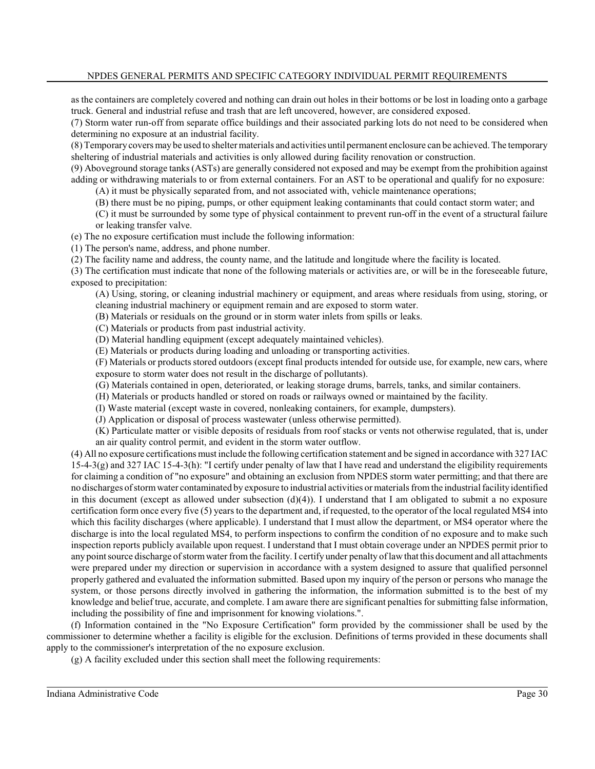as the containers are completely covered and nothing can drain out holes in their bottoms or be lost in loading onto a garbage truck. General and industrial refuse and trash that are left uncovered, however, are considered exposed.

(7) Storm water run-off from separate office buildings and their associated parking lots do not need to be considered when determining no exposure at an industrial facility.

(8) Temporarycovers may be used to shelter materials and activities until permanent enclosure can be achieved. The temporary sheltering of industrial materials and activities is only allowed during facility renovation or construction.

(9) Aboveground storage tanks (ASTs) are generally considered not exposed and may be exempt from the prohibition against adding or withdrawing materials to or from external containers. For an AST to be operational and qualify for no exposure:

(A) it must be physically separated from, and not associated with, vehicle maintenance operations;

(B) there must be no piping, pumps, or other equipment leaking contaminants that could contact storm water; and

(C) it must be surrounded by some type of physical containment to prevent run-off in the event of a structural failure or leaking transfer valve.

(e) The no exposure certification must include the following information:

(1) The person's name, address, and phone number.

(2) The facility name and address, the county name, and the latitude and longitude where the facility is located.

(3) The certification must indicate that none of the following materials or activities are, or will be in the foreseeable future, exposed to precipitation:

(A) Using, storing, or cleaning industrial machinery or equipment, and areas where residuals from using, storing, or cleaning industrial machinery or equipment remain and are exposed to storm water.

(B) Materials or residuals on the ground or in storm water inlets from spills or leaks.

(C) Materials or products from past industrial activity.

(D) Material handling equipment (except adequately maintained vehicles).

(E) Materials or products during loading and unloading or transporting activities.

(F) Materials or products stored outdoors (except final products intended for outside use, for example, new cars, where exposure to storm water does not result in the discharge of pollutants).

(G) Materials contained in open, deteriorated, or leaking storage drums, barrels, tanks, and similar containers.

(H) Materials or products handled or stored on roads or railways owned or maintained by the facility.

(I) Waste material (except waste in covered, nonleaking containers, for example, dumpsters).

(J) Application or disposal of process wastewater (unless otherwise permitted).

(K) Particulate matter or visible deposits of residuals from roof stacks or vents not otherwise regulated, that is, under an air quality control permit, and evident in the storm water outflow.

(4) All no exposure certifications must include the following certification statement and be signed in accordance with 327 IAC 15-4-3(g) and 327 IAC 15-4-3(h): "I certify under penalty of law that I have read and understand the eligibility requirements for claiming a condition of "no exposure" and obtaining an exclusion from NPDES storm water permitting; and that there are no discharges of stormwater contaminated by exposure to industrial activities or materials fromthe industrial facilityidentified in this document (except as allowed under subsection  $(d)(4)$ ). I understand that I am obligated to submit a no exposure certification form once every five (5) years to the department and, if requested, to the operator of the local regulated MS4 into which this facility discharges (where applicable). I understand that I must allow the department, or MS4 operator where the discharge is into the local regulated MS4, to perform inspections to confirm the condition of no exposure and to make such inspection reports publicly available upon request. I understand that I must obtain coverage under an NPDES permit prior to any point source discharge of stormwater fromthe facility. I certify under penalty of lawthat this document and all attachments were prepared under my direction or supervision in accordance with a system designed to assure that qualified personnel properly gathered and evaluated the information submitted. Based upon my inquiry of the person or persons who manage the system, or those persons directly involved in gathering the information, the information submitted is to the best of my knowledge and belief true, accurate, and complete. I am aware there are significant penalties for submitting false information, including the possibility of fine and imprisonment for knowing violations.".

(f) Information contained in the "No Exposure Certification" form provided by the commissioner shall be used by the commissioner to determine whether a facility is eligible for the exclusion. Definitions of terms provided in these documents shall apply to the commissioner's interpretation of the no exposure exclusion.

(g) A facility excluded under this section shall meet the following requirements: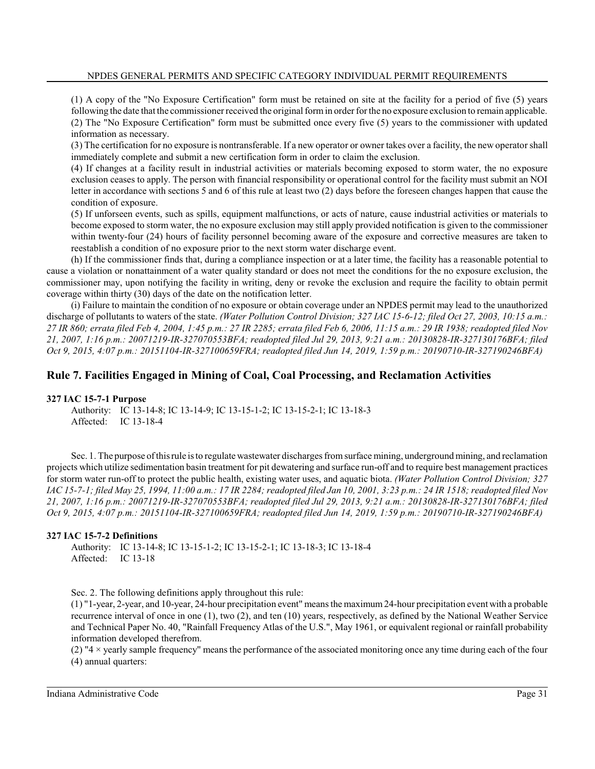(1) A copy of the "No Exposure Certification" form must be retained on site at the facility for a period of five (5) years following the date that the commissioner received the original form in order for the no exposure exclusion to remain applicable. (2) The "No Exposure Certification" form must be submitted once every five (5) years to the commissioner with updated information as necessary.

(3) The certification for no exposure is nontransferable. If a new operator or owner takes over a facility, the new operator shall immediately complete and submit a new certification form in order to claim the exclusion.

(4) If changes at a facility result in industrial activities or materials becoming exposed to storm water, the no exposure exclusion ceases to apply. The person with financial responsibility or operational control for the facility must submit an NOI letter in accordance with sections 5 and 6 of this rule at least two (2) days before the foreseen changes happen that cause the condition of exposure.

(5) If unforseen events, such as spills, equipment malfunctions, or acts of nature, cause industrial activities or materials to become exposed to storm water, the no exposure exclusion may still apply provided notification is given to the commissioner within twenty-four (24) hours of facility personnel becoming aware of the exposure and corrective measures are taken to reestablish a condition of no exposure prior to the next storm water discharge event.

(h) If the commissioner finds that, during a compliance inspection or at a later time, the facility has a reasonable potential to cause a violation or nonattainment of a water quality standard or does not meet the conditions for the no exposure exclusion, the commissioner may, upon notifying the facility in writing, deny or revoke the exclusion and require the facility to obtain permit coverage within thirty (30) days of the date on the notification letter.

(i) Failure to maintain the condition of no exposure or obtain coverage under an NPDES permit may lead to the unauthorized discharge of pollutants to waters of the state. *(Water Pollution Control Division; 327 IAC 15-6-12; filed Oct 27, 2003, 10:15 a.m.: 27 IR 860; errata filed Feb 4, 2004, 1:45 p.m.: 27 IR 2285; errata filed Feb 6, 2006, 11:15 a.m.: 29 IR 1938; readopted filed Nov 21, 2007, 1:16 p.m.: 20071219-IR-327070553BFA; readopted filed Jul 29, 2013, 9:21 a.m.: 20130828-IR-327130176BFA; filed Oct 9, 2015, 4:07 p.m.: 20151104-IR-327100659FRA; readopted filed Jun 14, 2019, 1:59 p.m.: 20190710-IR-327190246BFA)*

## **Rule 7. Facilities Engaged in Mining of Coal, Coal Processing, and Reclamation Activities**

#### **327 IAC 15-7-1 Purpose**

Authority: IC 13-14-8; IC 13-14-9; IC 13-15-1-2; IC 13-15-2-1; IC 13-18-3 Affected: IC 13-18-4

Sec. 1. The purpose of thisrule is to regulate wastewater discharges fromsurface mining, underground mining, and reclamation projects which utilize sedimentation basin treatment for pit dewatering and surface run-off and to require best management practices for storm water run-off to protect the public health, existing water uses, and aquatic biota. *(Water Pollution Control Division; 327 IAC 15-7-1; filed May 25, 1994, 11:00 a.m.: 17 IR 2284; readopted filed Jan 10, 2001, 3:23 p.m.: 24 IR 1518; readopted filed Nov 21, 2007, 1:16 p.m.: 20071219-IR-327070553BFA; readopted filed Jul 29, 2013, 9:21 a.m.: 20130828-IR-327130176BFA; filed Oct 9, 2015, 4:07 p.m.: 20151104-IR-327100659FRA; readopted filed Jun 14, 2019, 1:59 p.m.: 20190710-IR-327190246BFA)*

#### **327 IAC 15-7-2 Definitions**

Authority: IC 13-14-8; IC 13-15-1-2; IC 13-15-2-1; IC 13-18-3; IC 13-18-4 Affected: IC 13-18

Sec. 2. The following definitions apply throughout this rule:

(1) "1-year, 2-year, and 10-year, 24-hour precipitation event" means the maximum24-hour precipitation event with a probable recurrence interval of once in one (1), two (2), and ten (10) years, respectively, as defined by the National Weather Service and Technical Paper No. 40, "Rainfall Frequency Atlas of the U.S.", May 1961, or equivalent regional or rainfall probability information developed therefrom.

(2) " $4 \times$  yearly sample frequency" means the performance of the associated monitoring once any time during each of the four (4) annual quarters: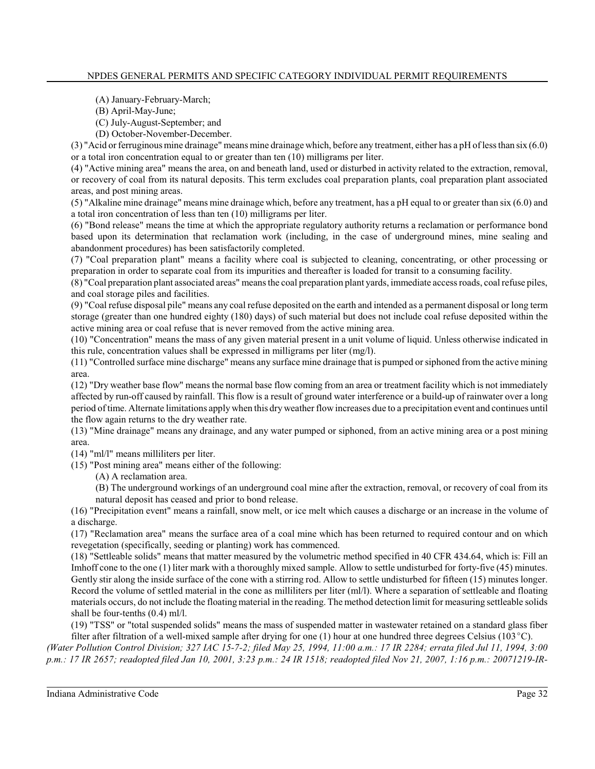- (A) January-February-March;
- (B) April-May-June;
- (C) July-August-September; and
- (D) October-November-December.

(3) "Acid or ferruginous mine drainage" means mine drainage which, before any treatment, either has a pH of less than six (6.0) or a total iron concentration equal to or greater than ten (10) milligrams per liter.

(4) "Active mining area" means the area, on and beneath land, used or disturbed in activity related to the extraction, removal, or recovery of coal from its natural deposits. This term excludes coal preparation plants, coal preparation plant associated areas, and post mining areas.

(5) "Alkaline mine drainage" means mine drainage which, before any treatment, has a pH equal to or greater than six (6.0) and a total iron concentration of less than ten (10) milligrams per liter.

(6) "Bond release" means the time at which the appropriate regulatory authority returns a reclamation or performance bond based upon its determination that reclamation work (including, in the case of underground mines, mine sealing and abandonment procedures) has been satisfactorily completed.

(7) "Coal preparation plant" means a facility where coal is subjected to cleaning, concentrating, or other processing or preparation in order to separate coal from its impurities and thereafter is loaded for transit to a consuming facility.

(8) "Coal preparation plant associated areas" means the coal preparation plant yards, immediate access roads, coal refuse piles, and coal storage piles and facilities.

(9) "Coal refuse disposal pile" means any coal refuse deposited on the earth and intended as a permanent disposal or long term storage (greater than one hundred eighty (180) days) of such material but does not include coal refuse deposited within the active mining area or coal refuse that is never removed from the active mining area.

(10) "Concentration" means the mass of any given material present in a unit volume of liquid. Unless otherwise indicated in this rule, concentration values shall be expressed in milligrams per liter (mg/l).

(11) "Controlled surface mine discharge" means any surface mine drainage that is pumped orsiphoned from the active mining area.

(12) "Dry weather base flow" means the normal base flow coming from an area or treatment facility which is not immediately affected by run-off caused by rainfall. Thisflow is a result of ground water interference or a build-up of rainwater over a long period of time. Alternate limitations apply when this dry weather flowincreases due to a precipitation event and continues until the flow again returns to the dry weather rate.

(13) "Mine drainage" means any drainage, and any water pumped or siphoned, from an active mining area or a post mining area.

(14) "ml/l" means milliliters per liter.

(15) "Post mining area" means either of the following:

(A) A reclamation area.

(B) The underground workings of an underground coal mine after the extraction, removal, or recovery of coal from its natural deposit has ceased and prior to bond release.

(16) "Precipitation event" means a rainfall, snow melt, or ice melt which causes a discharge or an increase in the volume of a discharge.

(17) "Reclamation area" means the surface area of a coal mine which has been returned to required contour and on which revegetation (specifically, seeding or planting) work has commenced.

(18) "Settleable solids" means that matter measured by the volumetric method specified in 40 CFR 434.64, which is: Fill an Imhoff cone to the one (1) liter mark with a thoroughly mixed sample. Allow to settle undisturbed for forty-five (45) minutes. Gently stir along the inside surface of the cone with a stirring rod. Allow to settle undisturbed for fifteen (15) minutes longer. Record the volume of settled material in the cone as milliliters per liter (ml/l). Where a separation of settleable and floating materials occurs, do not include the floating material in the reading. The method detection limit for measuring settleable solids shall be four-tenths (0.4) ml/l.

(19) "TSS" or "total suspended solids" means the mass of suspended matter in wastewater retained on a standard glass fiber filter after filtration of a well-mixed sample after drying for one  $(1)$  hour at one hundred three degrees Celsius (103 $^{\circ}$ C).

*(Water Pollution Control Division; 327 IAC 15-7-2; filed May 25, 1994, 11:00 a.m.: 17 IR 2284; errata filed Jul 11, 1994, 3:00 p.m.: 17 IR 2657; readopted filed Jan 10, 2001, 3:23 p.m.: 24 IR 1518; readopted filed Nov 21, 2007, 1:16 p.m.: 20071219-IR-*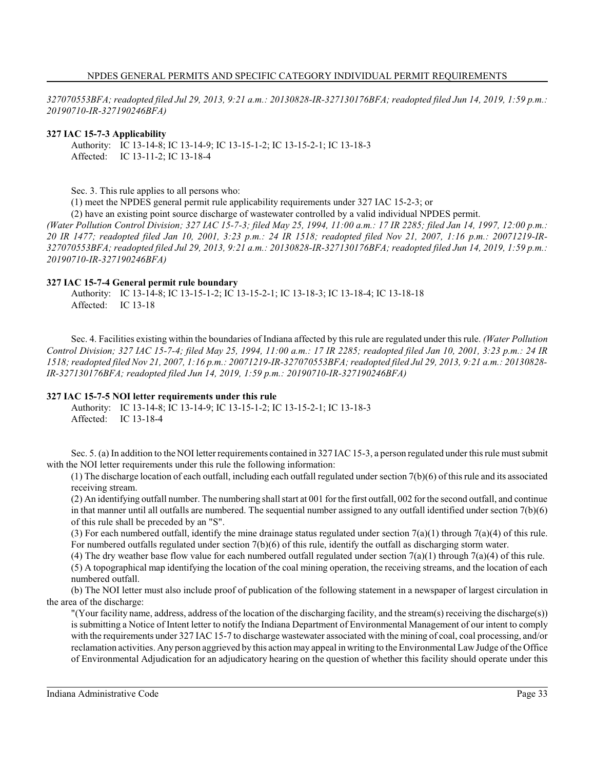*327070553BFA; readopted filed Jul 29, 2013, 9:21 a.m.: 20130828-IR-327130176BFA; readopted filed Jun 14, 2019, 1:59 p.m.: 20190710-IR-327190246BFA)*

## **327 IAC 15-7-3 Applicability**

Authority: IC 13-14-8; IC 13-14-9; IC 13-15-1-2; IC 13-15-2-1; IC 13-18-3 Affected: IC 13-11-2; IC 13-18-4

Sec. 3. This rule applies to all persons who:

(1) meet the NPDES general permit rule applicability requirements under 327 IAC 15-2-3; or

(2) have an existing point source discharge of wastewater controlled by a valid individual NPDES permit.

*(Water Pollution Control Division; 327 IAC 15-7-3; filed May 25, 1994, 11:00 a.m.: 17 IR 2285; filed Jan 14, 1997, 12:00 p.m.: 20 IR 1477; readopted filed Jan 10, 2001, 3:23 p.m.: 24 IR 1518; readopted filed Nov 21, 2007, 1:16 p.m.: 20071219-IR-327070553BFA; readopted filed Jul 29, 2013, 9:21 a.m.: 20130828-IR-327130176BFA; readopted filed Jun 14, 2019, 1:59 p.m.: 20190710-IR-327190246BFA)*

### **327 IAC 15-7-4 General permit rule boundary**

Authority: IC 13-14-8; IC 13-15-1-2; IC 13-15-2-1; IC 13-18-3; IC 13-18-4; IC 13-18-18 Affected: IC 13-18

Sec. 4. Facilities existing within the boundaries of Indiana affected by thisrule are regulated under thisrule. *(Water Pollution Control Division; 327 IAC 15-7-4; filed May 25, 1994, 11:00 a.m.: 17 IR 2285; readopted filed Jan 10, 2001, 3:23 p.m.: 24 IR 1518; readopted filed Nov 21, 2007, 1:16 p.m.: 20071219-IR-327070553BFA; readopted filed Jul 29, 2013, 9:21 a.m.: 20130828- IR-327130176BFA; readopted filed Jun 14, 2019, 1:59 p.m.: 20190710-IR-327190246BFA)*

### **327 IAC 15-7-5 NOI letter requirements under this rule**

Authority: IC 13-14-8; IC 13-14-9; IC 13-15-1-2; IC 13-15-2-1; IC 13-18-3 Affected: IC 13-18-4

Sec. 5. (a) In addition to the NOI letter requirements contained in 327 IAC 15-3, a person regulated under this rule must submit with the NOI letter requirements under this rule the following information:

(1) The discharge location of each outfall, including each outfall regulated under section 7(b)(6) of thisrule and its associated receiving stream.

(2) An identifying outfall number. The numbering shall start at 001 for the first outfall, 002 for the second outfall, and continue in that manner until all outfalls are numbered. The sequential number assigned to any outfall identified under section 7(b)(6) of this rule shall be preceded by an "S".

(3) For each numbered outfall, identify the mine drainage status regulated under section  $7(a)(1)$  through  $7(a)(4)$  of this rule. For numbered outfalls regulated under section 7(b)(6) of this rule, identify the outfall as discharging storm water.

(4) The dry weather base flow value for each numbered outfall regulated under section  $7(a)(1)$  through  $7(a)(4)$  of this rule.

(5) A topographical map identifying the location of the coal mining operation, the receiving streams, and the location of each numbered outfall.

(b) The NOI letter must also include proof of publication of the following statement in a newspaper of largest circulation in the area of the discharge:

"(Your facility name, address, address of the location of the discharging facility, and the stream(s) receiving the discharge(s)) is submitting a Notice of Intent letter to notify the Indiana Department of Environmental Management of our intent to comply with the requirements under 327 IAC 15-7 to discharge wastewater associated with the mining of coal, coal processing, and/or reclamation activities. Any person aggrieved by this action may appeal in writing to the Environmental LawJudge of the Office of Environmental Adjudication for an adjudicatory hearing on the question of whether this facility should operate under this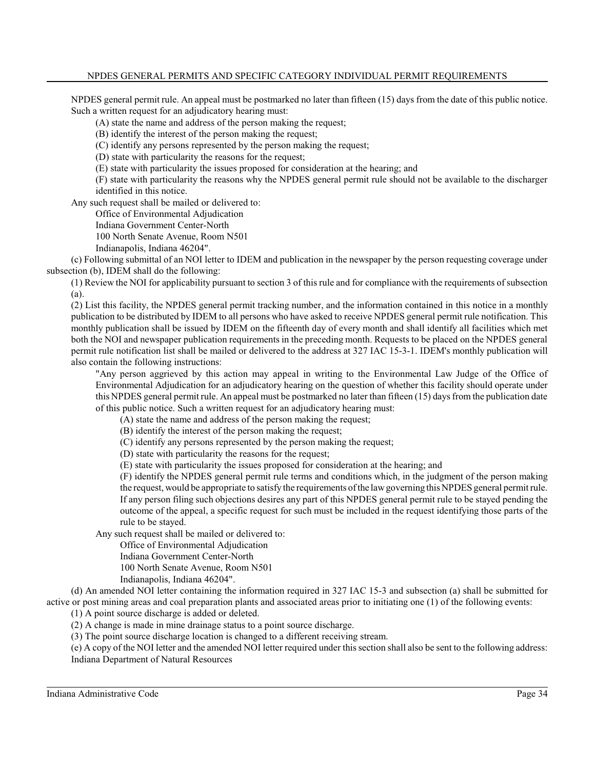NPDES general permit rule. An appeal must be postmarked no later than fifteen (15) days from the date of this public notice. Such a written request for an adjudicatory hearing must:

(A) state the name and address of the person making the request;

(B) identify the interest of the person making the request;

(C) identify any persons represented by the person making the request;

(D) state with particularity the reasons for the request;

(E) state with particularity the issues proposed for consideration at the hearing; and

(F) state with particularity the reasons why the NPDES general permit rule should not be available to the discharger identified in this notice.

Any such request shall be mailed or delivered to:

Office of Environmental Adjudication

Indiana Government Center-North

100 North Senate Avenue, Room N501

Indianapolis, Indiana 46204".

(c) Following submittal of an NOI letter to IDEM and publication in the newspaper by the person requesting coverage under subsection (b), IDEM shall do the following:

(1) Review the NOI for applicability pursuant to section 3 of thisrule and for compliance with the requirements of subsection (a).

(2) List this facility, the NPDES general permit tracking number, and the information contained in this notice in a monthly publication to be distributed by IDEM to all persons who have asked to receive NPDES general permit rule notification. This monthly publication shall be issued by IDEM on the fifteenth day of every month and shall identify all facilities which met both the NOI and newspaper publication requirements in the preceding month. Requests to be placed on the NPDES general permit rule notification list shall be mailed or delivered to the address at 327 IAC 15-3-1. IDEM's monthly publication will also contain the following instructions:

"Any person aggrieved by this action may appeal in writing to the Environmental Law Judge of the Office of Environmental Adjudication for an adjudicatory hearing on the question of whether this facility should operate under this NPDES general permit rule. An appeal must be postmarked no later than fifteen (15) days from the publication date of this public notice. Such a written request for an adjudicatory hearing must:

(A) state the name and address of the person making the request;

(B) identify the interest of the person making the request;

(C) identify any persons represented by the person making the request;

(D) state with particularity the reasons for the request;

(E) state with particularity the issues proposed for consideration at the hearing; and

(F) identify the NPDES general permit rule terms and conditions which, in the judgment of the person making the request, would be appropriate to satisfy the requirements of the law governing this NPDES general permit rule. If any person filing such objections desires any part of this NPDES general permit rule to be stayed pending the outcome of the appeal, a specific request for such must be included in the request identifying those parts of the rule to be stayed.

Any such request shall be mailed or delivered to:

Office of Environmental Adjudication

Indiana Government Center-North

100 North Senate Avenue, Room N501

Indianapolis, Indiana 46204".

(d) An amended NOI letter containing the information required in 327 IAC 15-3 and subsection (a) shall be submitted for active or post mining areas and coal preparation plants and associated areas prior to initiating one (1) of the following events:

(1) A point source discharge is added or deleted.

(2) A change is made in mine drainage status to a point source discharge.

(3) The point source discharge location is changed to a different receiving stream.

(e) A copy of the NOI letter and the amended NOI letter required under thissection shall also be sent to the following address: Indiana Department of Natural Resources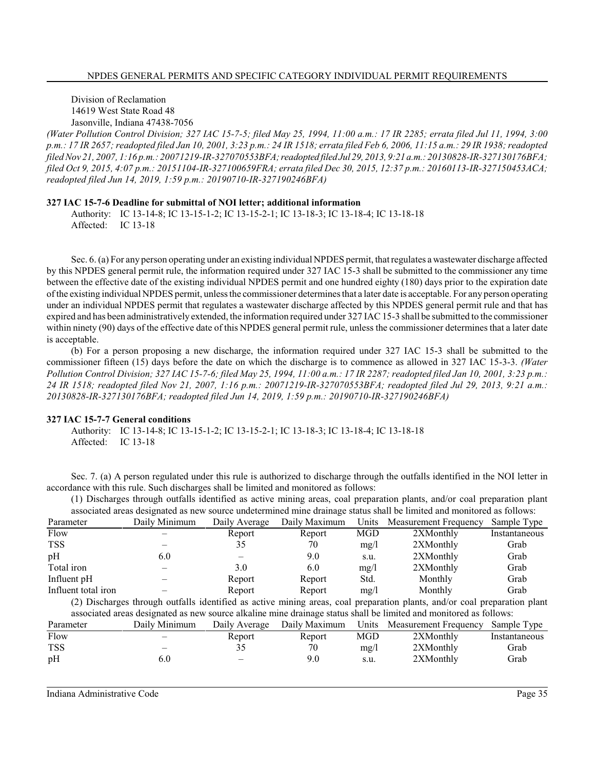Division of Reclamation 14619 West State Road 48 Jasonville, Indiana 47438-7056

*(Water Pollution Control Division; 327 IAC 15-7-5; filed May 25, 1994, 11:00 a.m.: 17 IR 2285; errata filed Jul 11, 1994, 3:00 p.m.: 17 IR 2657; readopted filed Jan 10, 2001, 3:23 p.m.: 24 IR 1518; errata filed Feb 6, 2006, 11:15 a.m.: 29 IR 1938; readopted filed Nov 21, 2007, 1:16 p.m.: 20071219-IR-327070553BFA;readopted filed Jul 29, 2013, 9:21 a.m.: 20130828-IR-327130176BFA; filed Oct 9, 2015, 4:07 p.m.: 20151104-IR-327100659FRA; errata filed Dec 30, 2015, 12:37 p.m.: 20160113-IR-327150453ACA; readopted filed Jun 14, 2019, 1:59 p.m.: 20190710-IR-327190246BFA)*

## **327 IAC 15-7-6 Deadline for submittal of NOI letter; additional information**

Authority: IC 13-14-8; IC 13-15-1-2; IC 13-15-2-1; IC 13-18-3; IC 13-18-4; IC 13-18-18 Affected: IC 13-18

Sec. 6. (a) For any person operating under an existing individual NPDES permit, that regulates a wastewater discharge affected by this NPDES general permit rule, the information required under 327 IAC 15-3 shall be submitted to the commissioner any time between the effective date of the existing individual NPDES permit and one hundred eighty (180) days prior to the expiration date of the existing individual NPDES permit, unless the commissioner determines that a later date is acceptable. For any person operating under an individual NPDES permit that regulates a wastewater discharge affected by this NPDES general permit rule and that has expired and has been administratively extended, the information required under 327 IAC15-3 shall be submitted to the commissioner within ninety (90) days of the effective date of this NPDES general permit rule, unless the commissioner determines that a later date is acceptable.

(b) For a person proposing a new discharge, the information required under 327 IAC 15-3 shall be submitted to the commissioner fifteen (15) days before the date on which the discharge is to commence as allowed in 327 IAC 15-3-3. *(Water Pollution Control Division; 327 IAC 15-7-6; filed May 25, 1994, 11:00 a.m.: 17 IR 2287; readopted filed Jan 10, 2001, 3:23 p.m.: 24 IR 1518; readopted filed Nov 21, 2007, 1:16 p.m.: 20071219-IR-327070553BFA; readopted filed Jul 29, 2013, 9:21 a.m.: 20130828-IR-327130176BFA; readopted filed Jun 14, 2019, 1:59 p.m.: 20190710-IR-327190246BFA)*

### **327 IAC 15-7-7 General conditions**

```
Authority: IC 13-14-8; IC 13-15-1-2; IC 13-15-2-1; IC 13-18-3; IC 13-18-4; IC 13-18-18
Affected: IC 13-18
```
Sec. 7. (a) A person regulated under this rule is authorized to discharge through the outfalls identified in the NOI letter in accordance with this rule. Such discharges shall be limited and monitored as follows:

|                                                                                                                           |               |               |               |          | (1) Discharges through outfalls identified as active mining areas, coal preparation plants, and/or coal preparation plant |               |
|---------------------------------------------------------------------------------------------------------------------------|---------------|---------------|---------------|----------|---------------------------------------------------------------------------------------------------------------------------|---------------|
| associated areas designated as new source undetermined mine drainage status shall be limited and monitored as follows:    |               |               |               |          |                                                                                                                           |               |
| Parameter                                                                                                                 | Daily Minimum | Daily Average | Daily Maximum |          | Units Measurement Frequency                                                                                               | Sample Type   |
| Flow                                                                                                                      |               | Report        | Report        | MGD      | 2XMonthly                                                                                                                 | Instantaneous |
| <b>TSS</b>                                                                                                                |               | 35            | 70            | mg/l     | 2XMonthly                                                                                                                 | Grab          |
| pH                                                                                                                        | 6.0           |               | 9.0           | S.u.     | 2XMonthly                                                                                                                 | Grab          |
| Total iron                                                                                                                |               | 3.0           | 6.0           | mg/l     | 2XMonthly                                                                                                                 | Grab          |
| Influent pH                                                                                                               |               | Report        | Report        | Std.     | Monthly                                                                                                                   | Grab          |
| Influent total iron                                                                                                       |               | Report        | Report        | mg/l     | Monthly                                                                                                                   | Grab          |
| (2) Discharges through outfalls identified as active mining areas, coal preparation plants, and/or coal preparation plant |               |               |               |          |                                                                                                                           |               |
| associated areas designated as new source alkaline mine drainage status shall be limited and monitored as follows:        |               |               |               |          |                                                                                                                           |               |
| Parameter                                                                                                                 | Daily Minimum |               |               |          | Daily Average Daily Maximum Units Measurement Frequency Sample Type                                                       |               |
|                                                                                                                           |               |               |               | $\cdots$ |                                                                                                                           |               |

| Parameter  | рану миницин | Dally Average | - Дану махинин |      | Units Measurement requency Sample Type |               |
|------------|--------------|---------------|----------------|------|----------------------------------------|---------------|
| Flow       |              | Report        | Report         | MGD  | 2XMonthly                              | Instantaneous |
| <b>TSS</b> |              |               |                | mg/l | 2XMonthly                              | Grab          |
| pH         |              |               | 9.0            | s.u. | 2XMonthly                              | Grab          |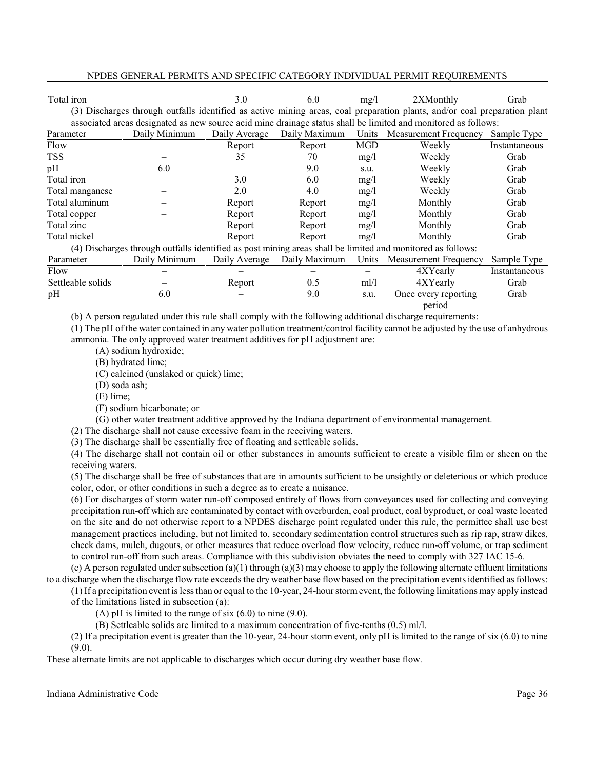|  | NPDES GENERAL PERMITS AND SPECIFIC CATEGORY INDIVIDUAL PERMIT REOUIREMENTS |  |
|--|----------------------------------------------------------------------------|--|
|--|----------------------------------------------------------------------------|--|

| Total iron                                                                                                 |               | 3.0           | 6.0           | mg/l  | 2XMonthly                                                                                                                 | Grab          |
|------------------------------------------------------------------------------------------------------------|---------------|---------------|---------------|-------|---------------------------------------------------------------------------------------------------------------------------|---------------|
|                                                                                                            |               |               |               |       | (3) Discharges through outfalls identified as active mining areas, coal preparation plants, and/or coal preparation plant |               |
|                                                                                                            |               |               |               |       | associated areas designated as new source acid mine drainage status shall be limited and monitored as follows:            |               |
| Parameter                                                                                                  | Daily Minimum | Daily Average | Daily Maximum | Units | Measurement Frequency                                                                                                     | Sample Type   |
| Flow                                                                                                       |               | Report        | Report        | MGD   | Weekly                                                                                                                    | Instantaneous |
| <b>TSS</b>                                                                                                 |               | 35            | 70            | mg/l  | Weekly                                                                                                                    | Grab          |
| pH                                                                                                         | 6.0           |               | 9.0           | s.u.  | Weekly                                                                                                                    | Grab          |
| Total iron                                                                                                 |               | 3.0           | 6.0           | mg/l  | Weekly                                                                                                                    | Grab          |
| Total manganese                                                                                            |               | 2.0           | 4.0           | mg/l  | Weekly                                                                                                                    | Grab          |
| Total aluminum                                                                                             |               | Report        | Report        | mg/l  | Monthly                                                                                                                   | Grab          |
| Total copper                                                                                               |               | Report        | Report        | mg/l  | Monthly                                                                                                                   | Grab          |
| Total zinc                                                                                                 |               | Report        | Report        | mg/l  | Monthly                                                                                                                   | Grab          |
| Total nickel                                                                                               |               | Report        | Report        | mg/l  | Monthly                                                                                                                   | Grab          |
| (4) Discharges through outfalls identified as post mining areas shall be limited and monitored as follows: |               |               |               |       |                                                                                                                           |               |
| Parameter                                                                                                  | Daily Minimum | Daily Average | Daily Maximum | Units | <b>Measurement Frequency</b>                                                                                              | Sample Type   |
| Flow                                                                                                       |               |               |               |       | 4XYearly                                                                                                                  | Instantaneous |
| Settleable solids                                                                                          |               | Report        | 0.5           | ml/l  | 4XYearly                                                                                                                  | Grab          |
| pH                                                                                                         | 6.0           |               | 9.0           | s.u.  | Once every reporting                                                                                                      | Grab          |
|                                                                                                            |               |               |               |       | period                                                                                                                    |               |

(b) A person regulated under this rule shall comply with the following additional discharge requirements:

(1) The pH of the water contained in any water pollution treatment/control facility cannot be adjusted by the use of anhydrous ammonia. The only approved water treatment additives for pH adjustment are:

- (A) sodium hydroxide;
- (B) hydrated lime;
- (C) calcined (unslaked or quick) lime;
- (D) soda ash;
- (E) lime;

(F) sodium bicarbonate; or

(G) other water treatment additive approved by the Indiana department of environmental management.

(2) The discharge shall not cause excessive foam in the receiving waters.

(3) The discharge shall be essentially free of floating and settleable solids.

(4) The discharge shall not contain oil or other substances in amounts sufficient to create a visible film or sheen on the receiving waters.

(5) The discharge shall be free of substances that are in amounts sufficient to be unsightly or deleterious or which produce color, odor, or other conditions in such a degree as to create a nuisance.

(6) For discharges of storm water run-off composed entirely of flows from conveyances used for collecting and conveying precipitation run-off which are contaminated by contact with overburden, coal product, coal byproduct, or coal waste located on the site and do not otherwise report to a NPDES discharge point regulated under this rule, the permittee shall use best management practices including, but not limited to, secondary sedimentation control structures such as rip rap, straw dikes, check dams, mulch, dugouts, or other measures that reduce overload flow velocity, reduce run-off volume, or trap sediment to control run-off from such areas. Compliance with this subdivision obviates the need to comply with 327 IAC 15-6.

(c) A person regulated under subsection (a)(1) through (a)(3) may choose to apply the following alternate effluent limitations to a discharge when the discharge flow rate exceeds the dry weather base flow based on the precipitation events identified as follows:

(1) If a precipitation event is less than or equal to the 10-year, 24-hour storm event, the following limitations may apply instead of the limitations listed in subsection (a):

(A) pH is limited to the range of six  $(6.0)$  to nine  $(9.0)$ .

(B) Settleable solids are limited to a maximum concentration of five-tenths (0.5) ml/l.

(2) If a precipitation event is greater than the 10-year, 24-hour storm event, only pH is limited to the range of six (6.0) to nine (9.0).

These alternate limits are not applicable to discharges which occur during dry weather base flow.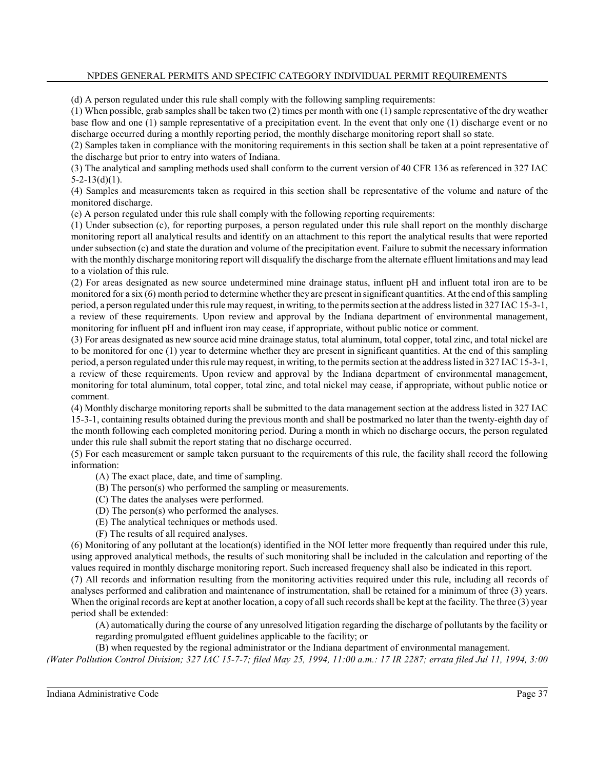(d) A person regulated under this rule shall comply with the following sampling requirements:

(1) When possible, grab samples shall be taken two (2) times per month with one (1) sample representative of the dry weather base flow and one (1) sample representative of a precipitation event. In the event that only one (1) discharge event or no discharge occurred during a monthly reporting period, the monthly discharge monitoring report shall so state.

(2) Samples taken in compliance with the monitoring requirements in this section shall be taken at a point representative of the discharge but prior to entry into waters of Indiana.

(3) The analytical and sampling methods used shall conform to the current version of 40 CFR 136 as referenced in 327 IAC  $5 - 2 - 13(d)(1)$ .

(4) Samples and measurements taken as required in this section shall be representative of the volume and nature of the monitored discharge.

(e) A person regulated under this rule shall comply with the following reporting requirements:

(1) Under subsection (c), for reporting purposes, a person regulated under this rule shall report on the monthly discharge monitoring report all analytical results and identify on an attachment to this report the analytical results that were reported under subsection (c) and state the duration and volume of the precipitation event. Failure to submit the necessary information with the monthly discharge monitoring report will disqualify the discharge from the alternate effluent limitations and may lead to a violation of this rule.

(2) For areas designated as new source undetermined mine drainage status, influent pH and influent total iron are to be monitored for a six (6) month period to determine whether they are present in significant quantities. At the end of this sampling period, a person regulated under thisrule may request, in writing, to the permits section at the address listed in 327 IAC 15-3-1, a review of these requirements. Upon review and approval by the Indiana department of environmental management, monitoring for influent pH and influent iron may cease, if appropriate, without public notice or comment.

(3) For areas designated as new source acid mine drainage status, total aluminum, total copper, total zinc, and total nickel are to be monitored for one (1) year to determine whether they are present in significant quantities. At the end of this sampling period, a person regulated under thisrule may request, in writing, to the permits section at the address listed in 327 IAC15-3-1, a review of these requirements. Upon review and approval by the Indiana department of environmental management, monitoring for total aluminum, total copper, total zinc, and total nickel may cease, if appropriate, without public notice or comment.

(4) Monthly discharge monitoring reports shall be submitted to the data management section at the address listed in 327 IAC 15-3-1, containing results obtained during the previous month and shall be postmarked no later than the twenty-eighth day of the month following each completed monitoring period. During a month in which no discharge occurs, the person regulated under this rule shall submit the report stating that no discharge occurred.

(5) For each measurement or sample taken pursuant to the requirements of this rule, the facility shall record the following information:

(A) The exact place, date, and time of sampling.

- (B) The person(s) who performed the sampling or measurements.
- (C) The dates the analyses were performed.
- (D) The person(s) who performed the analyses.
- (E) The analytical techniques or methods used.
- (F) The results of all required analyses.

(6) Monitoring of any pollutant at the location(s) identified in the NOI letter more frequently than required under this rule, using approved analytical methods, the results of such monitoring shall be included in the calculation and reporting of the values required in monthly discharge monitoring report. Such increased frequency shall also be indicated in this report.

(7) All records and information resulting from the monitoring activities required under this rule, including all records of analyses performed and calibration and maintenance of instrumentation, shall be retained for a minimum of three (3) years. When the original records are kept at another location, a copy of all such records shall be kept at the facility. The three (3) year period shall be extended:

(A) automatically during the course of any unresolved litigation regarding the discharge of pollutants by the facility or regarding promulgated effluent guidelines applicable to the facility; or

(B) when requested by the regional administrator or the Indiana department of environmental management.

*(Water Pollution Control Division; 327 IAC 15-7-7; filed May 25, 1994, 11:00 a.m.: 17 IR 2287; errata filed Jul 11, 1994, 3:00*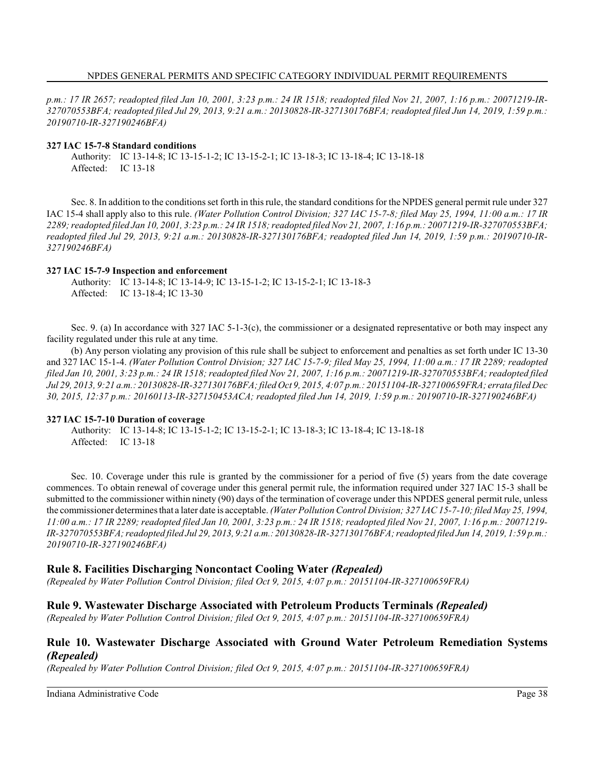*p.m.: 17 IR 2657; readopted filed Jan 10, 2001, 3:23 p.m.: 24 IR 1518; readopted filed Nov 21, 2007, 1:16 p.m.: 20071219-IR-327070553BFA; readopted filed Jul 29, 2013, 9:21 a.m.: 20130828-IR-327130176BFA; readopted filed Jun 14, 2019, 1:59 p.m.: 20190710-IR-327190246BFA)*

### **327 IAC 15-7-8 Standard conditions**

Authority: IC 13-14-8; IC 13-15-1-2; IC 13-15-2-1; IC 13-18-3; IC 13-18-4; IC 13-18-18 Affected: IC 13-18

Sec. 8. In addition to the conditions set forth in thisrule, the standard conditions for the NPDES general permit rule under 327 IAC 15-4 shall apply also to this rule. *(Water Pollution Control Division; 327 IAC 15-7-8; filed May 25, 1994, 11:00 a.m.: 17 IR 2289; readopted filed Jan 10, 2001, 3:23 p.m.: 24 IR 1518; readopted filed Nov 21, 2007, 1:16 p.m.: 20071219-IR-327070553BFA; readopted filed Jul 29, 2013, 9:21 a.m.: 20130828-IR-327130176BFA; readopted filed Jun 14, 2019, 1:59 p.m.: 20190710-IR-327190246BFA)*

### **327 IAC 15-7-9 Inspection and enforcement**

Authority: IC 13-14-8; IC 13-14-9; IC 13-15-1-2; IC 13-15-2-1; IC 13-18-3 Affected: IC 13-18-4; IC 13-30

Sec. 9. (a) In accordance with 327 IAC 5-1-3(c), the commissioner or a designated representative or both may inspect any facility regulated under this rule at any time.

(b) Any person violating any provision of this rule shall be subject to enforcement and penalties as set forth under IC 13-30 and 327 IAC 15-1-4. *(Water Pollution Control Division; 327 IAC 15-7-9; filed May 25, 1994, 11:00 a.m.: 17 IR 2289; readopted filed Jan 10, 2001, 3:23 p.m.: 24 IR 1518; readopted filed Nov 21, 2007, 1:16 p.m.: 20071219-IR-327070553BFA; readopted filed Jul 29, 2013, 9:21 a.m.: 20130828-IR-327130176BFA; filed Oct 9, 2015, 4:07 p.m.: 20151104-IR-327100659FRA; errata filed Dec 30, 2015, 12:37 p.m.: 20160113-IR-327150453ACA; readopted filed Jun 14, 2019, 1:59 p.m.: 20190710-IR-327190246BFA)*

### **327 IAC 15-7-10 Duration of coverage**

```
Authority: IC 13-14-8; IC 13-15-1-2; IC 13-15-2-1; IC 13-18-3; IC 13-18-4; IC 13-18-18
Affected: IC 13-18
```
Sec. 10. Coverage under this rule is granted by the commissioner for a period of five (5) years from the date coverage commences. To obtain renewal of coverage under this general permit rule, the information required under 327 IAC 15-3 shall be submitted to the commissioner within ninety (90) days of the termination of coverage under this NPDES general permit rule, unless the commissioner determines that a later date is acceptable. *(Water Pollution Control Division; 327 IAC 15-7-10; filed May 25, 1994, 11:00 a.m.: 17 IR 2289; readopted filed Jan 10, 2001, 3:23 p.m.: 24 IR 1518; readopted filed Nov 21, 2007, 1:16 p.m.: 20071219- IR-327070553BFA; readopted filed Jul 29, 2013, 9:21 a.m.: 20130828-IR-327130176BFA; readopted filed Jun 14, 2019, 1:59 p.m.: 20190710-IR-327190246BFA)*

## **Rule 8. Facilities Discharging Noncontact Cooling Water** *(Repealed)*

*(Repealed by Water Pollution Control Division; filed Oct 9, 2015, 4:07 p.m.: 20151104-IR-327100659FRA)*

## **Rule 9. Wastewater Discharge Associated with Petroleum Products Terminals** *(Repealed)*

*(Repealed by Water Pollution Control Division; filed Oct 9, 2015, 4:07 p.m.: 20151104-IR-327100659FRA)*

## **Rule 10. Wastewater Discharge Associated with Ground Water Petroleum Remediation Systems** *(Repealed)*

*(Repealed by Water Pollution Control Division; filed Oct 9, 2015, 4:07 p.m.: 20151104-IR-327100659FRA)*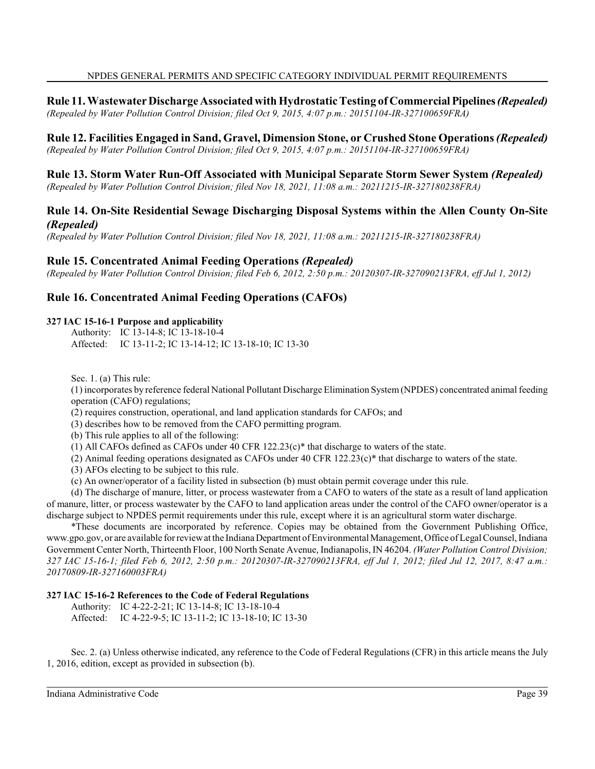**Rule 11. WastewaterDischarge Associated with Hydrostatic Testing of Commercial Pipelines***(Repealed) (Repealed by Water Pollution Control Division; filed Oct 9, 2015, 4:07 p.m.: 20151104-IR-327100659FRA)*

**Rule 12. Facilities Engaged in Sand, Gravel, Dimension Stone, or Crushed Stone Operations** *(Repealed) (Repealed by Water Pollution Control Division; filed Oct 9, 2015, 4:07 p.m.: 20151104-IR-327100659FRA)*

**Rule 13. Storm Water Run-Off Associated with Municipal Separate Storm Sewer System** *(Repealed) (Repealed by Water Pollution Control Division; filed Nov 18, 2021, 11:08 a.m.: 20211215-IR-327180238FRA)*

## **Rule 14. On-Site Residential Sewage Discharging Disposal Systems within the Allen County On-Site** *(Repealed)*

*(Repealed by Water Pollution Control Division; filed Nov 18, 2021, 11:08 a.m.: 20211215-IR-327180238FRA)*

## **Rule 15. Concentrated Animal Feeding Operations** *(Repealed)*

*(Repealed by Water Pollution Control Division; filed Feb 6, 2012, 2:50 p.m.: 20120307-IR-327090213FRA, eff Jul 1, 2012)*

## **Rule 16. Concentrated Animal Feeding Operations (CAFOs)**

### **327 IAC 15-16-1 Purpose and applicability**

Authority: IC 13-14-8; IC 13-18-10-4 Affected: IC 13-11-2; IC 13-14-12; IC 13-18-10; IC 13-30

Sec. 1. (a) This rule:

(1) incorporates by reference federal National Pollutant Discharge Elimination System(NPDES) concentrated animal feeding operation (CAFO) regulations;

(2) requires construction, operational, and land application standards for CAFOs; and

(3) describes how to be removed from the CAFO permitting program.

(b) This rule applies to all of the following:

(1) All CAFOs defined as CAFOs under 40 CFR  $122.23(c)*$  that discharge to waters of the state.

(2) Animal feeding operations designated as CAFOs under 40 CFR 122.23(c)\* that discharge to waters of the state.

(3) AFOs electing to be subject to this rule.

(c) An owner/operator of a facility listed in subsection (b) must obtain permit coverage under this rule.

(d) The discharge of manure, litter, or process wastewater from a CAFO to waters of the state as a result of land application of manure, litter, or process wastewater by the CAFO to land application areas under the control of the CAFO owner/operator is a discharge subject to NPDES permit requirements under this rule, except where it is an agricultural storm water discharge.

\*These documents are incorporated by reference. Copies may be obtained from the Government Publishing Office, www.gpo.gov, or are available for review at the Indiana Department of Environmental Management, Office of Legal Counsel, Indiana Government Center North, Thirteenth Floor, 100 North Senate Avenue, Indianapolis, IN 46204. *(Water Pollution Control Division; 327 IAC 15-16-1; filed Feb 6, 2012, 2:50 p.m.: 20120307-IR-327090213FRA, eff Jul 1, 2012; filed Jul 12, 2017, 8:47 a.m.: 20170809-IR-327160003FRA)*

#### **327 IAC 15-16-2 References to the Code of Federal Regulations**

Authority: IC 4-22-2-21; IC 13-14-8; IC 13-18-10-4 Affected: IC 4-22-9-5; IC 13-11-2; IC 13-18-10; IC 13-30

Sec. 2. (a) Unless otherwise indicated, any reference to the Code of Federal Regulations (CFR) in this article means the July 1, 2016, edition, except as provided in subsection (b).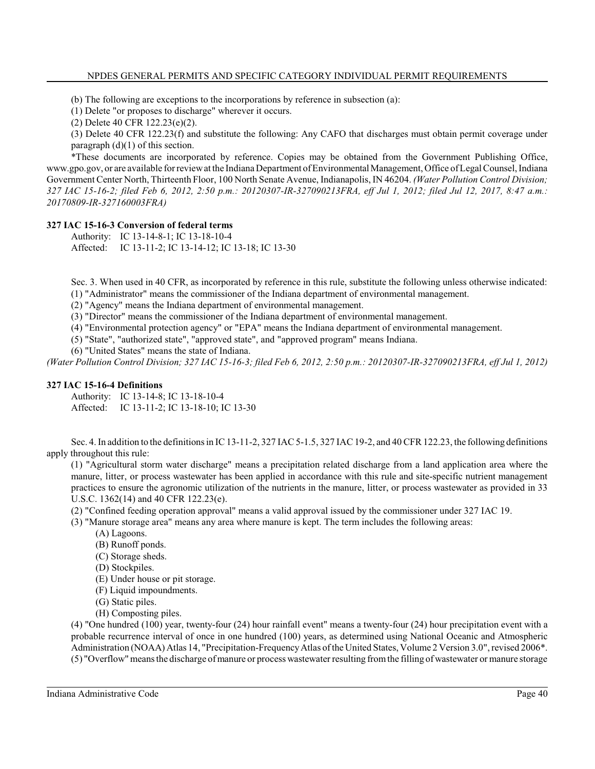(b) The following are exceptions to the incorporations by reference in subsection (a):

(1) Delete "or proposes to discharge" wherever it occurs.

(2) Delete 40 CFR 122.23(e)(2).

(3) Delete 40 CFR 122.23(f) and substitute the following: Any CAFO that discharges must obtain permit coverage under paragraph  $(d)(1)$  of this section.

\*These documents are incorporated by reference. Copies may be obtained from the Government Publishing Office, www.gpo.gov, or are available for reviewat the Indiana Department of EnvironmentalManagement, Office of Legal Counsel, Indiana Government Center North, Thirteenth Floor, 100 North Senate Avenue, Indianapolis, IN 46204. *(Water Pollution Control Division; 327 IAC 15-16-2; filed Feb 6, 2012, 2:50 p.m.: 20120307-IR-327090213FRA, eff Jul 1, 2012; filed Jul 12, 2017, 8:47 a.m.: 20170809-IR-327160003FRA)*

### **327 IAC 15-16-3 Conversion of federal terms**

Authority: IC 13-14-8-1; IC 13-18-10-4 Affected: IC 13-11-2; IC 13-14-12; IC 13-18; IC 13-30

Sec. 3. When used in 40 CFR, as incorporated by reference in this rule, substitute the following unless otherwise indicated:

(1) "Administrator" means the commissioner of the Indiana department of environmental management.

(2) "Agency" means the Indiana department of environmental management.

(3) "Director" means the commissioner of the Indiana department of environmental management.

(4) "Environmental protection agency" or "EPA" means the Indiana department of environmental management.

(5) "State", "authorized state", "approved state", and "approved program" means Indiana.

(6) "United States" means the state of Indiana.

*(Water Pollution Control Division; 327 IAC 15-16-3; filed Feb 6, 2012, 2:50 p.m.: 20120307-IR-327090213FRA, eff Jul 1, 2012)*

#### **327 IAC 15-16-4 Definitions**

Authority: IC 13-14-8; IC 13-18-10-4 Affected: IC 13-11-2; IC 13-18-10; IC 13-30

Sec. 4. In addition to the definitions in IC 13-11-2, 327 IAC 5-1.5, 327 IAC 19-2, and 40 CFR 122.23, the following definitions apply throughout this rule:

(1) "Agricultural storm water discharge" means a precipitation related discharge from a land application area where the manure, litter, or process wastewater has been applied in accordance with this rule and site-specific nutrient management practices to ensure the agronomic utilization of the nutrients in the manure, litter, or process wastewater as provided in 33 U.S.C. 1362(14) and 40 CFR 122.23(e).

(2) "Confined feeding operation approval" means a valid approval issued by the commissioner under 327 IAC 19.

(3) "Manure storage area" means any area where manure is kept. The term includes the following areas:

- (A) Lagoons.
- (B) Runoff ponds.
- (C) Storage sheds.
- (D) Stockpiles.
- (E) Under house or pit storage.
- (F) Liquid impoundments.
- (G) Static piles.
- (H) Composting piles.

(4) "One hundred (100) year, twenty-four (24) hour rainfall event" means a twenty-four (24) hour precipitation event with a probable recurrence interval of once in one hundred (100) years, as determined using National Oceanic and Atmospheric Administration (NOAA) Atlas 14, "Precipitation-Frequency Atlas of the United States, Volume 2 Version 3.0", revised 2006\*. (5) "Overflow" means the discharge of manure or process wastewater resulting fromthe filling of wastewater or manure storage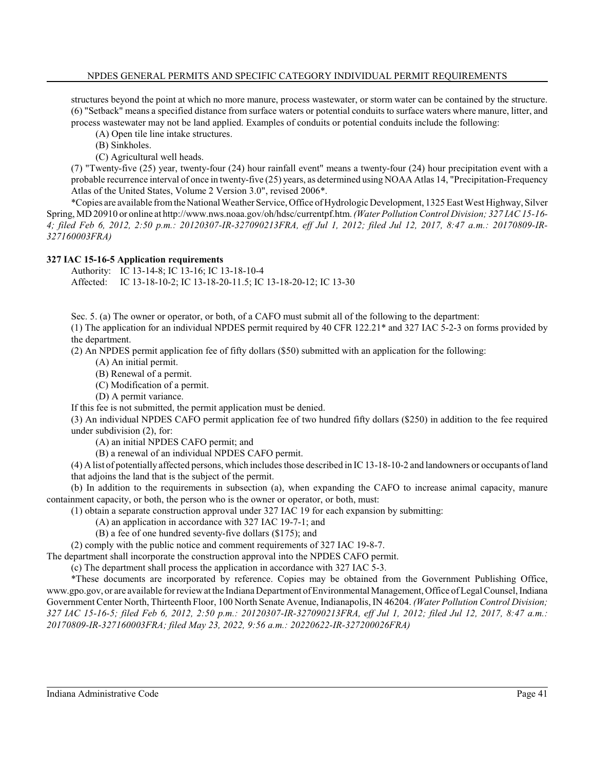structures beyond the point at which no more manure, process wastewater, or storm water can be contained by the structure. (6) "Setback" means a specified distance from surface waters or potential conduits to surface waters where manure, litter, and process wastewater may not be land applied. Examples of conduits or potential conduits include the following:

(A) Open tile line intake structures.

(B) Sinkholes.

(C) Agricultural well heads.

(7) "Twenty-five (25) year, twenty-four (24) hour rainfall event" means a twenty-four (24) hour precipitation event with a probable recurrence interval of once in twenty-five (25) years, as determined using NOAA Atlas 14, "Precipitation-Frequency Atlas of the United States, Volume 2 Version 3.0", revised 2006\*.

\*Copies are available fromthe National Weather Service, Office of Hydrologic Development, 1325 East West Highway, Silver Spring, MD 20910 or online at http://www.nws.noaa.gov/oh/hdsc/currentpf.htm. *(Water PollutionControl Division; 327 IAC 15-16- 4; filed Feb 6, 2012, 2:50 p.m.: 20120307-IR-327090213FRA, eff Jul 1, 2012; filed Jul 12, 2017, 8:47 a.m.: 20170809-IR-327160003FRA)*

#### **327 IAC 15-16-5 Application requirements**

Authority: IC 13-14-8; IC 13-16; IC 13-18-10-4

Affected: IC 13-18-10-2; IC 13-18-20-11.5; IC 13-18-20-12; IC 13-30

Sec. 5. (a) The owner or operator, or both, of a CAFO must submit all of the following to the department:

(1) The application for an individual NPDES permit required by 40 CFR 122.21\* and 327 IAC 5-2-3 on forms provided by the department.

(2) An NPDES permit application fee of fifty dollars (\$50) submitted with an application for the following:

(A) An initial permit.

(B) Renewal of a permit.

(C) Modification of a permit.

(D) A permit variance.

If this fee is not submitted, the permit application must be denied.

(3) An individual NPDES CAFO permit application fee of two hundred fifty dollars (\$250) in addition to the fee required under subdivision (2), for:

(A) an initial NPDES CAFO permit; and

(B) a renewal of an individual NPDES CAFO permit.

(4) A list of potentially affected persons, which includes those described in IC 13-18-10-2 and landowners or occupants of land that adjoins the land that is the subject of the permit.

(b) In addition to the requirements in subsection (a), when expanding the CAFO to increase animal capacity, manure containment capacity, or both, the person who is the owner or operator, or both, must:

(1) obtain a separate construction approval under 327 IAC 19 for each expansion by submitting:

(A) an application in accordance with 327 IAC 19-7-1; and

(B) a fee of one hundred seventy-five dollars (\$175); and

(2) comply with the public notice and comment requirements of 327 IAC 19-8-7.

The department shall incorporate the construction approval into the NPDES CAFO permit.

(c) The department shall process the application in accordance with 327 IAC 5-3.

\*These documents are incorporated by reference. Copies may be obtained from the Government Publishing Office, www.gpo.gov, or are available for reviewat the Indiana Department of Environmental Management, Office of Legal Counsel, Indiana Government Center North, Thirteenth Floor, 100 North Senate Avenue, Indianapolis, IN 46204. *(Water Pollution Control Division; 327 IAC 15-16-5; filed Feb 6, 2012, 2:50 p.m.: 20120307-IR-327090213FRA, eff Jul 1, 2012; filed Jul 12, 2017, 8:47 a.m.: 20170809-IR-327160003FRA; filed May 23, 2022, 9:56 a.m.: 20220622-IR-327200026FRA)*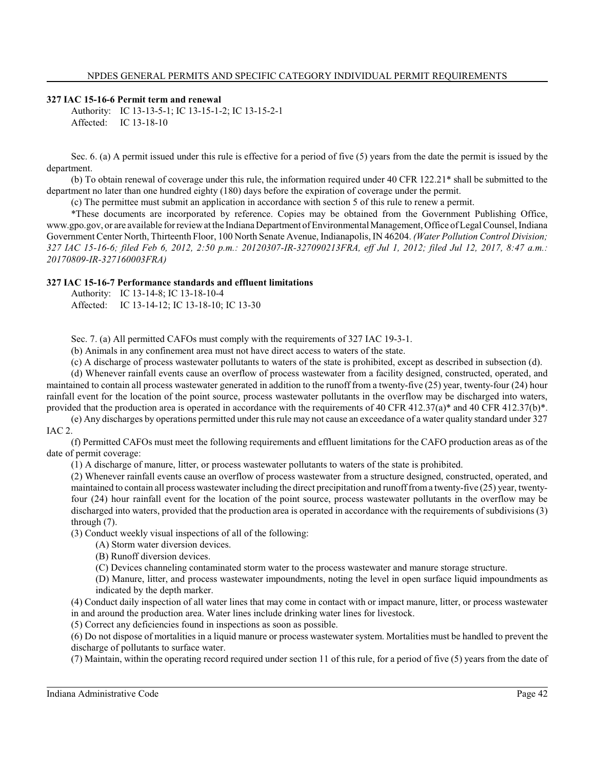#### **327 IAC 15-16-6 Permit term and renewal**

Authority: IC 13-13-5-1; IC 13-15-1-2; IC 13-15-2-1 Affected: IC 13-18-10

Sec. 6. (a) A permit issued under this rule is effective for a period of five (5) years from the date the permit is issued by the department.

(b) To obtain renewal of coverage under this rule, the information required under 40 CFR 122.21\* shall be submitted to the department no later than one hundred eighty (180) days before the expiration of coverage under the permit.

(c) The permittee must submit an application in accordance with section 5 of this rule to renew a permit.

\*These documents are incorporated by reference. Copies may be obtained from the Government Publishing Office, www.gpo.gov, or are available for reviewat the Indiana Department of Environmental Management, Office of Legal Counsel, Indiana Government Center North, Thirteenth Floor, 100 North Senate Avenue, Indianapolis, IN 46204. *(Water Pollution Control Division; 327 IAC 15-16-6; filed Feb 6, 2012, 2:50 p.m.: 20120307-IR-327090213FRA, eff Jul 1, 2012; filed Jul 12, 2017, 8:47 a.m.: 20170809-IR-327160003FRA)*

#### **327 IAC 15-16-7 Performance standards and effluent limitations**

Authority: IC 13-14-8; IC 13-18-10-4 Affected: IC 13-14-12; IC 13-18-10; IC 13-30

Sec. 7. (a) All permitted CAFOs must comply with the requirements of 327 IAC 19-3-1.

(b) Animals in any confinement area must not have direct access to waters of the state.

(c) A discharge of process wastewater pollutants to waters of the state is prohibited, except as described in subsection (d).

(d) Whenever rainfall events cause an overflow of process wastewater from a facility designed, constructed, operated, and maintained to contain all process wastewater generated in addition to the runoff from a twenty-five (25) year, twenty-four (24) hour rainfall event for the location of the point source, process wastewater pollutants in the overflow may be discharged into waters, provided that the production area is operated in accordance with the requirements of 40 CFR 412.37(a)\* and 40 CFR 412.37(b)\*.

(e) Any discharges by operations permitted under thisrule may not cause an exceedance of a water quality standard under 327 IAC 2.

(f) Permitted CAFOs must meet the following requirements and effluent limitations for the CAFO production areas as of the date of permit coverage:

(1) A discharge of manure, litter, or process wastewater pollutants to waters of the state is prohibited.

(2) Whenever rainfall events cause an overflow of process wastewater from a structure designed, constructed, operated, and maintained to contain all process wastewater including the direct precipitation and runofffroma twenty-five (25) year, twentyfour (24) hour rainfall event for the location of the point source, process wastewater pollutants in the overflow may be discharged into waters, provided that the production area is operated in accordance with the requirements of subdivisions (3) through (7).

(3) Conduct weekly visual inspections of all of the following:

(A) Storm water diversion devices.

(B) Runoff diversion devices.

(C) Devices channeling contaminated storm water to the process wastewater and manure storage structure.

(D) Manure, litter, and process wastewater impoundments, noting the level in open surface liquid impoundments as indicated by the depth marker.

(4) Conduct daily inspection of all water lines that may come in contact with or impact manure, litter, or process wastewater in and around the production area. Water lines include drinking water lines for livestock.

(5) Correct any deficiencies found in inspections as soon as possible.

(6) Do not dispose of mortalities in a liquid manure or process wastewater system. Mortalities must be handled to prevent the discharge of pollutants to surface water.

(7) Maintain, within the operating record required under section 11 of this rule, for a period of five (5) years from the date of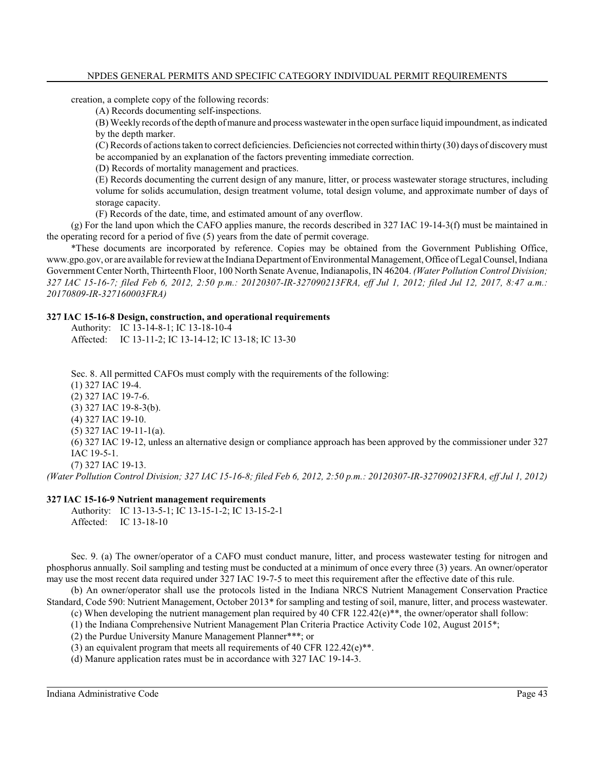creation, a complete copy of the following records:

(A) Records documenting self-inspections.

(B) Weekly records of the depth of manure and process wastewater in the open surface liquid impoundment, as indicated by the depth marker.

(C) Records of actions taken to correct deficiencies. Deficiencies not corrected within thirty (30) days of discovery must be accompanied by an explanation of the factors preventing immediate correction.

(D) Records of mortality management and practices.

(E) Records documenting the current design of any manure, litter, or process wastewater storage structures, including volume for solids accumulation, design treatment volume, total design volume, and approximate number of days of storage capacity.

(F) Records of the date, time, and estimated amount of any overflow.

(g) For the land upon which the CAFO applies manure, the records described in 327 IAC 19-14-3(f) must be maintained in the operating record for a period of five (5) years from the date of permit coverage.

\*These documents are incorporated by reference. Copies may be obtained from the Government Publishing Office, www.gpo.gov, or are available for reviewat the Indiana Department of Environmental Management, Office of Legal Counsel, Indiana Government Center North, Thirteenth Floor, 100 North Senate Avenue, Indianapolis, IN 46204. *(Water Pollution Control Division; 327 IAC 15-16-7; filed Feb 6, 2012, 2:50 p.m.: 20120307-IR-327090213FRA, eff Jul 1, 2012; filed Jul 12, 2017, 8:47 a.m.: 20170809-IR-327160003FRA)*

#### **327 IAC 15-16-8 Design, construction, and operational requirements**

Authority: IC 13-14-8-1; IC 13-18-10-4 Affected: IC 13-11-2; IC 13-14-12; IC 13-18; IC 13-30

Sec. 8. All permitted CAFOs must comply with the requirements of the following: (1) 327 IAC 19-4. (2) 327 IAC 19-7-6. (3) 327 IAC 19-8-3(b). (4) 327 IAC 19-10. (5) 327 IAC 19-11-1(a). (6) 327 IAC 19-12, unless an alternative design or compliance approach has been approved by the commissioner under 327 IAC 19-5-1. (7) 327 IAC 19-13.

*(Water Pollution Control Division; 327 IAC 15-16-8; filed Feb 6, 2012, 2:50 p.m.: 20120307-IR-327090213FRA, eff Jul 1, 2012)*

### **327 IAC 15-16-9 Nutrient management requirements**

Authority: IC 13-13-5-1; IC 13-15-1-2; IC 13-15-2-1 Affected: IC 13-18-10

Sec. 9. (a) The owner/operator of a CAFO must conduct manure, litter, and process wastewater testing for nitrogen and phosphorus annually. Soil sampling and testing must be conducted at a minimum of once every three (3) years. An owner/operator may use the most recent data required under 327 IAC 19-7-5 to meet this requirement after the effective date of this rule.

(b) An owner/operator shall use the protocols listed in the Indiana NRCS Nutrient Management Conservation Practice Standard, Code 590: Nutrient Management, October 2013\* for sampling and testing of soil, manure, litter, and process wastewater.

(c) When developing the nutrient management plan required by 40 CFR  $122.42(e)*$ , the owner/operator shall follow:

(1) the Indiana Comprehensive Nutrient Management Plan Criteria Practice Activity Code 102, August 2015\*;

(2) the Purdue University Manure Management Planner\*\*\*; or

(3) an equivalent program that meets all requirements of 40 CFR  $122.42(e)*$ .

(d) Manure application rates must be in accordance with 327 IAC 19-14-3.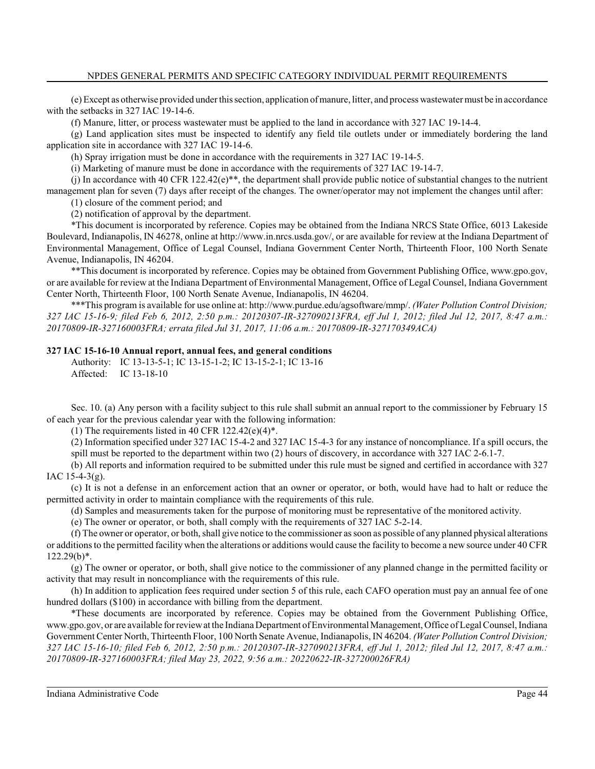(e) Except as otherwise provided underthissection, application of manure, litter, and process wastewater must be in accordance with the setbacks in 327 IAC 19-14-6.

(f) Manure, litter, or process wastewater must be applied to the land in accordance with 327 IAC 19-14-4.

(g) Land application sites must be inspected to identify any field tile outlets under or immediately bordering the land application site in accordance with 327 IAC 19-14-6.

(h) Spray irrigation must be done in accordance with the requirements in 327 IAC 19-14-5.

(i) Marketing of manure must be done in accordance with the requirements of 327 IAC 19-14-7.

(j) In accordance with 40 CFR 122.42(e)\*\*, the department shall provide public notice of substantial changes to the nutrient management plan for seven (7) days after receipt of the changes. The owner/operator may not implement the changes until after: (1) closure of the comment period; and

(2) notification of approval by the department.

\*This document is incorporated by reference. Copies may be obtained from the Indiana NRCS State Office, 6013 Lakeside Boulevard, Indianapolis, IN 46278, online at http://www.in.nrcs.usda.gov/, or are available for review at the Indiana Department of Environmental Management, Office of Legal Counsel, Indiana Government Center North, Thirteenth Floor, 100 North Senate Avenue, Indianapolis, IN 46204.

\*\*This document is incorporated by reference. Copies may be obtained from Government Publishing Office, www.gpo.gov, or are available for review at the Indiana Department of Environmental Management, Office of Legal Counsel, Indiana Government Center North, Thirteenth Floor, 100 North Senate Avenue, Indianapolis, IN 46204.

\*\*\*This program is available for use online at: http://www.purdue.edu/agsoftware/mmp/. *(Water Pollution Control Division; 327 IAC 15-16-9; filed Feb 6, 2012, 2:50 p.m.: 20120307-IR-327090213FRA, eff Jul 1, 2012; filed Jul 12, 2017, 8:47 a.m.: 20170809-IR-327160003FRA; errata filed Jul 31, 2017, 11:06 a.m.: 20170809-IR-327170349ACA)*

#### **327 IAC 15-16-10 Annual report, annual fees, and general conditions**

Authority: IC 13-13-5-1; IC 13-15-1-2; IC 13-15-2-1; IC 13-16 Affected: IC 13-18-10

Sec. 10. (a) Any person with a facility subject to this rule shall submit an annual report to the commissioner by February 15 of each year for the previous calendar year with the following information:

(1) The requirements listed in 40 CFR  $122.42(e)(4)^*$ .

(2) Information specified under 327 IAC 15-4-2 and 327 IAC 15-4-3 for any instance of noncompliance. If a spill occurs, the spill must be reported to the department within two (2) hours of discovery, in accordance with 327 IAC 2-6.1-7.

(b) All reports and information required to be submitted under this rule must be signed and certified in accordance with 327 IAC  $15-4-3(g)$ .

(c) It is not a defense in an enforcement action that an owner or operator, or both, would have had to halt or reduce the permitted activity in order to maintain compliance with the requirements of this rule.

(d) Samples and measurements taken for the purpose of monitoring must be representative of the monitored activity.

(e) The owner or operator, or both, shall comply with the requirements of 327 IAC 5-2-14.

(f) The owner or operator, or both, shall give notice to the commissioner as soon as possible of any planned physical alterations or additions to the permitted facility when the alterations or additions would cause the facility to become a new source under 40 CFR 122.29(b)\*.

(g) The owner or operator, or both, shall give notice to the commissioner of any planned change in the permitted facility or activity that may result in noncompliance with the requirements of this rule.

(h) In addition to application fees required under section 5 of this rule, each CAFO operation must pay an annual fee of one hundred dollars (\$100) in accordance with billing from the department.

\*These documents are incorporated by reference. Copies may be obtained from the Government Publishing Office, www.gpo.gov, or are available forreviewat the Indiana Department of Environmental Management, Office of Legal Counsel, Indiana Government Center North, Thirteenth Floor, 100 North Senate Avenue, Indianapolis, IN 46204. *(Water Pollution Control Division; 327 IAC 15-16-10; filed Feb 6, 2012, 2:50 p.m.: 20120307-IR-327090213FRA, eff Jul 1, 2012; filed Jul 12, 2017, 8:47 a.m.: 20170809-IR-327160003FRA; filed May 23, 2022, 9:56 a.m.: 20220622-IR-327200026FRA)*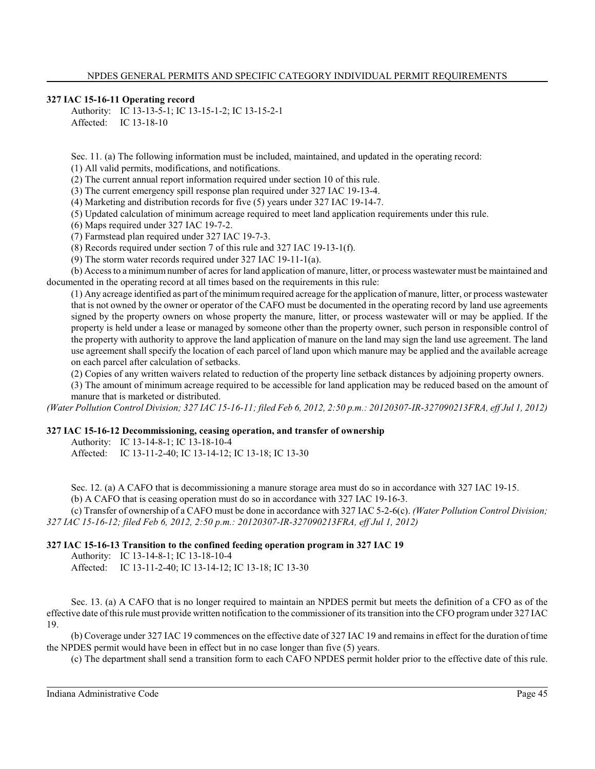### **327 IAC 15-16-11 Operating record**

Authority: IC 13-13-5-1; IC 13-15-1-2; IC 13-15-2-1 Affected: IC 13-18-10

Sec. 11. (a) The following information must be included, maintained, and updated in the operating record:

(1) All valid permits, modifications, and notifications.

(2) The current annual report information required under section 10 of this rule.

(3) The current emergency spill response plan required under 327 IAC 19-13-4.

(4) Marketing and distribution records for five (5) years under 327 IAC 19-14-7.

(5) Updated calculation of minimum acreage required to meet land application requirements under this rule.

(6) Maps required under 327 IAC 19-7-2.

(7) Farmstead plan required under 327 IAC 19-7-3.

(8) Records required under section 7 of this rule and 327 IAC 19-13-1(f).

(9) The storm water records required under 327 IAC 19-11-1(a).

(b) Access to a minimumnumber of acres for land application of manure, litter, or process wastewater must be maintained and documented in the operating record at all times based on the requirements in this rule:

(1) Any acreage identified as part of the minimum required acreage for the application of manure, litter, or process wastewater that is not owned by the owner or operator of the CAFO must be documented in the operating record by land use agreements signed by the property owners on whose property the manure, litter, or process wastewater will or may be applied. If the property is held under a lease or managed by someone other than the property owner, such person in responsible control of the property with authority to approve the land application of manure on the land may sign the land use agreement. The land use agreement shall specify the location of each parcel of land upon which manure may be applied and the available acreage on each parcel after calculation of setbacks.

(2) Copies of any written waivers related to reduction of the property line setback distances by adjoining property owners.

(3) The amount of minimum acreage required to be accessible for land application may be reduced based on the amount of manure that is marketed or distributed.

*(Water Pollution Control Division; 327 IAC 15-16-11; filed Feb 6, 2012, 2:50 p.m.: 20120307-IR-327090213FRA, eff Jul 1, 2012)*

### **327 IAC 15-16-12 Decommissioning, ceasing operation, and transfer of ownership**

Authority: IC 13-14-8-1; IC 13-18-10-4 Affected: IC 13-11-2-40; IC 13-14-12; IC 13-18; IC 13-30

Sec. 12. (a) A CAFO that is decommissioning a manure storage area must do so in accordance with 327 IAC 19-15.

(b) A CAFO that is ceasing operation must do so in accordance with 327 IAC 19-16-3.

(c) Transfer of ownership of a CAFO must be done in accordance with 327 IAC 5-2-6(c). *(Water Pollution Control Division; 327 IAC 15-16-12; filed Feb 6, 2012, 2:50 p.m.: 20120307-IR-327090213FRA, eff Jul 1, 2012)*

## **327 IAC 15-16-13 Transition to the confined feeding operation program in 327 IAC 19**

Authority: IC 13-14-8-1; IC 13-18-10-4

Affected: IC 13-11-2-40; IC 13-14-12; IC 13-18; IC 13-30

Sec. 13. (a) A CAFO that is no longer required to maintain an NPDES permit but meets the definition of a CFO as of the effective date of thisrule must provide written notification to the commissioner of its transition into the CFO program under 327 IAC 19.

(b) Coverage under 327 IAC 19 commences on the effective date of 327 IAC 19 and remains in effect for the duration of time the NPDES permit would have been in effect but in no case longer than five (5) years.

(c) The department shall send a transition form to each CAFO NPDES permit holder prior to the effective date of this rule.